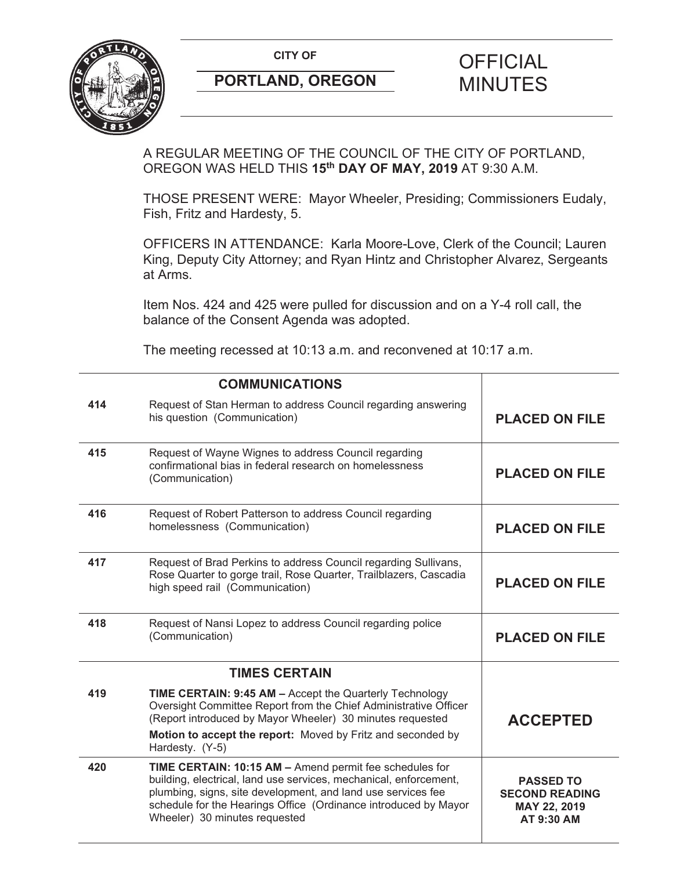

# **PORTLAND, OREGON MINUTES**

# **CITY OF CITY OF PICIAL**

A REGULAR MEETING OF THE COUNCIL OF THE CITY OF PORTLAND, OREGON WAS HELD THIS **15th DAY OF MAY, 2019** AT 9:30 A.M.

THOSE PRESENT WERE: Mayor Wheeler, Presiding; Commissioners Eudaly, Fish, Fritz and Hardesty, 5.

OFFICERS IN ATTENDANCE: Karla Moore-Love, Clerk of the Council; Lauren King, Deputy City Attorney; and Ryan Hintz and Christopher Alvarez, Sergeants at Arms.

Item Nos. 424 and 425 were pulled for discussion and on a Y-4 roll call, the balance of the Consent Agenda was adopted.

The meeting recessed at 10:13 a.m. and reconvened at 10:17 a.m.

|     | <b>COMMUNICATIONS</b>                                                                                                                                                                                                                                                                            |                                                                         |
|-----|--------------------------------------------------------------------------------------------------------------------------------------------------------------------------------------------------------------------------------------------------------------------------------------------------|-------------------------------------------------------------------------|
| 414 | Request of Stan Herman to address Council regarding answering<br>his question (Communication)                                                                                                                                                                                                    | <b>PLACED ON FILE</b>                                                   |
| 415 | Request of Wayne Wignes to address Council regarding<br>confirmational bias in federal research on homelessness<br>(Communication)                                                                                                                                                               | <b>PLACED ON FILE</b>                                                   |
| 416 | Request of Robert Patterson to address Council regarding<br>homelessness (Communication)                                                                                                                                                                                                         | <b>PLACED ON FILE</b>                                                   |
| 417 | Request of Brad Perkins to address Council regarding Sullivans,<br>Rose Quarter to gorge trail, Rose Quarter, Trailblazers, Cascadia<br>high speed rail (Communication)                                                                                                                          | <b>PLACED ON FILE</b>                                                   |
| 418 | Request of Nansi Lopez to address Council regarding police<br>(Communication)                                                                                                                                                                                                                    | <b>PLACED ON FILE</b>                                                   |
|     | <b>TIMES CERTAIN</b>                                                                                                                                                                                                                                                                             |                                                                         |
| 419 | TIME CERTAIN: 9:45 AM - Accept the Quarterly Technology<br>Oversight Committee Report from the Chief Administrative Officer<br>(Report introduced by Mayor Wheeler) 30 minutes requested<br>Motion to accept the report: Moved by Fritz and seconded by<br>Hardesty. (Y-5)                       | <b>ACCEPTED</b>                                                         |
| 420 | TIME CERTAIN: 10:15 AM - Amend permit fee schedules for<br>building, electrical, land use services, mechanical, enforcement,<br>plumbing, signs, site development, and land use services fee<br>schedule for the Hearings Office (Ordinance introduced by Mayor<br>Wheeler) 30 minutes requested | <b>PASSED TO</b><br><b>SECOND READING</b><br>MAY 22, 2019<br>AT 9:30 AM |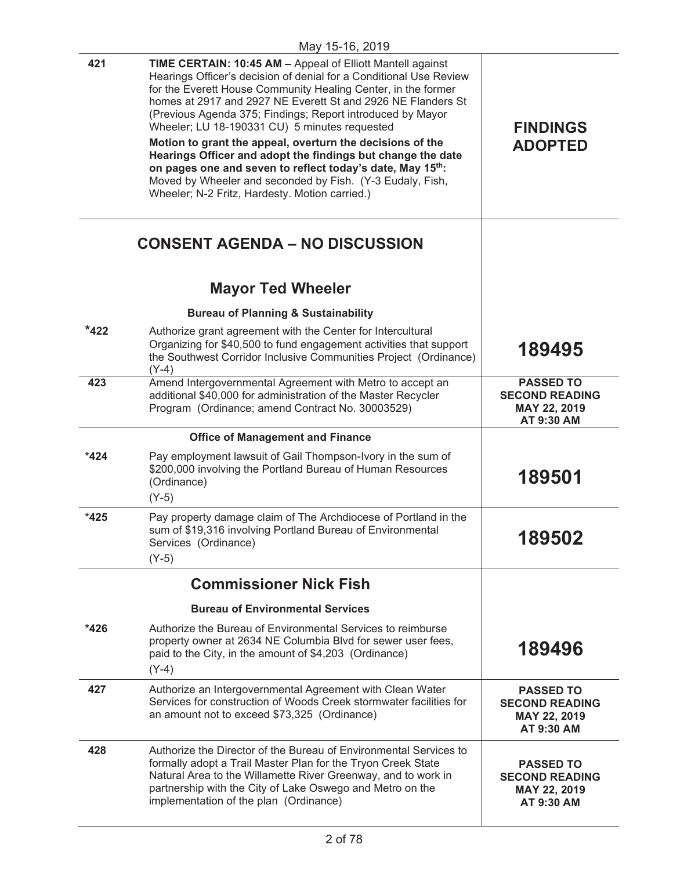| 421    | TIME CERTAIN: 10:45 AM - Appeal of Elliott Mantell against<br>Hearings Officer's decision of denial for a Conditional Use Review<br>for the Everett House Community Healing Center, in the former<br>homes at 2917 and 2927 NE Everett St and 2926 NE Flanders St<br>(Previous Agenda 375; Findings; Report introduced by Mayor<br>Wheeler; LU 18-190331 CU) 5 minutes requested | <b>FINDINGS</b><br><b>ADOPTED</b>                                       |
|--------|----------------------------------------------------------------------------------------------------------------------------------------------------------------------------------------------------------------------------------------------------------------------------------------------------------------------------------------------------------------------------------|-------------------------------------------------------------------------|
|        | Motion to grant the appeal, overturn the decisions of the<br>Hearings Officer and adopt the findings but change the date<br>on pages one and seven to reflect today's date, May 15th:<br>Moved by Wheeler and seconded by Fish. (Y-3 Eudaly, Fish,<br>Wheeler; N-2 Fritz, Hardesty. Motion carried.)                                                                             |                                                                         |
|        | <b>CONSENT AGENDA – NO DISCUSSION</b>                                                                                                                                                                                                                                                                                                                                            |                                                                         |
|        | <b>Mayor Ted Wheeler</b>                                                                                                                                                                                                                                                                                                                                                         |                                                                         |
|        | <b>Bureau of Planning &amp; Sustainability</b>                                                                                                                                                                                                                                                                                                                                   |                                                                         |
| $*422$ | Authorize grant agreement with the Center for Intercultural<br>Organizing for \$40,500 to fund engagement activities that support<br>the Southwest Corridor Inclusive Communities Project (Ordinance)<br>$(Y-4)$                                                                                                                                                                 | 189495                                                                  |
| 423    | Amend Intergovernmental Agreement with Metro to accept an<br>additional \$40,000 for administration of the Master Recycler<br>Program (Ordinance; amend Contract No. 30003529)                                                                                                                                                                                                   | <b>PASSED TO</b><br><b>SECOND READING</b><br>MAY 22, 2019<br>AT 9:30 AM |
|        | <b>Office of Management and Finance</b>                                                                                                                                                                                                                                                                                                                                          |                                                                         |
| $*424$ | Pay employment lawsuit of Gail Thompson-Ivory in the sum of<br>\$200,000 involving the Portland Bureau of Human Resources<br>(Ordinance)<br>$(Y-5)$                                                                                                                                                                                                                              | 189501                                                                  |
| $*425$ | Pay property damage claim of The Archdiocese of Portland in the<br>sum of \$19,316 involving Portland Bureau of Environmental<br>Services (Ordinance)<br>$(Y-5)$                                                                                                                                                                                                                 | 189502                                                                  |
|        | <b>Commissioner Nick Fish</b>                                                                                                                                                                                                                                                                                                                                                    |                                                                         |
|        | <b>Bureau of Environmental Services</b>                                                                                                                                                                                                                                                                                                                                          |                                                                         |
| *426   | Authorize the Bureau of Environmental Services to reimburse<br>property owner at 2634 NE Columbia Blvd for sewer user fees,<br>paid to the City, in the amount of \$4,203 (Ordinance)<br>$(Y-4)$                                                                                                                                                                                 | 189496                                                                  |
| 427    | Authorize an Intergovernmental Agreement with Clean Water<br>Services for construction of Woods Creek stormwater facilities for<br>an amount not to exceed \$73,325 (Ordinance)                                                                                                                                                                                                  | <b>PASSED TO</b><br><b>SECOND READING</b><br>MAY 22, 2019<br>AT 9:30 AM |
| 428    | Authorize the Director of the Bureau of Environmental Services to<br>formally adopt a Trail Master Plan for the Tryon Creek State<br>Natural Area to the Willamette River Greenway, and to work in<br>partnership with the City of Lake Oswego and Metro on the<br>implementation of the plan (Ordinance)                                                                        | <b>PASSED TO</b><br><b>SECOND READING</b><br>MAY 22, 2019<br>AT 9:30 AM |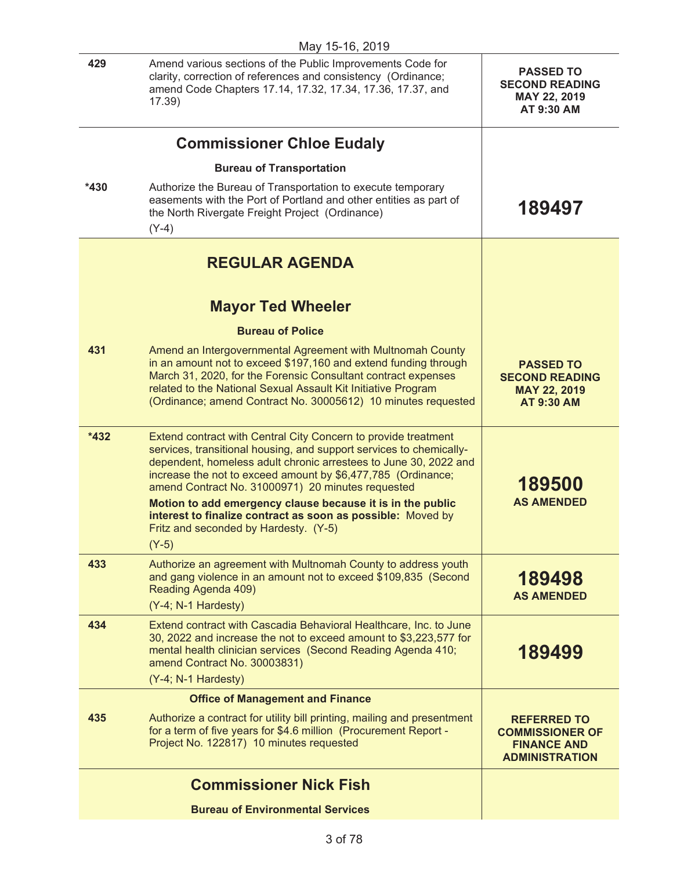| May 15-16, 2019 |                                                                                                                                                                                                                                                                                                                                                                                                                                                                                                                 |                                                                                             |
|-----------------|-----------------------------------------------------------------------------------------------------------------------------------------------------------------------------------------------------------------------------------------------------------------------------------------------------------------------------------------------------------------------------------------------------------------------------------------------------------------------------------------------------------------|---------------------------------------------------------------------------------------------|
| 429             | Amend various sections of the Public Improvements Code for<br>clarity, correction of references and consistency (Ordinance;<br>amend Code Chapters 17.14, 17.32, 17.34, 17.36, 17.37, and<br>17.39)                                                                                                                                                                                                                                                                                                             | <b>PASSED TO</b><br><b>SECOND READING</b><br>MAY 22, 2019<br>AT 9:30 AM                     |
|                 | <b>Commissioner Chloe Eudaly</b>                                                                                                                                                                                                                                                                                                                                                                                                                                                                                |                                                                                             |
|                 | <b>Bureau of Transportation</b>                                                                                                                                                                                                                                                                                                                                                                                                                                                                                 |                                                                                             |
| $*430$          | Authorize the Bureau of Transportation to execute temporary<br>easements with the Port of Portland and other entities as part of<br>the North Rivergate Freight Project (Ordinance)<br>$(Y-4)$                                                                                                                                                                                                                                                                                                                  | 189497                                                                                      |
|                 | <b>REGULAR AGENDA</b>                                                                                                                                                                                                                                                                                                                                                                                                                                                                                           |                                                                                             |
|                 | <b>Mayor Ted Wheeler</b>                                                                                                                                                                                                                                                                                                                                                                                                                                                                                        |                                                                                             |
|                 | <b>Bureau of Police</b>                                                                                                                                                                                                                                                                                                                                                                                                                                                                                         |                                                                                             |
| 431             | Amend an Intergovernmental Agreement with Multnomah County<br>in an amount not to exceed \$197,160 and extend funding through<br>March 31, 2020, for the Forensic Consultant contract expenses<br>related to the National Sexual Assault Kit Initiative Program<br>(Ordinance; amend Contract No. 30005612) 10 minutes requested                                                                                                                                                                                | <b>PASSED TO</b><br><b>SECOND READING</b><br><b>MAY 22, 2019</b><br><b>AT 9:30 AM</b>       |
| *432            | Extend contract with Central City Concern to provide treatment<br>services, transitional housing, and support services to chemically-<br>dependent, homeless adult chronic arrestees to June 30, 2022 and<br>increase the not to exceed amount by \$6,477,785 (Ordinance;<br>amend Contract No. 31000971) 20 minutes requested<br>Motion to add emergency clause because it is in the public<br>interest to finalize contract as soon as possible: Moved by<br>Fritz and seconded by Hardesty. (Y-5)<br>$(Y-5)$ | 189500<br><b>AS AMENDED</b>                                                                 |
| 433             | Authorize an agreement with Multnomah County to address youth<br>and gang violence in an amount not to exceed \$109,835 (Second<br>Reading Agenda 409)<br>(Y-4; N-1 Hardesty)                                                                                                                                                                                                                                                                                                                                   | 189498<br><b>AS AMENDED</b>                                                                 |
| 434             | Extend contract with Cascadia Behavioral Healthcare, Inc. to June<br>30, 2022 and increase the not to exceed amount to \$3,223,577 for<br>mental health clinician services (Second Reading Agenda 410;<br>amend Contract No. 30003831)<br>(Y-4; N-1 Hardesty)                                                                                                                                                                                                                                                   | 189499                                                                                      |
|                 | <b>Office of Management and Finance</b>                                                                                                                                                                                                                                                                                                                                                                                                                                                                         |                                                                                             |
| 435             | Authorize a contract for utility bill printing, mailing and presentment<br>for a term of five years for \$4.6 million (Procurement Report -<br>Project No. 122817) 10 minutes requested                                                                                                                                                                                                                                                                                                                         | <b>REFERRED TO</b><br><b>COMMISSIONER OF</b><br><b>FINANCE AND</b><br><b>ADMINISTRATION</b> |
|                 | <b>Commissioner Nick Fish</b>                                                                                                                                                                                                                                                                                                                                                                                                                                                                                   |                                                                                             |
|                 | <b>Bureau of Environmental Services</b>                                                                                                                                                                                                                                                                                                                                                                                                                                                                         |                                                                                             |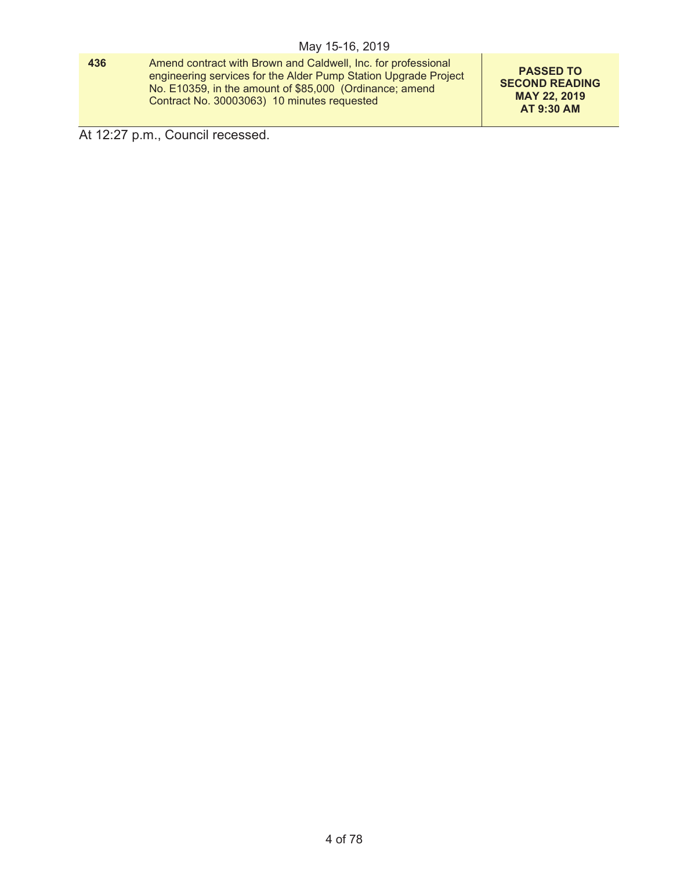**436** Amend contract with Brown and Caldwell, Inc. for professional engineering services for the Alder Pump Station Upgrade Project No. E10359, in the amount of \$85,000 (Ordinance; amend Contract No. 30003063) 10 minutes requested

**PASSED TO SECOND READING MAY 22, 2019 AT 9:30 AM** 

At 12:27 p.m., Council recessed.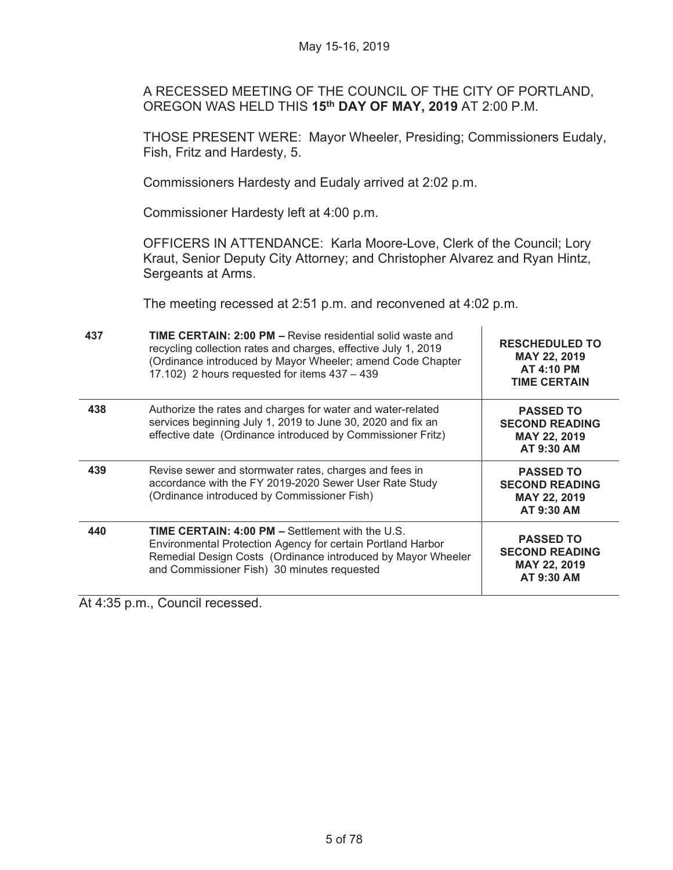A RECESSED MEETING OF THE COUNCIL OF THE CITY OF PORTLAND, OREGON WAS HELD THIS **15th DAY OF MAY, 2019** AT 2:00 P.M.

THOSE PRESENT WERE: Mayor Wheeler, Presiding; Commissioners Eudaly, Fish, Fritz and Hardesty, 5.

Commissioners Hardesty and Eudaly arrived at 2:02 p.m.

Commissioner Hardesty left at 4:00 p.m.

OFFICERS IN ATTENDANCE: Karla Moore-Love, Clerk of the Council; Lory Kraut, Senior Deputy City Attorney; and Christopher Alvarez and Ryan Hintz, Sergeants at Arms.

The meeting recessed at 2:51 p.m. and reconvened at 4:02 p.m.

| 437 | <b>TIME CERTAIN: 2:00 PM - Revise residential solid waste and</b><br>recycling collection rates and charges, effective July 1, 2019<br>(Ordinance introduced by Mayor Wheeler; amend Code Chapter<br>17.102) 2 hours requested for items 437 - 439 | <b>RESCHEDULED TO</b><br>MAY 22, 2019<br><b>AT 4:10 PM</b><br><b>TIME CERTAIN</b> |
|-----|----------------------------------------------------------------------------------------------------------------------------------------------------------------------------------------------------------------------------------------------------|-----------------------------------------------------------------------------------|
| 438 | Authorize the rates and charges for water and water-related<br>services beginning July 1, 2019 to June 30, 2020 and fix an<br>effective date (Ordinance introduced by Commissioner Fritz)                                                          | <b>PASSED TO</b><br><b>SECOND READING</b><br>MAY 22, 2019<br>AT 9:30 AM           |
| 439 | Revise sewer and stormwater rates, charges and fees in<br>accordance with the FY 2019-2020 Sewer User Rate Study<br>(Ordinance introduced by Commissioner Fish)                                                                                    | <b>PASSED TO</b><br><b>SECOND READING</b><br><b>MAY 22, 2019</b><br>AT 9:30 AM    |
| 440 | <b>TIME CERTAIN: 4:00 PM – Settlement with the U.S.</b><br>Environmental Protection Agency for certain Portland Harbor<br>Remedial Design Costs (Ordinance introduced by Mayor Wheeler<br>and Commissioner Fish) 30 minutes requested              | <b>PASSED TO</b><br><b>SECOND READING</b><br><b>MAY 22, 2019</b><br>AT 9:30 AM    |

At 4:35 p.m., Council recessed.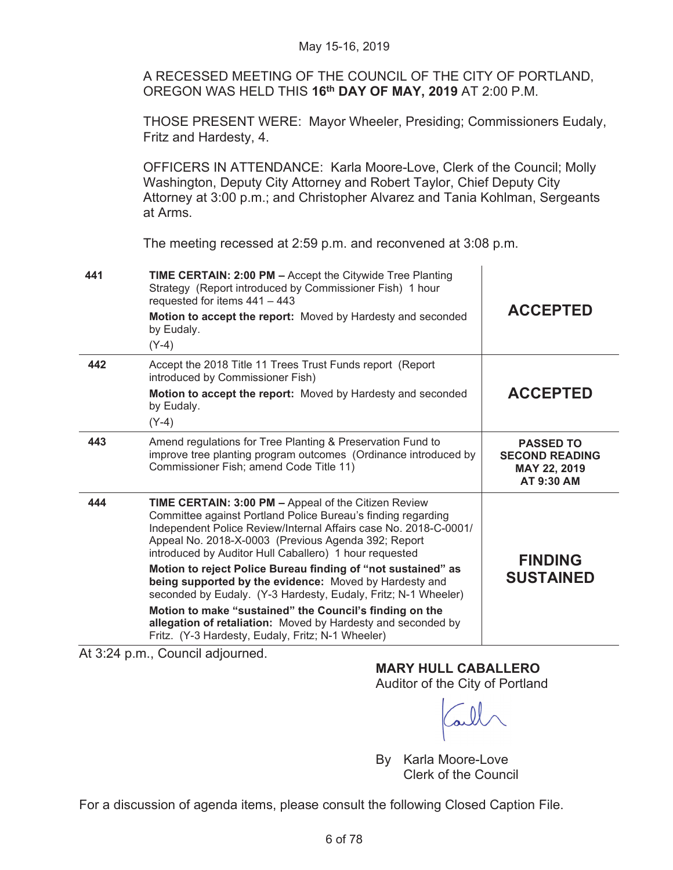A RECESSED MEETING OF THE COUNCIL OF THE CITY OF PORTLAND, OREGON WAS HELD THIS **16th DAY OF MAY, 2019** AT 2:00 P.M.

THOSE PRESENT WERE: Mayor Wheeler, Presiding; Commissioners Eudaly, Fritz and Hardesty, 4.

OFFICERS IN ATTENDANCE: Karla Moore-Love, Clerk of the Council; Molly Washington, Deputy City Attorney and Robert Taylor, Chief Deputy City Attorney at 3:00 p.m.; and Christopher Alvarez and Tania Kohlman, Sergeants at Arms.

The meeting recessed at 2:59 p.m. and reconvened at 3:08 p.m.

| 441 | TIME CERTAIN: 2:00 PM - Accept the Citywide Tree Planting<br>Strategy (Report introduced by Commissioner Fish) 1 hour<br>requested for items 441 - 443<br>Motion to accept the report: Moved by Hardesty and seconded<br>by Eudaly.<br>$(Y-4)$                                                                                                                                                                                                                                                                                                                                                                                                                                        | <b>ACCEPTED</b>                                                         |
|-----|---------------------------------------------------------------------------------------------------------------------------------------------------------------------------------------------------------------------------------------------------------------------------------------------------------------------------------------------------------------------------------------------------------------------------------------------------------------------------------------------------------------------------------------------------------------------------------------------------------------------------------------------------------------------------------------|-------------------------------------------------------------------------|
| 442 | Accept the 2018 Title 11 Trees Trust Funds report (Report<br>introduced by Commissioner Fish)<br>Motion to accept the report: Moved by Hardesty and seconded<br>by Eudaly.<br>$(Y-4)$                                                                                                                                                                                                                                                                                                                                                                                                                                                                                                 | <b>ACCEPTED</b>                                                         |
| 443 | Amend regulations for Tree Planting & Preservation Fund to<br>improve tree planting program outcomes (Ordinance introduced by<br>Commissioner Fish; amend Code Title 11)                                                                                                                                                                                                                                                                                                                                                                                                                                                                                                              | <b>PASSED TO</b><br><b>SECOND READING</b><br>MAY 22, 2019<br>AT 9:30 AM |
| 444 | TIME CERTAIN: 3:00 PM - Appeal of the Citizen Review<br>Committee against Portland Police Bureau's finding regarding<br>Independent Police Review/Internal Affairs case No. 2018-C-0001/<br>Appeal No. 2018-X-0003 (Previous Agenda 392; Report<br>introduced by Auditor Hull Caballero) 1 hour requested<br>Motion to reject Police Bureau finding of "not sustained" as<br>being supported by the evidence: Moved by Hardesty and<br>seconded by Eudaly. (Y-3 Hardesty, Eudaly, Fritz; N-1 Wheeler)<br>Motion to make "sustained" the Council's finding on the<br>allegation of retaliation: Moved by Hardesty and seconded by<br>Fritz. (Y-3 Hardesty, Eudaly, Fritz; N-1 Wheeler) | <b>FINDING</b><br><b>SUSTAINED</b>                                      |

At 3:24 p.m., Council adjourned.

**MARY HULL CABALLERO** 

Auditor of the City of Portland

By Karla Moore-Love Clerk of the Council

For a discussion of agenda items, please consult the following Closed Caption File.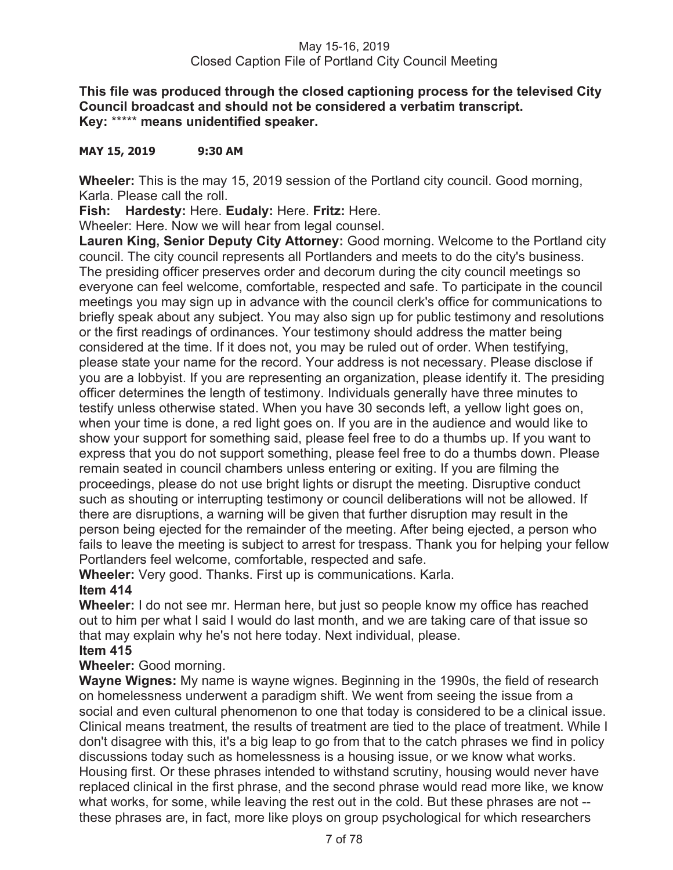# **This file was produced through the closed captioning process for the televised City Council broadcast and should not be considered a verbatim transcript. Key:** \*\*\*\*\* **means unidentified speaker.**

# **MAY 15, 2019 9:30 AM**

**Wheeler:** This is the may 15, 2019 session of the Portland city council. Good morning, Karla. Please call the roll.

**Fish: Hardesty:** Here. **Eudaly:** Here. **Fritz:** Here.

Wheeler: Here. Now we will hear from legal counsel.

**Lauren King, Senior Deputy City Attorney:** Good morning. Welcome to the Portland city council. The city council represents all Portlanders and meets to do the city's business. The presiding officer preserves order and decorum during the city council meetings so everyone can feel welcome, comfortable, respected and safe. To participate in the council meetings you may sign up in advance with the council clerk's office for communications to briefly speak about any subject. You may also sign up for public testimony and resolutions or the first readings of ordinances. Your testimony should address the matter being considered at the time. If it does not, you may be ruled out of order. When testifying, please state your name for the record. Your address is not necessary. Please disclose if you are a lobbyist. If you are representing an organization, please identify it. The presiding officer determines the length of testimony. Individuals generally have three minutes to testify unless otherwise stated. When you have 30 seconds left, a yellow light goes on, when your time is done, a red light goes on. If you are in the audience and would like to show your support for something said, please feel free to do a thumbs up. If you want to express that you do not support something, please feel free to do a thumbs down. Please remain seated in council chambers unless entering or exiting. If you are filming the proceedings, please do not use bright lights or disrupt the meeting. Disruptive conduct such as shouting or interrupting testimony or council deliberations will not be allowed. If there are disruptions, a warning will be given that further disruption may result in the person being ejected for the remainder of the meeting. After being ejected, a person who fails to leave the meeting is subject to arrest for trespass. Thank you for helping your fellow Portlanders feel welcome, comfortable, respected and safe.

**Wheeler:** Very good. Thanks. First up is communications. Karla.

# **Item 414**

**Wheeler:** I do not see mr. Herman here, but just so people know my office has reached out to him per what I said I would do last month, and we are taking care of that issue so that may explain why he's not here today. Next individual, please.

# **Item 415**

# **Wheeler:** Good morning.

**Wayne Wignes:** My name is wayne wignes. Beginning in the 1990s, the field of research on homelessness underwent a paradigm shift. We went from seeing the issue from a social and even cultural phenomenon to one that today is considered to be a clinical issue. Clinical means treatment, the results of treatment are tied to the place of treatment. While I don't disagree with this, it's a big leap to go from that to the catch phrases we find in policy discussions today such as homelessness is a housing issue, or we know what works. Housing first. Or these phrases intended to withstand scrutiny, housing would never have replaced clinical in the first phrase, and the second phrase would read more like, we know what works, for some, while leaving the rest out in the cold. But these phrases are not - these phrases are, in fact, more like ploys on group psychological for which researchers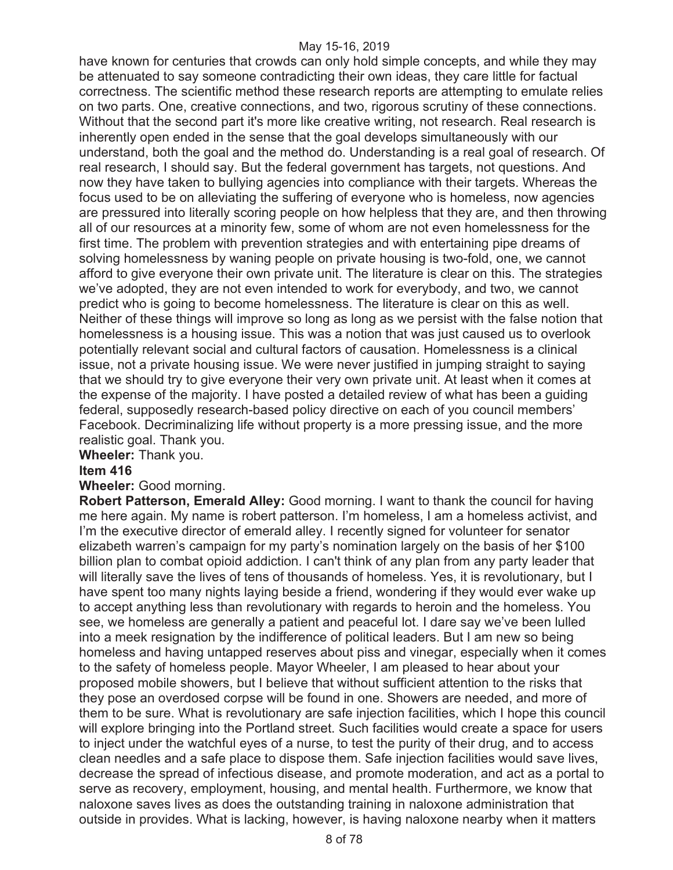have known for centuries that crowds can only hold simple concepts, and while they may be attenuated to say someone contradicting their own ideas, they care little for factual correctness. The scientific method these research reports are attempting to emulate relies on two parts. One, creative connections, and two, rigorous scrutiny of these connections. Without that the second part it's more like creative writing, not research. Real research is inherently open ended in the sense that the goal develops simultaneously with our understand, both the goal and the method do. Understanding is a real goal of research. Of real research, I should say. But the federal government has targets, not questions. And now they have taken to bullying agencies into compliance with their targets. Whereas the focus used to be on alleviating the suffering of everyone who is homeless, now agencies are pressured into literally scoring people on how helpless that they are, and then throwing all of our resources at a minority few, some of whom are not even homelessness for the first time. The problem with prevention strategies and with entertaining pipe dreams of solving homelessness by waning people on private housing is two-fold, one, we cannot afford to give everyone their own private unit. The literature is clear on this. The strategies we've adopted, they are not even intended to work for everybody, and two, we cannot predict who is going to become homelessness. The literature is clear on this as well. Neither of these things will improve so long as long as we persist with the false notion that homelessness is a housing issue. This was a notion that was just caused us to overlook potentially relevant social and cultural factors of causation. Homelessness is a clinical issue, not a private housing issue. We were never justified in jumping straight to saying that we should try to give everyone their very own private unit. At least when it comes at the expense of the majority. I have posted a detailed review of what has been a guiding federal, supposedly research-based policy directive on each of you council members' Facebook. Decriminalizing life without property is a more pressing issue, and the more realistic goal. Thank you.

**Wheeler:** Thank you.

#### **Item 416**

#### **Wheeler:** Good morning.

**Robert Patterson, Emerald Alley:** Good morning. I want to thank the council for having me here again. My name is robert patterson. I'm homeless, I am a homeless activist, and I'm the executive director of emerald alley. I recently signed for volunteer for senator elizabeth warren's campaign for my party's nomination largely on the basis of her \$100 billion plan to combat opioid addiction. I can't think of any plan from any party leader that will literally save the lives of tens of thousands of homeless. Yes, it is revolutionary, but I have spent too many nights laying beside a friend, wondering if they would ever wake up to accept anything less than revolutionary with regards to heroin and the homeless. You see, we homeless are generally a patient and peaceful lot. I dare say we've been lulled into a meek resignation by the indifference of political leaders. But I am new so being homeless and having untapped reserves about piss and vinegar, especially when it comes to the safety of homeless people. Mayor Wheeler, I am pleased to hear about your proposed mobile showers, but I believe that without sufficient attention to the risks that they pose an overdosed corpse will be found in one. Showers are needed, and more of them to be sure. What is revolutionary are safe injection facilities, which I hope this council will explore bringing into the Portland street. Such facilities would create a space for users to inject under the watchful eyes of a nurse, to test the purity of their drug, and to access clean needles and a safe place to dispose them. Safe injection facilities would save lives, decrease the spread of infectious disease, and promote moderation, and act as a portal to serve as recovery, employment, housing, and mental health. Furthermore, we know that naloxone saves lives as does the outstanding training in naloxone administration that outside in provides. What is lacking, however, is having naloxone nearby when it matters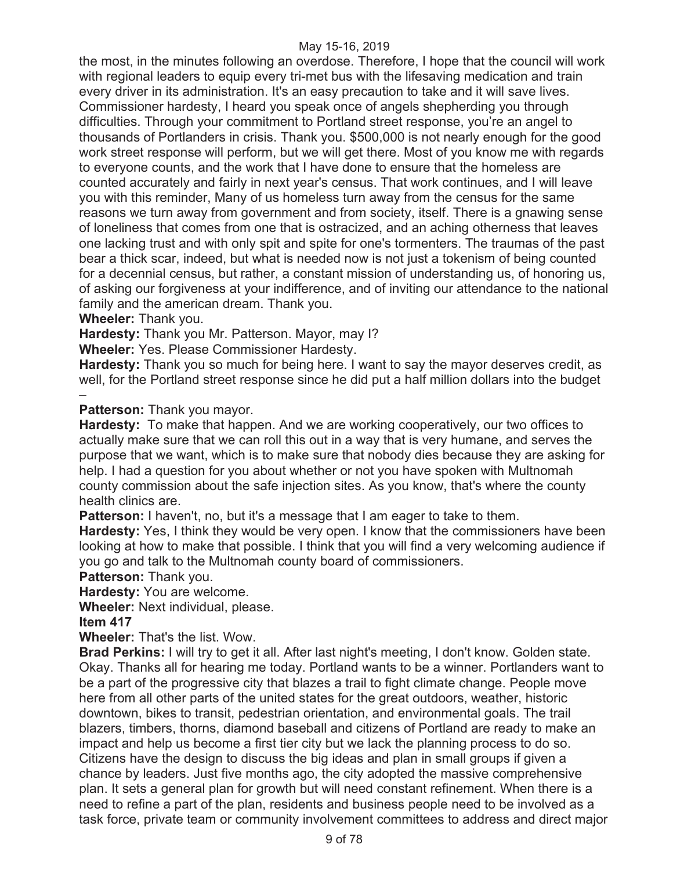the most, in the minutes following an overdose. Therefore, I hope that the council will work with regional leaders to equip every tri-met bus with the lifesaving medication and train every driver in its administration. It's an easy precaution to take and it will save lives. Commissioner hardesty, I heard you speak once of angels shepherding you through difficulties. Through your commitment to Portland street response, you're an angel to thousands of Portlanders in crisis. Thank you. \$500,000 is not nearly enough for the good work street response will perform, but we will get there. Most of you know me with regards to everyone counts, and the work that I have done to ensure that the homeless are counted accurately and fairly in next year's census. That work continues, and I will leave you with this reminder, Many of us homeless turn away from the census for the same reasons we turn away from government and from society, itself. There is a gnawing sense of loneliness that comes from one that is ostracized, and an aching otherness that leaves one lacking trust and with only spit and spite for one's tormenters. The traumas of the past bear a thick scar, indeed, but what is needed now is not just a tokenism of being counted for a decennial census, but rather, a constant mission of understanding us, of honoring us, of asking our forgiveness at your indifference, and of inviting our attendance to the national family and the american dream. Thank you.

**Wheeler:** Thank you.

**Hardesty:** Thank you Mr. Patterson. Mayor, may I?

**Wheeler:** Yes. Please Commissioner Hardesty.

**Hardesty:** Thank you so much for being here. I want to say the mayor deserves credit, as well, for the Portland street response since he did put a half million dollars into the budget –

**Patterson:** Thank you mayor.

**Hardesty:** To make that happen. And we are working cooperatively, our two offices to actually make sure that we can roll this out in a way that is very humane, and serves the purpose that we want, which is to make sure that nobody dies because they are asking for help. I had a question for you about whether or not you have spoken with Multnomah county commission about the safe injection sites. As you know, that's where the county health clinics are.

**Patterson:** I haven't, no, but it's a message that I am eager to take to them.

**Hardesty:** Yes, I think they would be very open. I know that the commissioners have been looking at how to make that possible. I think that you will find a very welcoming audience if you go and talk to the Multnomah county board of commissioners.

**Patterson:** Thank you.

**Hardesty:** You are welcome.

**Wheeler:** Next individual, please.

**Item 417** 

**Wheeler:** That's the list. Wow.

**Brad Perkins:** I will try to get it all. After last night's meeting, I don't know. Golden state. Okay. Thanks all for hearing me today. Portland wants to be a winner. Portlanders want to be a part of the progressive city that blazes a trail to fight climate change. People move here from all other parts of the united states for the great outdoors, weather, historic downtown, bikes to transit, pedestrian orientation, and environmental goals. The trail blazers, timbers, thorns, diamond baseball and citizens of Portland are ready to make an impact and help us become a first tier city but we lack the planning process to do so. Citizens have the design to discuss the big ideas and plan in small groups if given a chance by leaders. Just five months ago, the city adopted the massive comprehensive plan. It sets a general plan for growth but will need constant refinement. When there is a need to refine a part of the plan, residents and business people need to be involved as a task force, private team or community involvement committees to address and direct major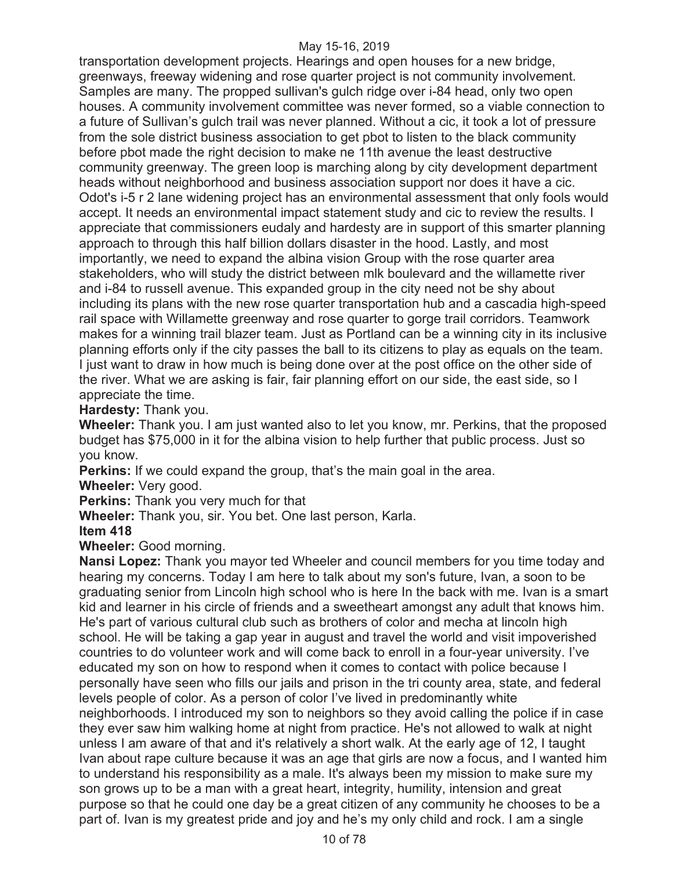transportation development projects. Hearings and open houses for a new bridge, greenways, freeway widening and rose quarter project is not community involvement. Samples are many. The propped sullivan's gulch ridge over i-84 head, only two open houses. A community involvement committee was never formed, so a viable connection to a future of Sullivan's gulch trail was never planned. Without a cic, it took a lot of pressure from the sole district business association to get pbot to listen to the black community before pbot made the right decision to make ne 11th avenue the least destructive community greenway. The green loop is marching along by city development department heads without neighborhood and business association support nor does it have a cic. Odot's i-5 r 2 lane widening project has an environmental assessment that only fools would accept. It needs an environmental impact statement study and cic to review the results. I appreciate that commissioners eudaly and hardesty are in support of this smarter planning approach to through this half billion dollars disaster in the hood. Lastly, and most importantly, we need to expand the albina vision Group with the rose quarter area stakeholders, who will study the district between mlk boulevard and the willamette river and i-84 to russell avenue. This expanded group in the city need not be shy about including its plans with the new rose quarter transportation hub and a cascadia high-speed rail space with Willamette greenway and rose quarter to gorge trail corridors. Teamwork makes for a winning trail blazer team. Just as Portland can be a winning city in its inclusive planning efforts only if the city passes the ball to its citizens to play as equals on the team. I just want to draw in how much is being done over at the post office on the other side of the river. What we are asking is fair, fair planning effort on our side, the east side, so I appreciate the time.

**Hardesty:** Thank you.

**Wheeler:** Thank you. I am just wanted also to let you know, mr. Perkins, that the proposed budget has \$75,000 in it for the albina vision to help further that public process. Just so you know.

**Perkins:** If we could expand the group, that's the main goal in the area.

**Wheeler:** Very good.

**Perkins:** Thank you very much for that

**Wheeler:** Thank you, sir. You bet. One last person, Karla.

**Item 418** 

**Wheeler:** Good morning.

**Nansi Lopez:** Thank you mayor ted Wheeler and council members for you time today and hearing my concerns. Today I am here to talk about my son's future, Ivan, a soon to be graduating senior from Lincoln high school who is here In the back with me. Ivan is a smart kid and learner in his circle of friends and a sweetheart amongst any adult that knows him. He's part of various cultural club such as brothers of color and mecha at lincoln high school. He will be taking a gap year in august and travel the world and visit impoverished countries to do volunteer work and will come back to enroll in a four-year university. I've educated my son on how to respond when it comes to contact with police because I personally have seen who fills our jails and prison in the tri county area, state, and federal levels people of color. As a person of color I've lived in predominantly white neighborhoods. I introduced my son to neighbors so they avoid calling the police if in case they ever saw him walking home at night from practice. He's not allowed to walk at night unless I am aware of that and it's relatively a short walk. At the early age of 12, I taught Ivan about rape culture because it was an age that girls are now a focus, and I wanted him to understand his responsibility as a male. It's always been my mission to make sure my son grows up to be a man with a great heart, integrity, humility, intension and great purpose so that he could one day be a great citizen of any community he chooses to be a part of. Ivan is my greatest pride and joy and he's my only child and rock. I am a single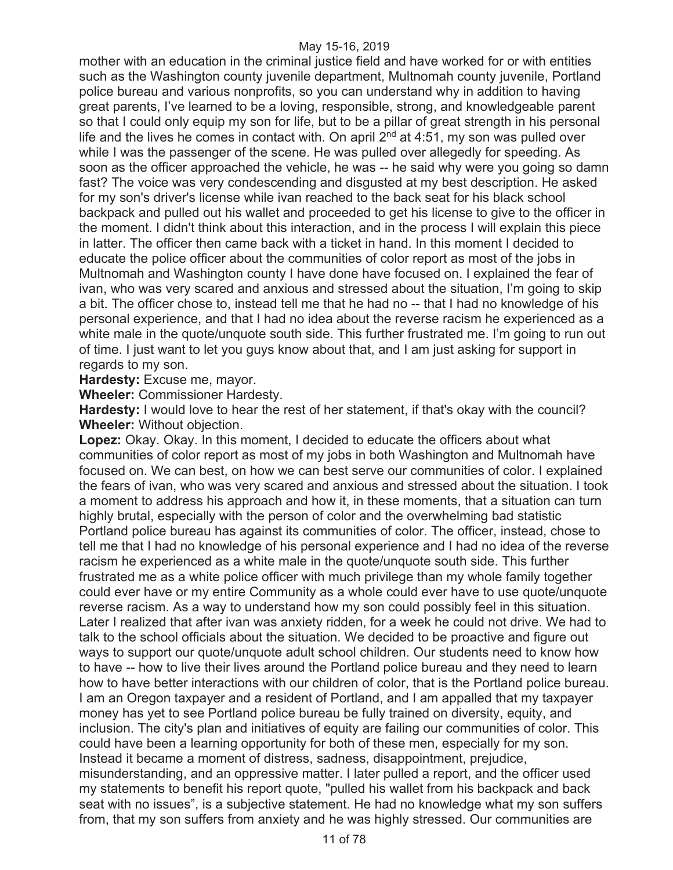mother with an education in the criminal justice field and have worked for or with entities such as the Washington county juvenile department, Multnomah county juvenile, Portland police bureau and various nonprofits, so you can understand why in addition to having great parents, I've learned to be a loving, responsible, strong, and knowledgeable parent so that I could only equip my son for life, but to be a pillar of great strength in his personal life and the lives he comes in contact with. On april  $2<sup>nd</sup>$  at 4:51, my son was pulled over while I was the passenger of the scene. He was pulled over allegedly for speeding. As soon as the officer approached the vehicle, he was -- he said why were you going so damn fast? The voice was very condescending and disgusted at my best description. He asked for my son's driver's license while ivan reached to the back seat for his black school backpack and pulled out his wallet and proceeded to get his license to give to the officer in the moment. I didn't think about this interaction, and in the process I will explain this piece in latter. The officer then came back with a ticket in hand. In this moment I decided to educate the police officer about the communities of color report as most of the jobs in Multnomah and Washington county I have done have focused on. I explained the fear of ivan, who was very scared and anxious and stressed about the situation, I'm going to skip a bit. The officer chose to, instead tell me that he had no -- that I had no knowledge of his personal experience, and that I had no idea about the reverse racism he experienced as a white male in the quote/unquote south side. This further frustrated me. I'm going to run out of time. I just want to let you guys know about that, and I am just asking for support in regards to my son.

**Hardesty:** Excuse me, mayor.

**Wheeler:** Commissioner Hardesty.

**Hardesty:** I would love to hear the rest of her statement, if that's okay with the council? **Wheeler:** Without objection.

**Lopez:** Okay. Okay. In this moment, I decided to educate the officers about what communities of color report as most of my jobs in both Washington and Multnomah have focused on. We can best, on how we can best serve our communities of color. I explained the fears of ivan, who was very scared and anxious and stressed about the situation. I took a moment to address his approach and how it, in these moments, that a situation can turn highly brutal, especially with the person of color and the overwhelming bad statistic Portland police bureau has against its communities of color. The officer, instead, chose to tell me that I had no knowledge of his personal experience and I had no idea of the reverse racism he experienced as a white male in the quote/unquote south side. This further frustrated me as a white police officer with much privilege than my whole family together could ever have or my entire Community as a whole could ever have to use quote/unquote reverse racism. As a way to understand how my son could possibly feel in this situation. Later I realized that after ivan was anxiety ridden, for a week he could not drive. We had to talk to the school officials about the situation. We decided to be proactive and figure out ways to support our quote/unquote adult school children. Our students need to know how to have -- how to live their lives around the Portland police bureau and they need to learn how to have better interactions with our children of color, that is the Portland police bureau. I am an Oregon taxpayer and a resident of Portland, and I am appalled that my taxpayer money has yet to see Portland police bureau be fully trained on diversity, equity, and inclusion. The city's plan and initiatives of equity are failing our communities of color. This could have been a learning opportunity for both of these men, especially for my son. Instead it became a moment of distress, sadness, disappointment, prejudice, misunderstanding, and an oppressive matter. I later pulled a report, and the officer used my statements to benefit his report quote, "pulled his wallet from his backpack and back seat with no issues", is a subjective statement. He had no knowledge what my son suffers from, that my son suffers from anxiety and he was highly stressed. Our communities are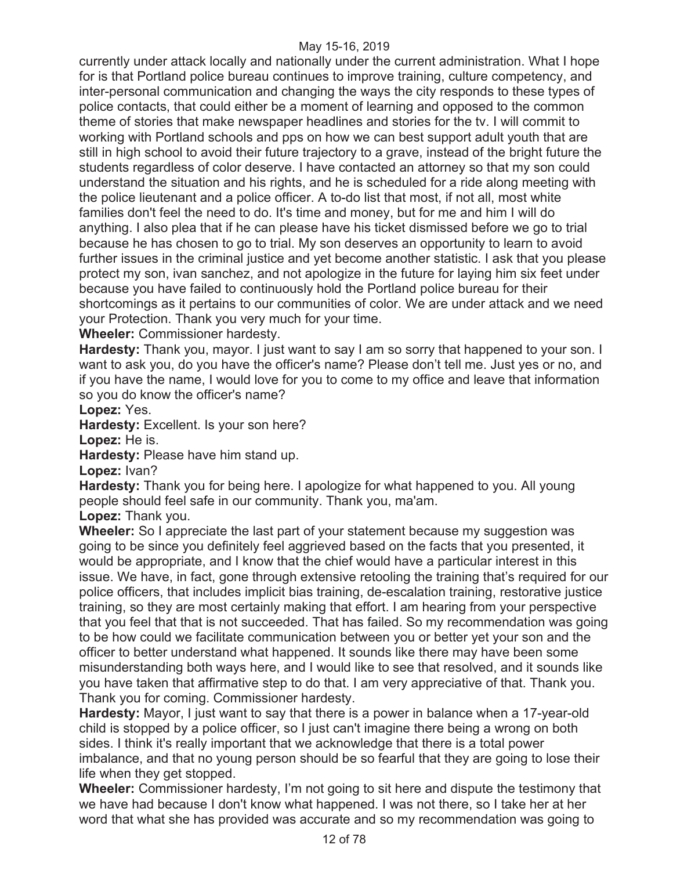currently under attack locally and nationally under the current administration. What I hope for is that Portland police bureau continues to improve training, culture competency, and inter-personal communication and changing the ways the city responds to these types of police contacts, that could either be a moment of learning and opposed to the common theme of stories that make newspaper headlines and stories for the tv. I will commit to working with Portland schools and pps on how we can best support adult youth that are still in high school to avoid their future trajectory to a grave, instead of the bright future the students regardless of color deserve. I have contacted an attorney so that my son could understand the situation and his rights, and he is scheduled for a ride along meeting with the police lieutenant and a police officer. A to-do list that most, if not all, most white families don't feel the need to do. It's time and money, but for me and him I will do anything. I also plea that if he can please have his ticket dismissed before we go to trial because he has chosen to go to trial. My son deserves an opportunity to learn to avoid further issues in the criminal justice and yet become another statistic. I ask that you please protect my son, ivan sanchez, and not apologize in the future for laying him six feet under because you have failed to continuously hold the Portland police bureau for their shortcomings as it pertains to our communities of color. We are under attack and we need your Protection. Thank you very much for your time.

**Wheeler:** Commissioner hardesty.

**Hardesty:** Thank you, mayor. I just want to say I am so sorry that happened to your son. I want to ask you, do you have the officer's name? Please don't tell me. Just yes or no, and if you have the name, I would love for you to come to my office and leave that information so you do know the officer's name?

**Lopez:** Yes.

**Hardesty:** Excellent. Is your son here?

**Lopez:** He is.

**Hardesty:** Please have him stand up.

**Lopez:** Ivan?

**Hardesty:** Thank you for being here. I apologize for what happened to you. All young people should feel safe in our community. Thank you, ma'am.

**Lopez:** Thank you.

**Wheeler:** So I appreciate the last part of your statement because my suggestion was going to be since you definitely feel aggrieved based on the facts that you presented, it would be appropriate, and I know that the chief would have a particular interest in this issue. We have, in fact, gone through extensive retooling the training that's required for our police officers, that includes implicit bias training, de-escalation training, restorative justice training, so they are most certainly making that effort. I am hearing from your perspective that you feel that that is not succeeded. That has failed. So my recommendation was going to be how could we facilitate communication between you or better yet your son and the officer to better understand what happened. It sounds like there may have been some misunderstanding both ways here, and I would like to see that resolved, and it sounds like you have taken that affirmative step to do that. I am very appreciative of that. Thank you. Thank you for coming. Commissioner hardesty.

**Hardesty:** Mayor, I just want to say that there is a power in balance when a 17-year-old child is stopped by a police officer, so I just can't imagine there being a wrong on both sides. I think it's really important that we acknowledge that there is a total power imbalance, and that no young person should be so fearful that they are going to lose their life when they get stopped.

**Wheeler:** Commissioner hardesty, I'm not going to sit here and dispute the testimony that we have had because I don't know what happened. I was not there, so I take her at her word that what she has provided was accurate and so my recommendation was going to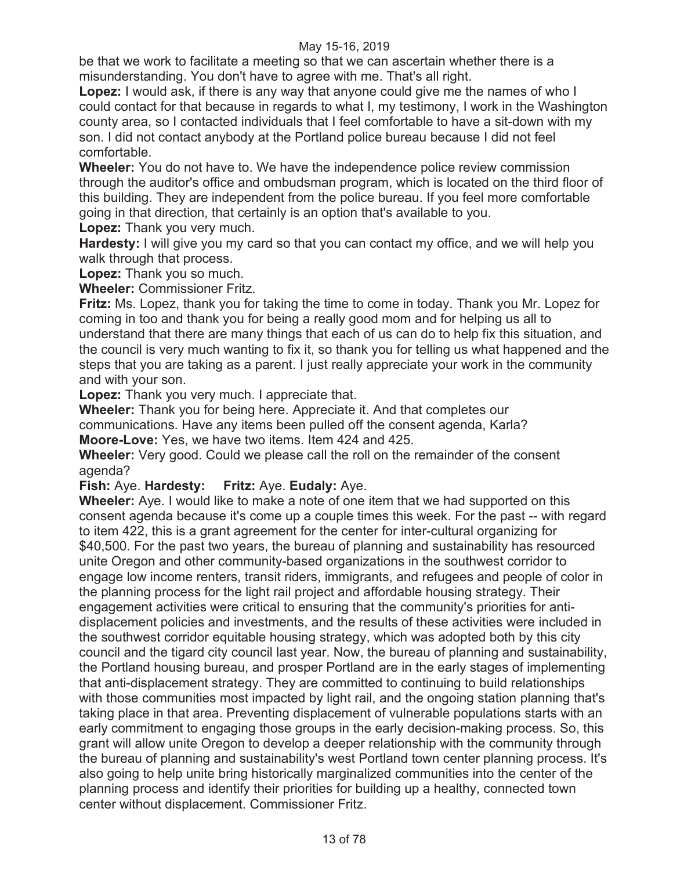be that we work to facilitate a meeting so that we can ascertain whether there is a misunderstanding. You don't have to agree with me. That's all right.

**Lopez:** I would ask, if there is any way that anyone could give me the names of who I could contact for that because in regards to what I, my testimony, I work in the Washington county area, so I contacted individuals that I feel comfortable to have a sit-down with my son. I did not contact anybody at the Portland police bureau because I did not feel comfortable.

**Wheeler:** You do not have to. We have the independence police review commission through the auditor's office and ombudsman program, which is located on the third floor of this building. They are independent from the police bureau. If you feel more comfortable going in that direction, that certainly is an option that's available to you. **Lopez:** Thank you very much.

**Hardesty:** I will give you my card so that you can contact my office, and we will help you walk through that process.

**Lopez:** Thank you so much.

**Wheeler:** Commissioner Fritz.

**Fritz:** Ms. Lopez, thank you for taking the time to come in today. Thank you Mr. Lopez for coming in too and thank you for being a really good mom and for helping us all to understand that there are many things that each of us can do to help fix this situation, and the council is very much wanting to fix it, so thank you for telling us what happened and the steps that you are taking as a parent. I just really appreciate your work in the community and with your son.

**Lopez:** Thank you very much. I appreciate that.

**Wheeler:** Thank you for being here. Appreciate it. And that completes our communications. Have any items been pulled off the consent agenda, Karla?

**Moore-Love:** Yes, we have two items. Item 424 and 425.

**Wheeler:** Very good. Could we please call the roll on the remainder of the consent agenda?

**Fish:** Aye. **Hardesty: Fritz:** Aye. **Eudaly:** Aye.

**Wheeler:** Aye. I would like to make a note of one item that we had supported on this consent agenda because it's come up a couple times this week. For the past -- with regard to item 422, this is a grant agreement for the center for inter-cultural organizing for \$40,500. For the past two years, the bureau of planning and sustainability has resourced unite Oregon and other community-based organizations in the southwest corridor to engage low income renters, transit riders, immigrants, and refugees and people of color in the planning process for the light rail project and affordable housing strategy. Their engagement activities were critical to ensuring that the community's priorities for antidisplacement policies and investments, and the results of these activities were included in the southwest corridor equitable housing strategy, which was adopted both by this city council and the tigard city council last year. Now, the bureau of planning and sustainability, the Portland housing bureau, and prosper Portland are in the early stages of implementing that anti-displacement strategy. They are committed to continuing to build relationships with those communities most impacted by light rail, and the ongoing station planning that's taking place in that area. Preventing displacement of vulnerable populations starts with an early commitment to engaging those groups in the early decision-making process. So, this grant will allow unite Oregon to develop a deeper relationship with the community through the bureau of planning and sustainability's west Portland town center planning process. It's also going to help unite bring historically marginalized communities into the center of the planning process and identify their priorities for building up a healthy, connected town center without displacement. Commissioner Fritz.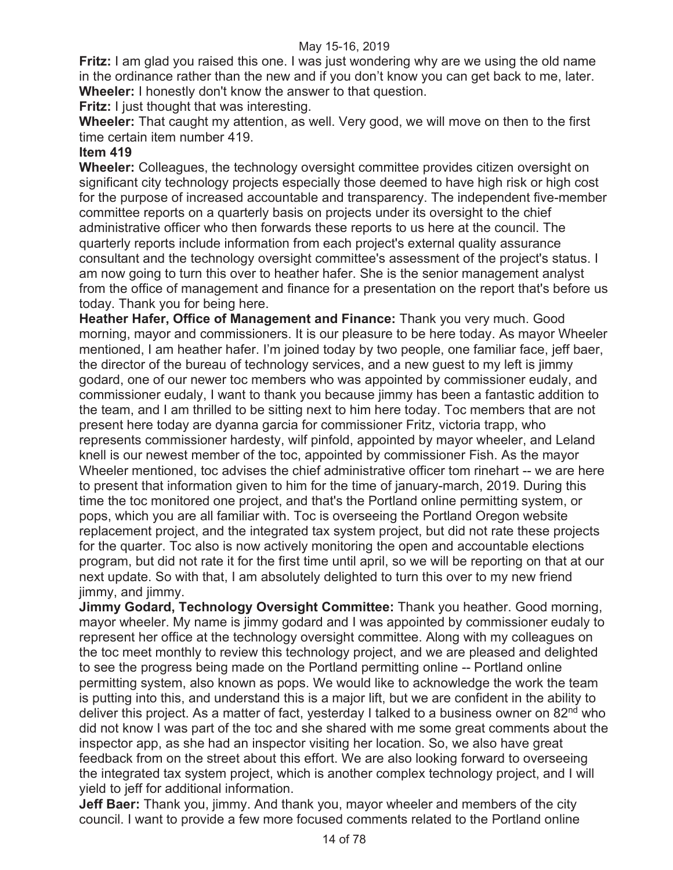**Fritz:** I am glad you raised this one. I was just wondering why are we using the old name in the ordinance rather than the new and if you don't know you can get back to me, later. **Wheeler:** I honestly don't know the answer to that question.

**Fritz:** I just thought that was interesting.

**Wheeler:** That caught my attention, as well. Very good, we will move on then to the first time certain item number 419.

# **Item 419**

**Wheeler:** Colleagues, the technology oversight committee provides citizen oversight on significant city technology projects especially those deemed to have high risk or high cost for the purpose of increased accountable and transparency. The independent five-member committee reports on a quarterly basis on projects under its oversight to the chief administrative officer who then forwards these reports to us here at the council. The quarterly reports include information from each project's external quality assurance consultant and the technology oversight committee's assessment of the project's status. I am now going to turn this over to heather hafer. She is the senior management analyst from the office of management and finance for a presentation on the report that's before us today. Thank you for being here.

**Heather Hafer, Office of Management and Finance:** Thank you very much. Good morning, mayor and commissioners. It is our pleasure to be here today. As mayor Wheeler mentioned, I am heather hafer. I'm joined today by two people, one familiar face, jeff baer, the director of the bureau of technology services, and a new guest to my left is jimmy godard, one of our newer toc members who was appointed by commissioner eudaly, and commissioner eudaly, I want to thank you because jimmy has been a fantastic addition to the team, and I am thrilled to be sitting next to him here today. Toc members that are not present here today are dyanna garcia for commissioner Fritz, victoria trapp, who represents commissioner hardesty, wilf pinfold, appointed by mayor wheeler, and Leland knell is our newest member of the toc, appointed by commissioner Fish. As the mayor Wheeler mentioned, toc advises the chief administrative officer tom rinehart -- we are here to present that information given to him for the time of january-march, 2019. During this time the toc monitored one project, and that's the Portland online permitting system, or pops, which you are all familiar with. Toc is overseeing the Portland Oregon website replacement project, and the integrated tax system project, but did not rate these projects for the quarter. Toc also is now actively monitoring the open and accountable elections program, but did not rate it for the first time until april, so we will be reporting on that at our next update. So with that, I am absolutely delighted to turn this over to my new friend jimmy, and jimmy.

**Jimmy Godard, Technology Oversight Committee:** Thank you heather. Good morning, mayor wheeler. My name is jimmy godard and I was appointed by commissioner eudaly to represent her office at the technology oversight committee. Along with my colleagues on the toc meet monthly to review this technology project, and we are pleased and delighted to see the progress being made on the Portland permitting online -- Portland online permitting system, also known as pops. We would like to acknowledge the work the team is putting into this, and understand this is a major lift, but we are confident in the ability to deliver this project. As a matter of fact, yesterday I talked to a business owner on 82<sup>nd</sup> who did not know I was part of the toc and she shared with me some great comments about the inspector app, as she had an inspector visiting her location. So, we also have great feedback from on the street about this effort. We are also looking forward to overseeing the integrated tax system project, which is another complex technology project, and I will yield to jeff for additional information.

**Jeff Baer:** Thank you, jimmy. And thank you, mayor wheeler and members of the city council. I want to provide a few more focused comments related to the Portland online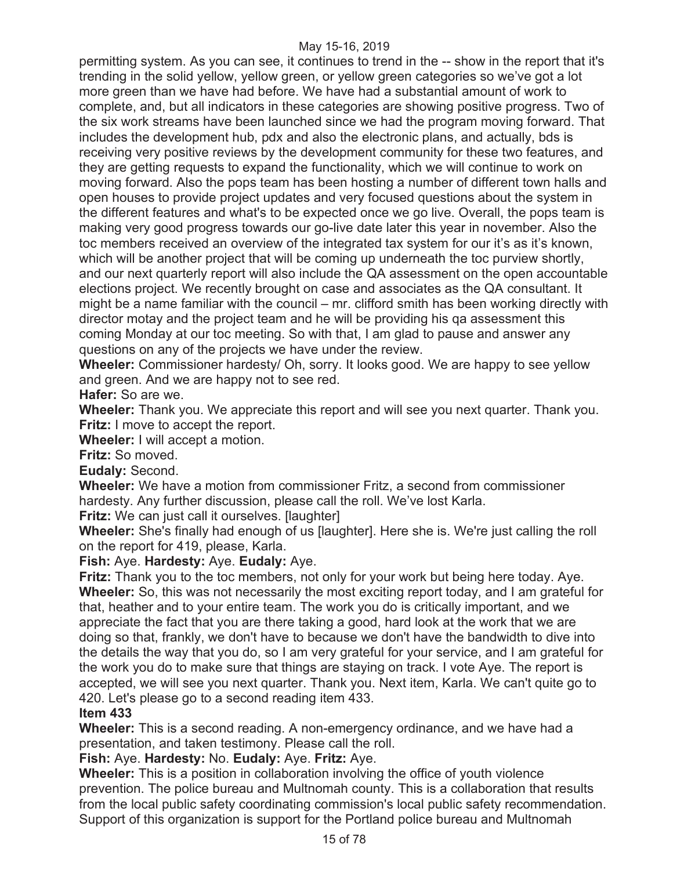permitting system. As you can see, it continues to trend in the -- show in the report that it's trending in the solid yellow, yellow green, or yellow green categories so we've got a lot more green than we have had before. We have had a substantial amount of work to complete, and, but all indicators in these categories are showing positive progress. Two of the six work streams have been launched since we had the program moving forward. That includes the development hub, pdx and also the electronic plans, and actually, bds is receiving very positive reviews by the development community for these two features, and they are getting requests to expand the functionality, which we will continue to work on moving forward. Also the pops team has been hosting a number of different town halls and open houses to provide project updates and very focused questions about the system in the different features and what's to be expected once we go live. Overall, the pops team is making very good progress towards our go-live date later this year in november. Also the toc members received an overview of the integrated tax system for our it's as it's known, which will be another project that will be coming up underneath the toc purview shortly, and our next quarterly report will also include the QA assessment on the open accountable elections project. We recently brought on case and associates as the QA consultant. It might be a name familiar with the council – mr. clifford smith has been working directly with director motay and the project team and he will be providing his qa assessment this coming Monday at our toc meeting. So with that, I am glad to pause and answer any questions on any of the projects we have under the review.

**Wheeler:** Commissioner hardesty/ Oh, sorry. It looks good. We are happy to see yellow and green. And we are happy not to see red.

**Hafer:** So are we.

**Wheeler:** Thank you. We appreciate this report and will see you next quarter. Thank you. **Fritz:** I move to accept the report.

**Wheeler:** I will accept a motion.

**Fritz:** So moved.

**Eudaly:** Second.

**Wheeler:** We have a motion from commissioner Fritz, a second from commissioner hardesty. Any further discussion, please call the roll. We've lost Karla.

**Fritz:** We can just call it ourselves. Ilaughter

**Wheeler:** She's finally had enough of us [laughter]. Here she is. We're just calling the roll on the report for 419, please, Karla.

**Fish:** Aye. **Hardesty:** Aye. **Eudaly:** Aye.

**Fritz:** Thank you to the toc members, not only for your work but being here today. Aye. **Wheeler:** So, this was not necessarily the most exciting report today, and I am grateful for that, heather and to your entire team. The work you do is critically important, and we appreciate the fact that you are there taking a good, hard look at the work that we are doing so that, frankly, we don't have to because we don't have the bandwidth to dive into the details the way that you do, so I am very grateful for your service, and I am grateful for the work you do to make sure that things are staying on track. I vote Aye. The report is accepted, we will see you next quarter. Thank you. Next item, Karla. We can't quite go to 420. Let's please go to a second reading item 433.

#### **Item 433**

**Wheeler:** This is a second reading. A non-emergency ordinance, and we have had a presentation, and taken testimony. Please call the roll.

# **Fish:** Aye. **Hardesty:** No. **Eudaly:** Aye. **Fritz:** Aye.

**Wheeler:** This is a position in collaboration involving the office of youth violence prevention. The police bureau and Multnomah county. This is a collaboration that results from the local public safety coordinating commission's local public safety recommendation. Support of this organization is support for the Portland police bureau and Multnomah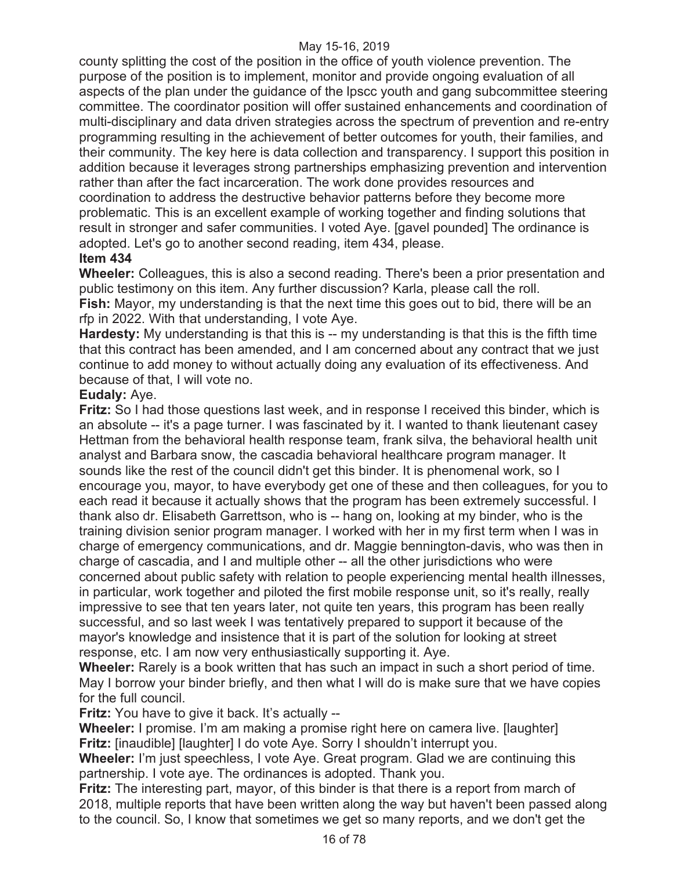county splitting the cost of the position in the office of youth violence prevention. The purpose of the position is to implement, monitor and provide ongoing evaluation of all aspects of the plan under the guidance of the lpscc youth and gang subcommittee steering committee. The coordinator position will offer sustained enhancements and coordination of multi-disciplinary and data driven strategies across the spectrum of prevention and re-entry programming resulting in the achievement of better outcomes for youth, their families, and their community. The key here is data collection and transparency. I support this position in addition because it leverages strong partnerships emphasizing prevention and intervention rather than after the fact incarceration. The work done provides resources and coordination to address the destructive behavior patterns before they become more problematic. This is an excellent example of working together and finding solutions that result in stronger and safer communities. I voted Aye. [gavel pounded] The ordinance is adopted. Let's go to another second reading, item 434, please.

# **Item 434**

**Wheeler:** Colleagues, this is also a second reading. There's been a prior presentation and public testimony on this item. Any further discussion? Karla, please call the roll. **Fish:** Mayor, my understanding is that the next time this goes out to bid, there will be an rfp in 2022. With that understanding, I vote Aye.

**Hardesty:** My understanding is that this is -- my understanding is that this is the fifth time that this contract has been amended, and I am concerned about any contract that we just continue to add money to without actually doing any evaluation of its effectiveness. And because of that, I will vote no.

# **Eudaly:** Aye.

**Fritz:** So I had those questions last week, and in response I received this binder, which is an absolute -- it's a page turner. I was fascinated by it. I wanted to thank lieutenant casey Hettman from the behavioral health response team, frank silva, the behavioral health unit analyst and Barbara snow, the cascadia behavioral healthcare program manager. It sounds like the rest of the council didn't get this binder. It is phenomenal work, so I encourage you, mayor, to have everybody get one of these and then colleagues, for you to each read it because it actually shows that the program has been extremely successful. I thank also dr. Elisabeth Garrettson, who is -- hang on, looking at my binder, who is the training division senior program manager. I worked with her in my first term when I was in charge of emergency communications, and dr. Maggie bennington-davis, who was then in charge of cascadia, and I and multiple other -- all the other jurisdictions who were concerned about public safety with relation to people experiencing mental health illnesses, in particular, work together and piloted the first mobile response unit, so it's really, really impressive to see that ten years later, not quite ten years, this program has been really successful, and so last week I was tentatively prepared to support it because of the mayor's knowledge and insistence that it is part of the solution for looking at street response, etc. I am now very enthusiastically supporting it. Aye.

**Wheeler:** Rarely is a book written that has such an impact in such a short period of time. May I borrow your binder briefly, and then what I will do is make sure that we have copies for the full council.

**Fritz:** You have to give it back. It's actually --

**Wheeler:** I promise. I'm am making a promise right here on camera live. [laughter] **Fritz:** [inaudible] [laughter] I do vote Aye. Sorry I shouldn't interrupt you.

**Wheeler:** I'm just speechless, I vote Aye. Great program. Glad we are continuing this partnership. I vote aye. The ordinances is adopted. Thank you.

**Fritz:** The interesting part, mayor, of this binder is that there is a report from march of 2018, multiple reports that have been written along the way but haven't been passed along to the council. So, I know that sometimes we get so many reports, and we don't get the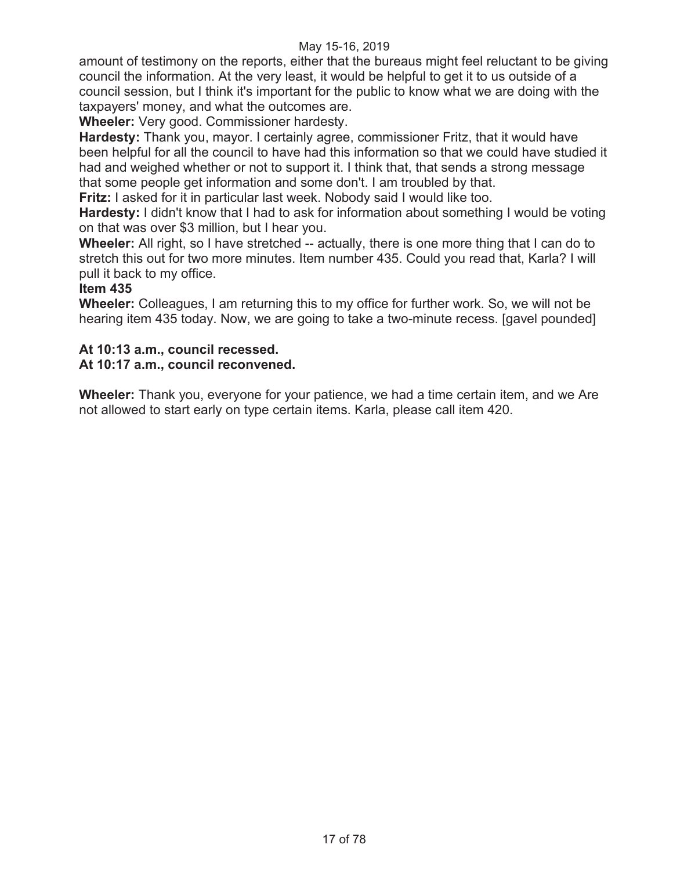amount of testimony on the reports, either that the bureaus might feel reluctant to be giving council the information. At the very least, it would be helpful to get it to us outside of a council session, but I think it's important for the public to know what we are doing with the taxpayers' money, and what the outcomes are.

**Wheeler:** Very good. Commissioner hardesty.

**Hardesty:** Thank you, mayor. I certainly agree, commissioner Fritz, that it would have been helpful for all the council to have had this information so that we could have studied it had and weighed whether or not to support it. I think that, that sends a strong message that some people get information and some don't. I am troubled by that.

**Fritz:** I asked for it in particular last week. Nobody said I would like too.

**Hardesty:** I didn't know that I had to ask for information about something I would be voting on that was over \$3 million, but I hear you.

**Wheeler:** All right, so I have stretched -- actually, there is one more thing that I can do to stretch this out for two more minutes. Item number 435. Could you read that, Karla? I will pull it back to my office.

#### **Item 435**

**Wheeler:** Colleagues, I am returning this to my office for further work. So, we will not be hearing item 435 today. Now, we are going to take a two-minute recess. [gavel pounded]

# **At 10:13 a.m., council recessed.**

#### **At 10:17 a.m., council reconvened.**

**Wheeler:** Thank you, everyone for your patience, we had a time certain item, and we Are not allowed to start early on type certain items. Karla, please call item 420.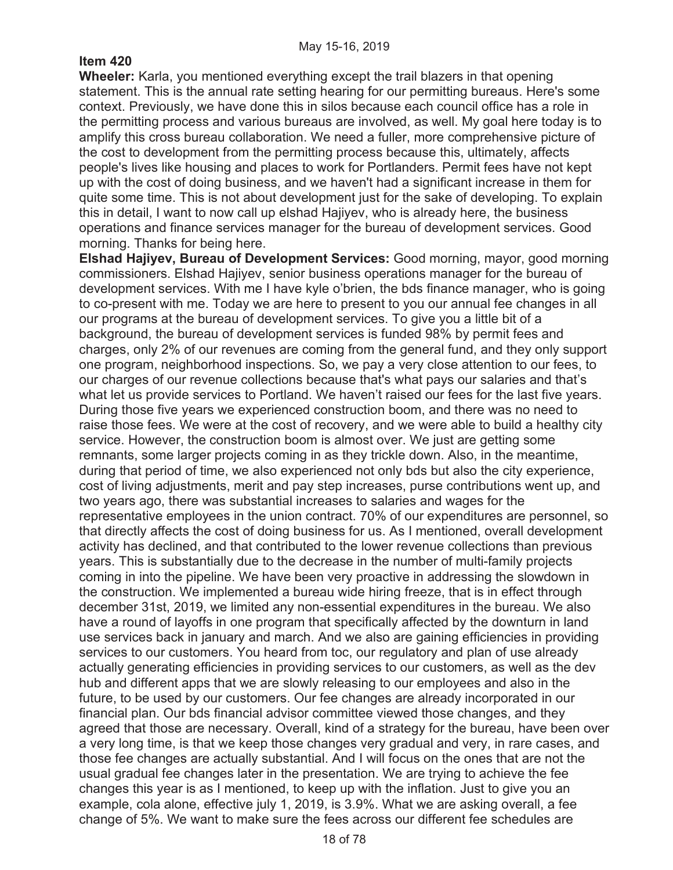# **Item 420**

**Wheeler:** Karla, you mentioned everything except the trail blazers in that opening statement. This is the annual rate setting hearing for our permitting bureaus. Here's some context. Previously, we have done this in silos because each council office has a role in the permitting process and various bureaus are involved, as well. My goal here today is to amplify this cross bureau collaboration. We need a fuller, more comprehensive picture of the cost to development from the permitting process because this, ultimately, affects people's lives like housing and places to work for Portlanders. Permit fees have not kept up with the cost of doing business, and we haven't had a significant increase in them for quite some time. This is not about development just for the sake of developing. To explain this in detail, I want to now call up elshad Hajiyev, who is already here, the business operations and finance services manager for the bureau of development services. Good morning. Thanks for being here.

**Elshad Hajiyev, Bureau of Development Services:** Good morning, mayor, good morning commissioners. Elshad Hajiyev, senior business operations manager for the bureau of development services. With me I have kyle o'brien, the bds finance manager, who is going to co-present with me. Today we are here to present to you our annual fee changes in all our programs at the bureau of development services. To give you a little bit of a background, the bureau of development services is funded 98% by permit fees and charges, only 2% of our revenues are coming from the general fund, and they only support one program, neighborhood inspections. So, we pay a very close attention to our fees, to our charges of our revenue collections because that's what pays our salaries and that's what let us provide services to Portland. We haven't raised our fees for the last five years. During those five years we experienced construction boom, and there was no need to raise those fees. We were at the cost of recovery, and we were able to build a healthy city service. However, the construction boom is almost over. We just are getting some remnants, some larger projects coming in as they trickle down. Also, in the meantime, during that period of time, we also experienced not only bds but also the city experience, cost of living adjustments, merit and pay step increases, purse contributions went up, and two years ago, there was substantial increases to salaries and wages for the representative employees in the union contract. 70% of our expenditures are personnel, so that directly affects the cost of doing business for us. As I mentioned, overall development activity has declined, and that contributed to the lower revenue collections than previous years. This is substantially due to the decrease in the number of multi-family projects coming in into the pipeline. We have been very proactive in addressing the slowdown in the construction. We implemented a bureau wide hiring freeze, that is in effect through december 31st, 2019, we limited any non-essential expenditures in the bureau. We also have a round of layoffs in one program that specifically affected by the downturn in land use services back in january and march. And we also are gaining efficiencies in providing services to our customers. You heard from toc, our regulatory and plan of use already actually generating efficiencies in providing services to our customers, as well as the dev hub and different apps that we are slowly releasing to our employees and also in the future, to be used by our customers. Our fee changes are already incorporated in our financial plan. Our bds financial advisor committee viewed those changes, and they agreed that those are necessary. Overall, kind of a strategy for the bureau, have been over a very long time, is that we keep those changes very gradual and very, in rare cases, and those fee changes are actually substantial. And I will focus on the ones that are not the usual gradual fee changes later in the presentation. We are trying to achieve the fee changes this year is as I mentioned, to keep up with the inflation. Just to give you an example, cola alone, effective july 1, 2019, is 3.9%. What we are asking overall, a fee change of 5%. We want to make sure the fees across our different fee schedules are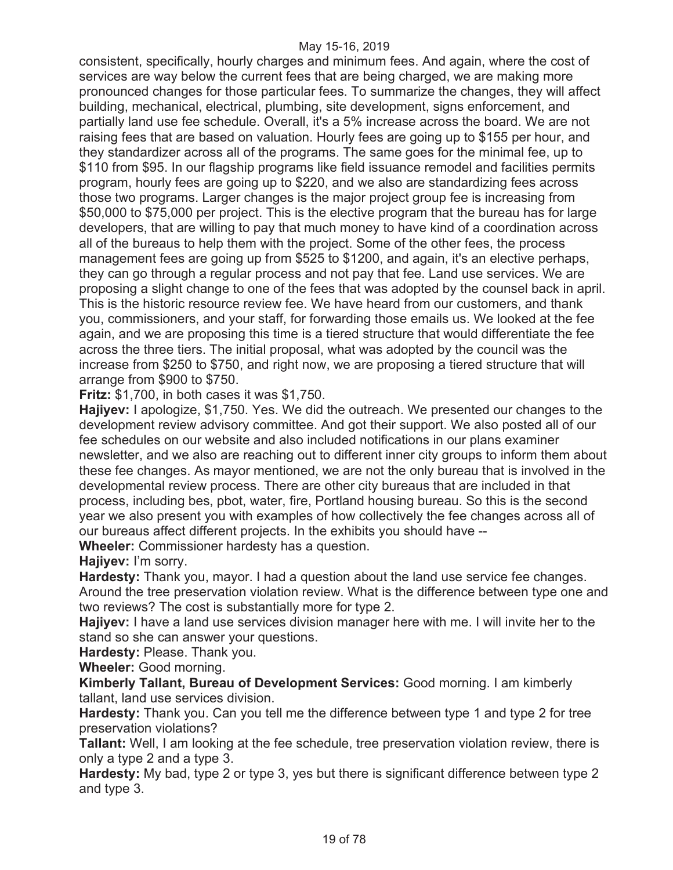consistent, specifically, hourly charges and minimum fees. And again, where the cost of services are way below the current fees that are being charged, we are making more pronounced changes for those particular fees. To summarize the changes, they will affect building, mechanical, electrical, plumbing, site development, signs enforcement, and partially land use fee schedule. Overall, it's a 5% increase across the board. We are not raising fees that are based on valuation. Hourly fees are going up to \$155 per hour, and they standardizer across all of the programs. The same goes for the minimal fee, up to \$110 from \$95. In our flagship programs like field issuance remodel and facilities permits program, hourly fees are going up to \$220, and we also are standardizing fees across those two programs. Larger changes is the major project group fee is increasing from \$50,000 to \$75,000 per project. This is the elective program that the bureau has for large developers, that are willing to pay that much money to have kind of a coordination across all of the bureaus to help them with the project. Some of the other fees, the process management fees are going up from \$525 to \$1200, and again, it's an elective perhaps, they can go through a regular process and not pay that fee. Land use services. We are proposing a slight change to one of the fees that was adopted by the counsel back in april. This is the historic resource review fee. We have heard from our customers, and thank you, commissioners, and your staff, for forwarding those emails us. We looked at the fee again, and we are proposing this time is a tiered structure that would differentiate the fee across the three tiers. The initial proposal, what was adopted by the council was the increase from \$250 to \$750, and right now, we are proposing a tiered structure that will arrange from \$900 to \$750.

**Fritz:** \$1,700, in both cases it was \$1,750.

**Hajiyev:** I apologize, \$1,750. Yes. We did the outreach. We presented our changes to the development review advisory committee. And got their support. We also posted all of our fee schedules on our website and also included notifications in our plans examiner newsletter, and we also are reaching out to different inner city groups to inform them about these fee changes. As mayor mentioned, we are not the only bureau that is involved in the developmental review process. There are other city bureaus that are included in that process, including bes, pbot, water, fire, Portland housing bureau. So this is the second year we also present you with examples of how collectively the fee changes across all of our bureaus affect different projects. In the exhibits you should have --

**Wheeler:** Commissioner hardesty has a question.

**Hajiyev:** I'm sorry.

**Hardesty:** Thank you, mayor. I had a question about the land use service fee changes. Around the tree preservation violation review. What is the difference between type one and two reviews? The cost is substantially more for type 2.

**Hajiyev:** I have a land use services division manager here with me. I will invite her to the stand so she can answer your questions.

**Hardesty:** Please. Thank you.

**Wheeler:** Good morning.

**Kimberly Tallant, Bureau of Development Services:** Good morning. I am kimberly tallant, land use services division.

**Hardesty:** Thank you. Can you tell me the difference between type 1 and type 2 for tree preservation violations?

**Tallant:** Well, I am looking at the fee schedule, tree preservation violation review, there is only a type 2 and a type 3.

**Hardesty:** My bad, type 2 or type 3, yes but there is significant difference between type 2 and type 3.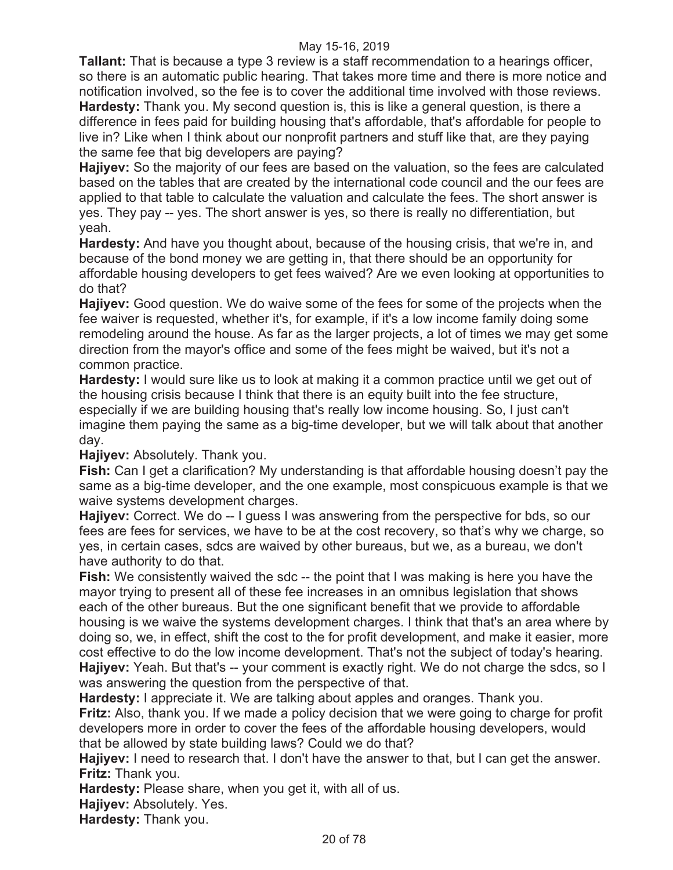**Tallant:** That is because a type 3 review is a staff recommendation to a hearings officer, so there is an automatic public hearing. That takes more time and there is more notice and notification involved, so the fee is to cover the additional time involved with those reviews. **Hardesty:** Thank you. My second question is, this is like a general question, is there a difference in fees paid for building housing that's affordable, that's affordable for people to live in? Like when I think about our nonprofit partners and stuff like that, are they paying the same fee that big developers are paying?

**Hajiyev:** So the majority of our fees are based on the valuation, so the fees are calculated based on the tables that are created by the international code council and the our fees are applied to that table to calculate the valuation and calculate the fees. The short answer is yes. They pay -- yes. The short answer is yes, so there is really no differentiation, but yeah.

**Hardesty:** And have you thought about, because of the housing crisis, that we're in, and because of the bond money we are getting in, that there should be an opportunity for affordable housing developers to get fees waived? Are we even looking at opportunities to do that?

**Hajiyev:** Good question. We do waive some of the fees for some of the projects when the fee waiver is requested, whether it's, for example, if it's a low income family doing some remodeling around the house. As far as the larger projects, a lot of times we may get some direction from the mayor's office and some of the fees might be waived, but it's not a common practice.

**Hardesty:** I would sure like us to look at making it a common practice until we get out of the housing crisis because I think that there is an equity built into the fee structure, especially if we are building housing that's really low income housing. So, I just can't imagine them paying the same as a big-time developer, but we will talk about that another day.

**Hajiyev:** Absolutely. Thank you.

**Fish:** Can I get a clarification? My understanding is that affordable housing doesn't pay the same as a big-time developer, and the one example, most conspicuous example is that we waive systems development charges.

**Hajiyev:** Correct. We do -- I guess I was answering from the perspective for bds, so our fees are fees for services, we have to be at the cost recovery, so that's why we charge, so yes, in certain cases, sdcs are waived by other bureaus, but we, as a bureau, we don't have authority to do that.

**Fish:** We consistently waived the sdc -- the point that I was making is here you have the mayor trying to present all of these fee increases in an omnibus legislation that shows each of the other bureaus. But the one significant benefit that we provide to affordable housing is we waive the systems development charges. I think that that's an area where by doing so, we, in effect, shift the cost to the for profit development, and make it easier, more cost effective to do the low income development. That's not the subject of today's hearing. **Hajiyev:** Yeah. But that's -- your comment is exactly right. We do not charge the sdcs, so I was answering the question from the perspective of that.

**Hardesty:** I appreciate it. We are talking about apples and oranges. Thank you. **Fritz:** Also, thank you. If we made a policy decision that we were going to charge for profit developers more in order to cover the fees of the affordable housing developers, would that be allowed by state building laws? Could we do that?

**Hajiyev:** I need to research that. I don't have the answer to that, but I can get the answer. **Fritz:** Thank you.

**Hardesty:** Please share, when you get it, with all of us.

**Hajiyev:** Absolutely. Yes.

**Hardesty:** Thank you.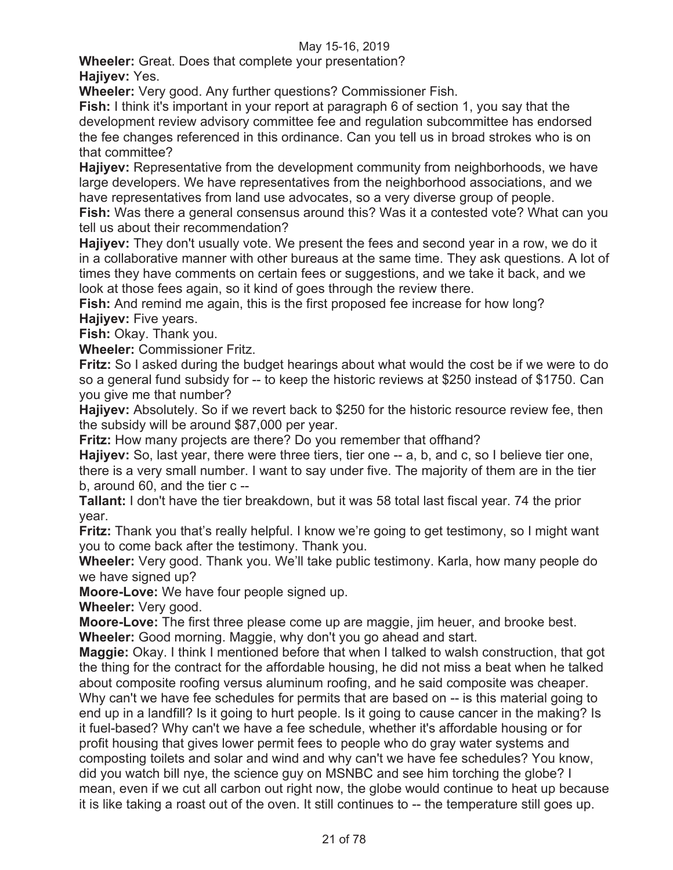**Wheeler:** Great. Does that complete your presentation? **Hajiyev:** Yes.

**Wheeler:** Very good. Any further questions? Commissioner Fish.

**Fish:** I think it's important in your report at paragraph 6 of section 1, you say that the development review advisory committee fee and regulation subcommittee has endorsed the fee changes referenced in this ordinance. Can you tell us in broad strokes who is on that committee?

**Hajiyev:** Representative from the development community from neighborhoods, we have large developers. We have representatives from the neighborhood associations, and we have representatives from land use advocates, so a very diverse group of people.

**Fish:** Was there a general consensus around this? Was it a contested vote? What can you tell us about their recommendation?

**Hajiyev:** They don't usually vote. We present the fees and second year in a row, we do it in a collaborative manner with other bureaus at the same time. They ask questions. A lot of times they have comments on certain fees or suggestions, and we take it back, and we look at those fees again, so it kind of goes through the review there.

**Fish:** And remind me again, this is the first proposed fee increase for how long? **Hajiyev:** Five years.

**Fish:** Okay. Thank you.

**Wheeler:** Commissioner Fritz.

**Fritz:** So I asked during the budget hearings about what would the cost be if we were to do so a general fund subsidy for -- to keep the historic reviews at \$250 instead of \$1750. Can you give me that number?

**Hajiyev:** Absolutely. So if we revert back to \$250 for the historic resource review fee, then the subsidy will be around \$87,000 per year.

**Fritz:** How many projects are there? Do you remember that offhand?

**Hajiyev:** So, last year, there were three tiers, tier one -- a, b, and c, so I believe tier one, there is a very small number. I want to say under five. The majority of them are in the tier b, around 60, and the tier c --

**Tallant:** I don't have the tier breakdown, but it was 58 total last fiscal year. 74 the prior year.

**Fritz:** Thank you that's really helpful. I know we're going to get testimony, so I might want you to come back after the testimony. Thank you.

**Wheeler:** Very good. Thank you. We'll take public testimony. Karla, how many people do we have signed up?

**Moore-Love:** We have four people signed up.

**Wheeler:** Very good.

**Moore-Love:** The first three please come up are maggie, jim heuer, and brooke best. **Wheeler:** Good morning. Maggie, why don't you go ahead and start.

**Maggie:** Okay. I think I mentioned before that when I talked to walsh construction, that got the thing for the contract for the affordable housing, he did not miss a beat when he talked about composite roofing versus aluminum roofing, and he said composite was cheaper. Why can't we have fee schedules for permits that are based on -- is this material going to end up in a landfill? Is it going to hurt people. Is it going to cause cancer in the making? Is it fuel-based? Why can't we have a fee schedule, whether it's affordable housing or for profit housing that gives lower permit fees to people who do gray water systems and composting toilets and solar and wind and why can't we have fee schedules? You know, did you watch bill nye, the science guy on MSNBC and see him torching the globe? I mean, even if we cut all carbon out right now, the globe would continue to heat up because it is like taking a roast out of the oven. It still continues to -- the temperature still goes up.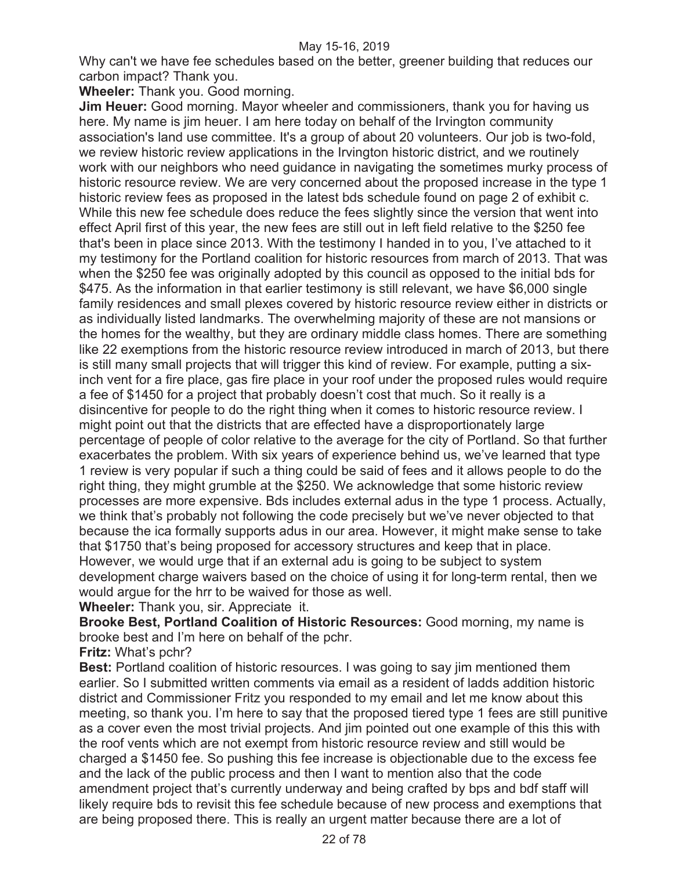Why can't we have fee schedules based on the better, greener building that reduces our carbon impact? Thank you.

**Wheeler:** Thank you. Good morning.

**Jim Heuer:** Good morning. Mayor wheeler and commissioners, thank you for having us here. My name is jim heuer. I am here today on behalf of the Irvington community association's land use committee. It's a group of about 20 volunteers. Our job is two-fold, we review historic review applications in the Irvington historic district, and we routinely work with our neighbors who need guidance in navigating the sometimes murky process of historic resource review. We are very concerned about the proposed increase in the type 1 historic review fees as proposed in the latest bds schedule found on page 2 of exhibit c. While this new fee schedule does reduce the fees slightly since the version that went into effect April first of this year, the new fees are still out in left field relative to the \$250 fee that's been in place since 2013. With the testimony I handed in to you, I've attached to it my testimony for the Portland coalition for historic resources from march of 2013. That was when the \$250 fee was originally adopted by this council as opposed to the initial bds for \$475. As the information in that earlier testimony is still relevant, we have \$6,000 single family residences and small plexes covered by historic resource review either in districts or as individually listed landmarks. The overwhelming majority of these are not mansions or the homes for the wealthy, but they are ordinary middle class homes. There are something like 22 exemptions from the historic resource review introduced in march of 2013, but there is still many small projects that will trigger this kind of review. For example, putting a sixinch vent for a fire place, gas fire place in your roof under the proposed rules would require a fee of \$1450 for a project that probably doesn't cost that much. So it really is a disincentive for people to do the right thing when it comes to historic resource review. I might point out that the districts that are effected have a disproportionately large percentage of people of color relative to the average for the city of Portland. So that further exacerbates the problem. With six years of experience behind us, we've learned that type 1 review is very popular if such a thing could be said of fees and it allows people to do the right thing, they might grumble at the \$250. We acknowledge that some historic review processes are more expensive. Bds includes external adus in the type 1 process. Actually, we think that's probably not following the code precisely but we've never objected to that because the ica formally supports adus in our area. However, it might make sense to take that \$1750 that's being proposed for accessory structures and keep that in place. However, we would urge that if an external adu is going to be subject to system development charge waivers based on the choice of using it for long-term rental, then we would argue for the hrr to be waived for those as well.

**Wheeler:** Thank you, sir. Appreciate it.

**Brooke Best, Portland Coalition of Historic Resources:** Good morning, my name is brooke best and I'm here on behalf of the pchr.

**Fritz:** What's pchr?

**Best:** Portland coalition of historic resources. I was going to say jim mentioned them earlier. So I submitted written comments via email as a resident of ladds addition historic district and Commissioner Fritz you responded to my email and let me know about this meeting, so thank you. I'm here to say that the proposed tiered type 1 fees are still punitive as a cover even the most trivial projects. And jim pointed out one example of this this with the roof vents which are not exempt from historic resource review and still would be charged a \$1450 fee. So pushing this fee increase is objectionable due to the excess fee and the lack of the public process and then I want to mention also that the code amendment project that's currently underway and being crafted by bps and bdf staff will likely require bds to revisit this fee schedule because of new process and exemptions that are being proposed there. This is really an urgent matter because there are a lot of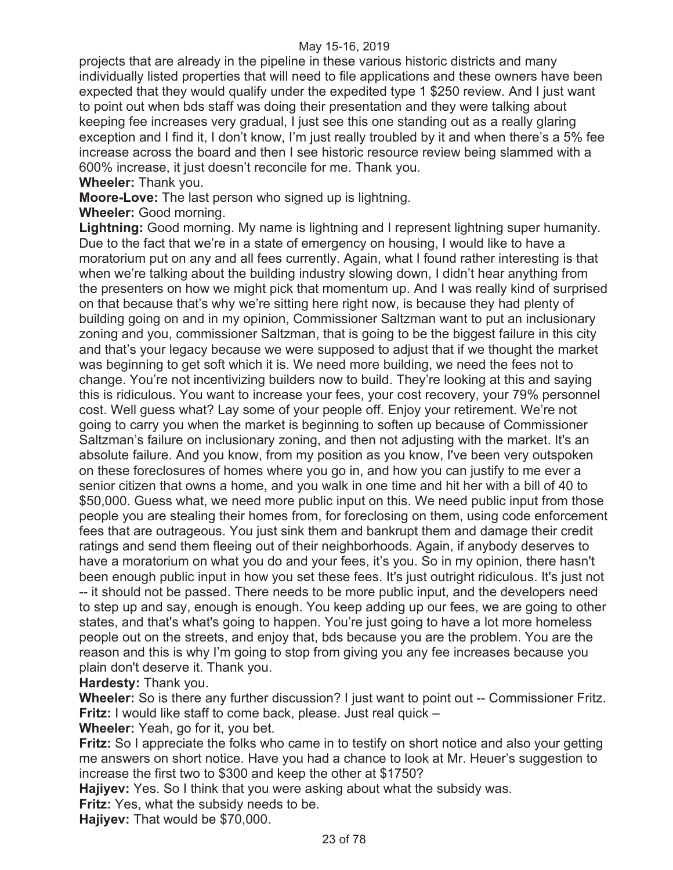projects that are already in the pipeline in these various historic districts and many individually listed properties that will need to file applications and these owners have been expected that they would qualify under the expedited type 1 \$250 review. And I just want to point out when bds staff was doing their presentation and they were talking about keeping fee increases very gradual, I just see this one standing out as a really glaring exception and I find it, I don't know, I'm just really troubled by it and when there's a 5% fee increase across the board and then I see historic resource review being slammed with a 600% increase, it just doesn't reconcile for me. Thank you.

**Wheeler:** Thank you.

**Moore-Love:** The last person who signed up is lightning.

**Wheeler:** Good morning.

**Lightning:** Good morning. My name is lightning and I represent lightning super humanity. Due to the fact that we're in a state of emergency on housing, I would like to have a moratorium put on any and all fees currently. Again, what I found rather interesting is that when we're talking about the building industry slowing down, I didn't hear anything from the presenters on how we might pick that momentum up. And I was really kind of surprised on that because that's why we're sitting here right now, is because they had plenty of building going on and in my opinion, Commissioner Saltzman want to put an inclusionary zoning and you, commissioner Saltzman, that is going to be the biggest failure in this city and that's your legacy because we were supposed to adjust that if we thought the market was beginning to get soft which it is. We need more building, we need the fees not to change. You're not incentivizing builders now to build. They're looking at this and saying this is ridiculous. You want to increase your fees, your cost recovery, your 79% personnel cost. Well guess what? Lay some of your people off. Enjoy your retirement. We're not going to carry you when the market is beginning to soften up because of Commissioner Saltzman's failure on inclusionary zoning, and then not adjusting with the market. It's an absolute failure. And you know, from my position as you know, I've been very outspoken on these foreclosures of homes where you go in, and how you can justify to me ever a senior citizen that owns a home, and you walk in one time and hit her with a bill of 40 to \$50,000. Guess what, we need more public input on this. We need public input from those people you are stealing their homes from, for foreclosing on them, using code enforcement fees that are outrageous. You just sink them and bankrupt them and damage their credit ratings and send them fleeing out of their neighborhoods. Again, if anybody deserves to have a moratorium on what you do and your fees, it's you. So in my opinion, there hasn't been enough public input in how you set these fees. It's just outright ridiculous. It's just not -- it should not be passed. There needs to be more public input, and the developers need to step up and say, enough is enough. You keep adding up our fees, we are going to other states, and that's what's going to happen. You're just going to have a lot more homeless people out on the streets, and enjoy that, bds because you are the problem. You are the reason and this is why I'm going to stop from giving you any fee increases because you plain don't deserve it. Thank you.

**Hardesty:** Thank you.

**Wheeler:** So is there any further discussion? I just want to point out -- Commissioner Fritz. **Fritz:** I would like staff to come back, please. Just real quick –

**Wheeler:** Yeah, go for it, you bet.

**Fritz:** So I appreciate the folks who came in to testify on short notice and also your getting me answers on short notice. Have you had a chance to look at Mr. Heuer's suggestion to increase the first two to \$300 and keep the other at \$1750?

**Hajiyev:** Yes. So I think that you were asking about what the subsidy was.

**Fritz:** Yes, what the subsidy needs to be.

**Hajiyev:** That would be \$70,000.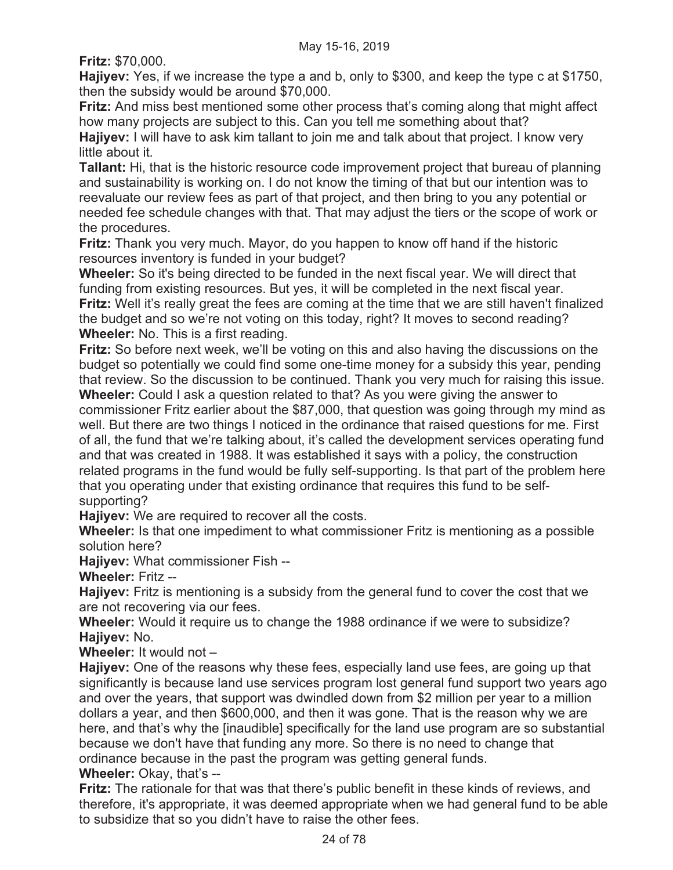**Fritz:** \$70,000.

**Hajiyev:** Yes, if we increase the type a and b, only to \$300, and keep the type c at \$1750, then the subsidy would be around \$70,000.

**Fritz:** And miss best mentioned some other process that's coming along that might affect how many projects are subject to this. Can you tell me something about that?

**Hajiyev:** I will have to ask kim tallant to join me and talk about that project. I know very little about it.

**Tallant:** Hi, that is the historic resource code improvement project that bureau of planning and sustainability is working on. I do not know the timing of that but our intention was to reevaluate our review fees as part of that project, and then bring to you any potential or needed fee schedule changes with that. That may adjust the tiers or the scope of work or the procedures.

**Fritz:** Thank you very much. Mayor, do you happen to know off hand if the historic resources inventory is funded in your budget?

**Wheeler:** So it's being directed to be funded in the next fiscal year. We will direct that funding from existing resources. But yes, it will be completed in the next fiscal year. **Fritz:** Well it's really great the fees are coming at the time that we are still haven't finalized the budget and so we're not voting on this today, right? It moves to second reading? **Wheeler:** No. This is a first reading.

**Fritz:** So before next week, we'll be voting on this and also having the discussions on the budget so potentially we could find some one-time money for a subsidy this year, pending that review. So the discussion to be continued. Thank you very much for raising this issue. **Wheeler:** Could I ask a question related to that? As you were giving the answer to commissioner Fritz earlier about the \$87,000, that question was going through my mind as well. But there are two things I noticed in the ordinance that raised questions for me. First of all, the fund that we're talking about, it's called the development services operating fund and that was created in 1988. It was established it says with a policy, the construction related programs in the fund would be fully self-supporting. Is that part of the problem here that you operating under that existing ordinance that requires this fund to be selfsupporting?

**Hajiyev:** We are required to recover all the costs.

**Wheeler:** Is that one impediment to what commissioner Fritz is mentioning as a possible solution here?

**Hajiyev:** What commissioner Fish --

**Wheeler:** Fritz --

**Hajiyev:** Fritz is mentioning is a subsidy from the general fund to cover the cost that we are not recovering via our fees.

**Wheeler:** Would it require us to change the 1988 ordinance if we were to subsidize? **Hajiyev:** No.

**Wheeler:** It would not –

**Hajiyev:** One of the reasons why these fees, especially land use fees, are going up that significantly is because land use services program lost general fund support two years ago and over the years, that support was dwindled down from \$2 million per year to a million dollars a year, and then \$600,000, and then it was gone. That is the reason why we are here, and that's why the [inaudible] specifically for the land use program are so substantial because we don't have that funding any more. So there is no need to change that ordinance because in the past the program was getting general funds.

**Wheeler:** Okay, that's --

**Fritz:** The rationale for that was that there's public benefit in these kinds of reviews, and therefore, it's appropriate, it was deemed appropriate when we had general fund to be able to subsidize that so you didn't have to raise the other fees.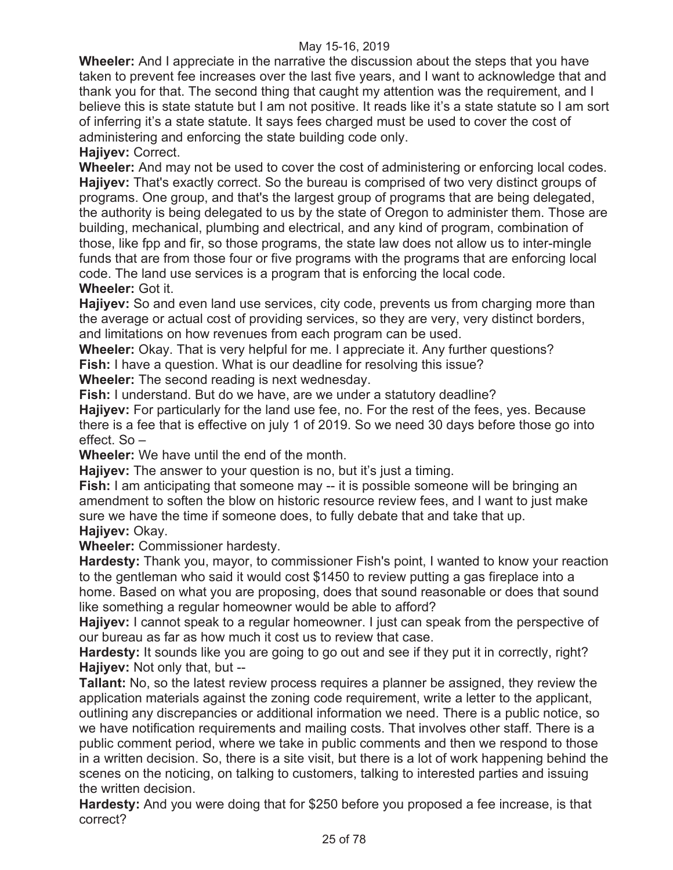**Wheeler:** And I appreciate in the narrative the discussion about the steps that you have taken to prevent fee increases over the last five years, and I want to acknowledge that and thank you for that. The second thing that caught my attention was the requirement, and I believe this is state statute but I am not positive. It reads like it's a state statute so I am sort of inferring it's a state statute. It says fees charged must be used to cover the cost of administering and enforcing the state building code only.

**Hajiyev:** Correct.

**Wheeler:** And may not be used to cover the cost of administering or enforcing local codes. **Hajiyev:** That's exactly correct. So the bureau is comprised of two very distinct groups of programs. One group, and that's the largest group of programs that are being delegated, the authority is being delegated to us by the state of Oregon to administer them. Those are building, mechanical, plumbing and electrical, and any kind of program, combination of those, like fpp and fir, so those programs, the state law does not allow us to inter-mingle funds that are from those four or five programs with the programs that are enforcing local code. The land use services is a program that is enforcing the local code. **Wheeler:** Got it.

**Hajiyev:** So and even land use services, city code, prevents us from charging more than the average or actual cost of providing services, so they are very, very distinct borders, and limitations on how revenues from each program can be used.

**Wheeler:** Okay. That is very helpful for me. I appreciate it. Any further questions? **Fish:** I have a question. What is our deadline for resolving this issue?

**Wheeler:** The second reading is next wednesday.

**Fish:** I understand. But do we have, are we under a statutory deadline?

**Hajiyev:** For particularly for the land use fee, no. For the rest of the fees, yes. Because there is a fee that is effective on july 1 of 2019. So we need 30 days before those go into effect. So –

**Wheeler:** We have until the end of the month.

**Hajiyev:** The answer to your question is no, but it's just a timing.

**Fish:** I am anticipating that someone may -- it is possible someone will be bringing an amendment to soften the blow on historic resource review fees, and I want to just make sure we have the time if someone does, to fully debate that and take that up. **Hajiyev:** Okay.

**Wheeler:** Commissioner hardesty.

**Hardesty:** Thank you, mayor, to commissioner Fish's point, I wanted to know your reaction to the gentleman who said it would cost \$1450 to review putting a gas fireplace into a home. Based on what you are proposing, does that sound reasonable or does that sound like something a regular homeowner would be able to afford?

**Hajiyev:** I cannot speak to a regular homeowner. I just can speak from the perspective of our bureau as far as how much it cost us to review that case.

Hardesty: It sounds like you are going to go out and see if they put it in correctly, right? **Hajiyev:** Not only that, but --

**Tallant:** No, so the latest review process requires a planner be assigned, they review the application materials against the zoning code requirement, write a letter to the applicant, outlining any discrepancies or additional information we need. There is a public notice, so we have notification requirements and mailing costs. That involves other staff. There is a public comment period, where we take in public comments and then we respond to those in a written decision. So, there is a site visit, but there is a lot of work happening behind the scenes on the noticing, on talking to customers, talking to interested parties and issuing the written decision.

**Hardesty:** And you were doing that for \$250 before you proposed a fee increase, is that correct?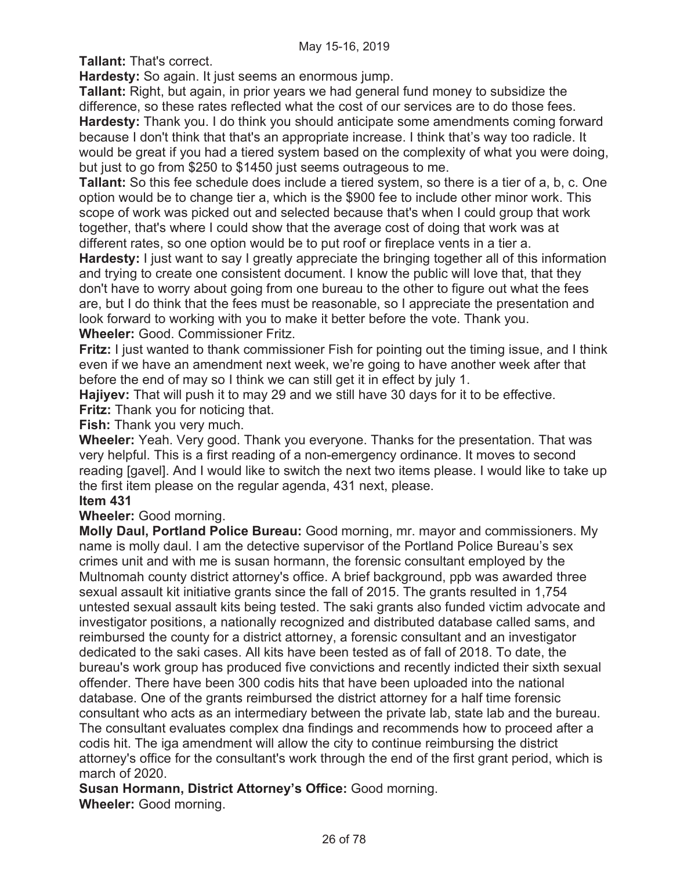**Tallant:** That's correct.

**Hardesty:** So again. It just seems an enormous jump.

**Tallant:** Right, but again, in prior years we had general fund money to subsidize the difference, so these rates reflected what the cost of our services are to do those fees. **Hardesty:** Thank you. I do think you should anticipate some amendments coming forward because I don't think that that's an appropriate increase. I think that's way too radicle. It would be great if you had a tiered system based on the complexity of what you were doing, but just to go from \$250 to \$1450 just seems outrageous to me.

**Tallant:** So this fee schedule does include a tiered system, so there is a tier of a, b, c. One option would be to change tier a, which is the \$900 fee to include other minor work. This scope of work was picked out and selected because that's when I could group that work together, that's where I could show that the average cost of doing that work was at different rates, so one option would be to put roof or fireplace vents in a tier a.

**Hardesty:** I just want to say I greatly appreciate the bringing together all of this information and trying to create one consistent document. I know the public will love that, that they don't have to worry about going from one bureau to the other to figure out what the fees are, but I do think that the fees must be reasonable, so I appreciate the presentation and look forward to working with you to make it better before the vote. Thank you. **Wheeler:** Good. Commissioner Fritz.

**Fritz:** I just wanted to thank commissioner Fish for pointing out the timing issue, and I think even if we have an amendment next week, we're going to have another week after that before the end of may so I think we can still get it in effect by july 1.

**Hajiyev:** That will push it to may 29 and we still have 30 days for it to be effective. **Fritz:** Thank you for noticing that.

**Fish:** Thank you very much.

**Wheeler:** Yeah. Very good. Thank you everyone. Thanks for the presentation. That was very helpful. This is a first reading of a non-emergency ordinance. It moves to second reading [gavel]. And I would like to switch the next two items please. I would like to take up the first item please on the regular agenda, 431 next, please.

# **Item 431**

**Wheeler:** Good morning.

**Molly Daul, Portland Police Bureau:** Good morning, mr. mayor and commissioners. My name is molly daul. I am the detective supervisor of the Portland Police Bureau's sex crimes unit and with me is susan hormann, the forensic consultant employed by the Multnomah county district attorney's office. A brief background, ppb was awarded three sexual assault kit initiative grants since the fall of 2015. The grants resulted in 1,754 untested sexual assault kits being tested. The saki grants also funded victim advocate and investigator positions, a nationally recognized and distributed database called sams, and reimbursed the county for a district attorney, a forensic consultant and an investigator dedicated to the saki cases. All kits have been tested as of fall of 2018. To date, the bureau's work group has produced five convictions and recently indicted their sixth sexual offender. There have been 300 codis hits that have been uploaded into the national database. One of the grants reimbursed the district attorney for a half time forensic consultant who acts as an intermediary between the private lab, state lab and the bureau. The consultant evaluates complex dna findings and recommends how to proceed after a codis hit. The iga amendment will allow the city to continue reimbursing the district attorney's office for the consultant's work through the end of the first grant period, which is march of 2020.

**Susan Hormann, District Attorney's Office:** Good morning.

**Wheeler:** Good morning.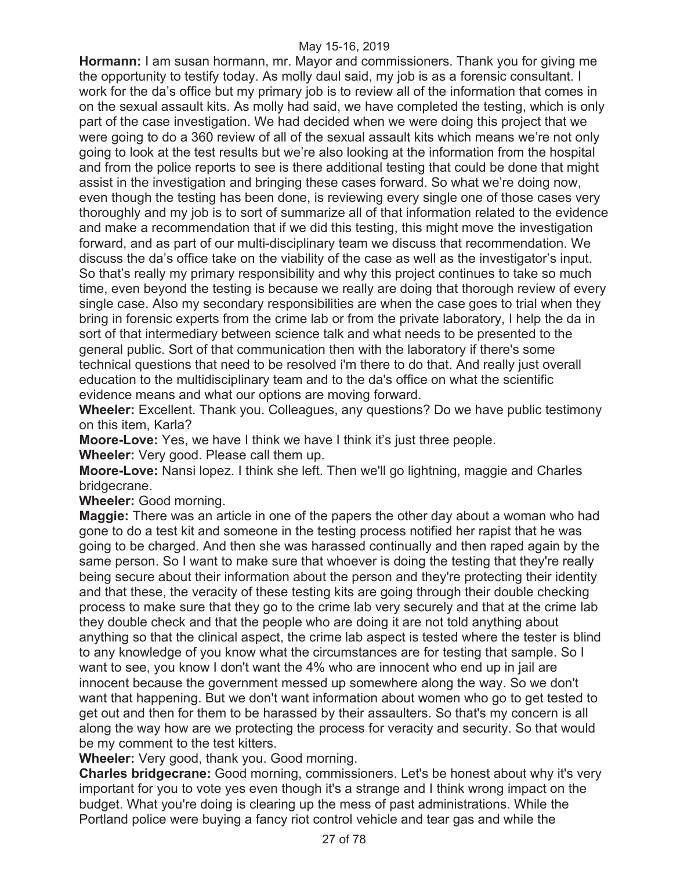**Hormann:** I am susan hormann, mr. Mayor and commissioners. Thank you for giving me the opportunity to testify today. As molly daul said, my job is as a forensic consultant. I work for the da's office but my primary job is to review all of the information that comes in on the sexual assault kits. As molly had said, we have completed the testing, which is only part of the case investigation. We had decided when we were doing this project that we were going to do a 360 review of all of the sexual assault kits which means we're not only going to look at the test results but we're also looking at the information from the hospital and from the police reports to see is there additional testing that could be done that might assist in the investigation and bringing these cases forward. So what we're doing now, even though the testing has been done, is reviewing every single one of those cases very thoroughly and my job is to sort of summarize all of that information related to the evidence and make a recommendation that if we did this testing, this might move the investigation forward, and as part of our multi-disciplinary team we discuss that recommendation. We discuss the da's office take on the viability of the case as well as the investigator's input. So that's really my primary responsibility and why this project continues to take so much time, even beyond the testing is because we really are doing that thorough review of every single case. Also my secondary responsibilities are when the case goes to trial when they bring in forensic experts from the crime lab or from the private laboratory, I help the da in sort of that intermediary between science talk and what needs to be presented to the general public. Sort of that communication then with the laboratory if there's some technical questions that need to be resolved i'm there to do that. And really just overall education to the multidisciplinary team and to the da's office on what the scientific evidence means and what our options are moving forward.

**Wheeler:** Excellent. Thank you. Colleagues, any questions? Do we have public testimony on this item, Karla?

**Moore-Love:** Yes, we have I think we have I think it's just three people.

**Wheeler:** Very good. Please call them up.

**Moore-Love:** Nansi lopez. I think she left. Then we'll go lightning, maggie and Charles bridgecrane.

**Wheeler:** Good morning.

**Maggie:** There was an article in one of the papers the other day about a woman who had gone to do a test kit and someone in the testing process notified her rapist that he was going to be charged. And then she was harassed continually and then raped again by the same person. So I want to make sure that whoever is doing the testing that they're really being secure about their information about the person and they're protecting their identity and that these, the veracity of these testing kits are going through their double checking process to make sure that they go to the crime lab very securely and that at the crime lab they double check and that the people who are doing it are not told anything about anything so that the clinical aspect, the crime lab aspect is tested where the tester is blind to any knowledge of you know what the circumstances are for testing that sample. So I want to see, you know I don't want the 4% who are innocent who end up in jail are innocent because the government messed up somewhere along the way. So we don't want that happening. But we don't want information about women who go to get tested to get out and then for them to be harassed by their assaulters. So that's my concern is all along the way how are we protecting the process for veracity and security. So that would be my comment to the test kitters.

**Wheeler:** Very good, thank you. Good morning.

**Charles bridgecrane:** Good morning, commissioners. Let's be honest about why it's very important for you to vote yes even though it's a strange and I think wrong impact on the budget. What you're doing is clearing up the mess of past administrations. While the Portland police were buying a fancy riot control vehicle and tear gas and while the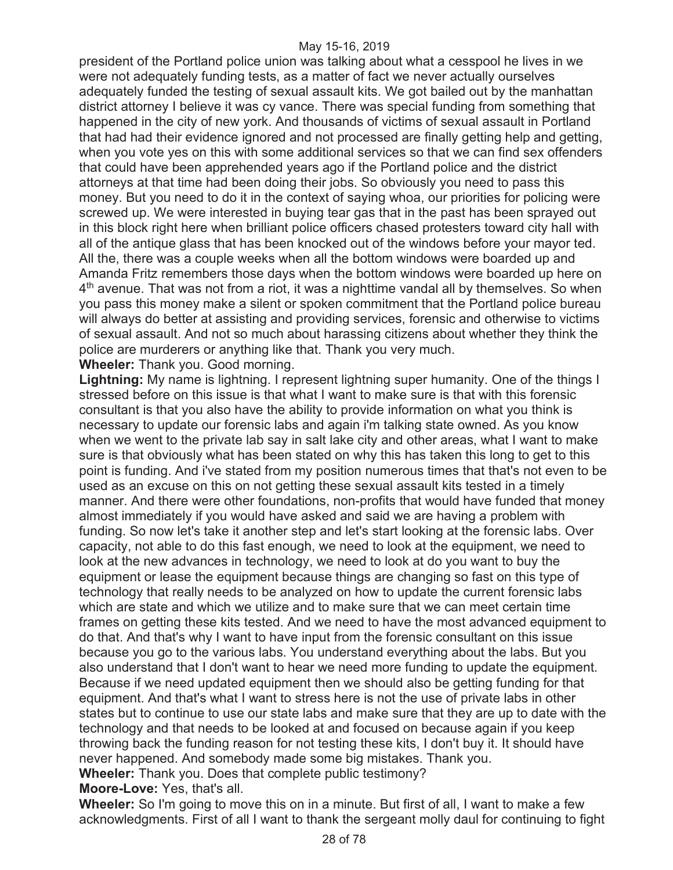president of the Portland police union was talking about what a cesspool he lives in we were not adequately funding tests, as a matter of fact we never actually ourselves adequately funded the testing of sexual assault kits. We got bailed out by the manhattan district attorney I believe it was cy vance. There was special funding from something that happened in the city of new york. And thousands of victims of sexual assault in Portland that had had their evidence ignored and not processed are finally getting help and getting, when you vote yes on this with some additional services so that we can find sex offenders that could have been apprehended years ago if the Portland police and the district attorneys at that time had been doing their jobs. So obviously you need to pass this money. But you need to do it in the context of saying whoa, our priorities for policing were screwed up. We were interested in buying tear gas that in the past has been sprayed out in this block right here when brilliant police officers chased protesters toward city hall with all of the antique glass that has been knocked out of the windows before your mayor ted. All the, there was a couple weeks when all the bottom windows were boarded up and Amanda Fritz remembers those days when the bottom windows were boarded up here on  $4<sup>th</sup>$  avenue. That was not from a riot, it was a nighttime vandal all by themselves. So when you pass this money make a silent or spoken commitment that the Portland police bureau will always do better at assisting and providing services, forensic and otherwise to victims of sexual assault. And not so much about harassing citizens about whether they think the police are murderers or anything like that. Thank you very much.

**Wheeler:** Thank you. Good morning.

**Lightning:** My name is lightning. I represent lightning super humanity. One of the things I stressed before on this issue is that what I want to make sure is that with this forensic consultant is that you also have the ability to provide information on what you think is necessary to update our forensic labs and again i'm talking state owned. As you know when we went to the private lab say in salt lake city and other areas, what I want to make sure is that obviously what has been stated on why this has taken this long to get to this point is funding. And i've stated from my position numerous times that that's not even to be used as an excuse on this on not getting these sexual assault kits tested in a timely manner. And there were other foundations, non-profits that would have funded that money almost immediately if you would have asked and said we are having a problem with funding. So now let's take it another step and let's start looking at the forensic labs. Over capacity, not able to do this fast enough, we need to look at the equipment, we need to look at the new advances in technology, we need to look at do you want to buy the equipment or lease the equipment because things are changing so fast on this type of technology that really needs to be analyzed on how to update the current forensic labs which are state and which we utilize and to make sure that we can meet certain time frames on getting these kits tested. And we need to have the most advanced equipment to do that. And that's why I want to have input from the forensic consultant on this issue because you go to the various labs. You understand everything about the labs. But you also understand that I don't want to hear we need more funding to update the equipment. Because if we need updated equipment then we should also be getting funding for that equipment. And that's what I want to stress here is not the use of private labs in other states but to continue to use our state labs and make sure that they are up to date with the technology and that needs to be looked at and focused on because again if you keep throwing back the funding reason for not testing these kits, I don't buy it. It should have never happened. And somebody made some big mistakes. Thank you. **Wheeler:** Thank you. Does that complete public testimony?

**Moore-Love:** Yes, that's all.

**Wheeler:** So I'm going to move this on in a minute. But first of all, I want to make a few acknowledgments. First of all I want to thank the sergeant molly daul for continuing to fight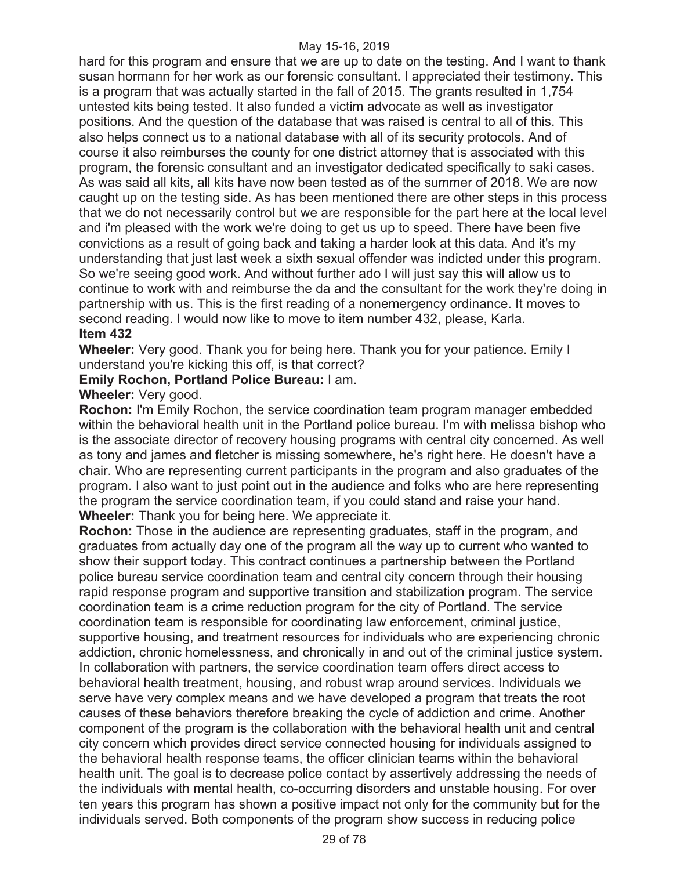hard for this program and ensure that we are up to date on the testing. And I want to thank susan hormann for her work as our forensic consultant. I appreciated their testimony. This is a program that was actually started in the fall of 2015. The grants resulted in 1,754 untested kits being tested. It also funded a victim advocate as well as investigator positions. And the question of the database that was raised is central to all of this. This also helps connect us to a national database with all of its security protocols. And of course it also reimburses the county for one district attorney that is associated with this program, the forensic consultant and an investigator dedicated specifically to saki cases. As was said all kits, all kits have now been tested as of the summer of 2018. We are now caught up on the testing side. As has been mentioned there are other steps in this process that we do not necessarily control but we are responsible for the part here at the local level and i'm pleased with the work we're doing to get us up to speed. There have been five convictions as a result of going back and taking a harder look at this data. And it's my understanding that just last week a sixth sexual offender was indicted under this program. So we're seeing good work. And without further ado I will just say this will allow us to continue to work with and reimburse the da and the consultant for the work they're doing in partnership with us. This is the first reading of a nonemergency ordinance. It moves to second reading. I would now like to move to item number 432, please, Karla. **Item 432** 

**Wheeler:** Very good. Thank you for being here. Thank you for your patience. Emily I understand you're kicking this off, is that correct?

# **Emily Rochon, Portland Police Bureau:** I am.

# **Wheeler:** Very good.

**Rochon:** I'm Emily Rochon, the service coordination team program manager embedded within the behavioral health unit in the Portland police bureau. I'm with melissa bishop who is the associate director of recovery housing programs with central city concerned. As well as tony and james and fletcher is missing somewhere, he's right here. He doesn't have a chair. Who are representing current participants in the program and also graduates of the program. I also want to just point out in the audience and folks who are here representing the program the service coordination team, if you could stand and raise your hand. **Wheeler:** Thank you for being here. We appreciate it.

**Rochon:** Those in the audience are representing graduates, staff in the program, and graduates from actually day one of the program all the way up to current who wanted to show their support today. This contract continues a partnership between the Portland police bureau service coordination team and central city concern through their housing rapid response program and supportive transition and stabilization program. The service coordination team is a crime reduction program for the city of Portland. The service coordination team is responsible for coordinating law enforcement, criminal justice, supportive housing, and treatment resources for individuals who are experiencing chronic addiction, chronic homelessness, and chronically in and out of the criminal justice system. In collaboration with partners, the service coordination team offers direct access to behavioral health treatment, housing, and robust wrap around services. Individuals we serve have very complex means and we have developed a program that treats the root causes of these behaviors therefore breaking the cycle of addiction and crime. Another component of the program is the collaboration with the behavioral health unit and central city concern which provides direct service connected housing for individuals assigned to the behavioral health response teams, the officer clinician teams within the behavioral health unit. The goal is to decrease police contact by assertively addressing the needs of the individuals with mental health, co-occurring disorders and unstable housing. For over ten years this program has shown a positive impact not only for the community but for the individuals served. Both components of the program show success in reducing police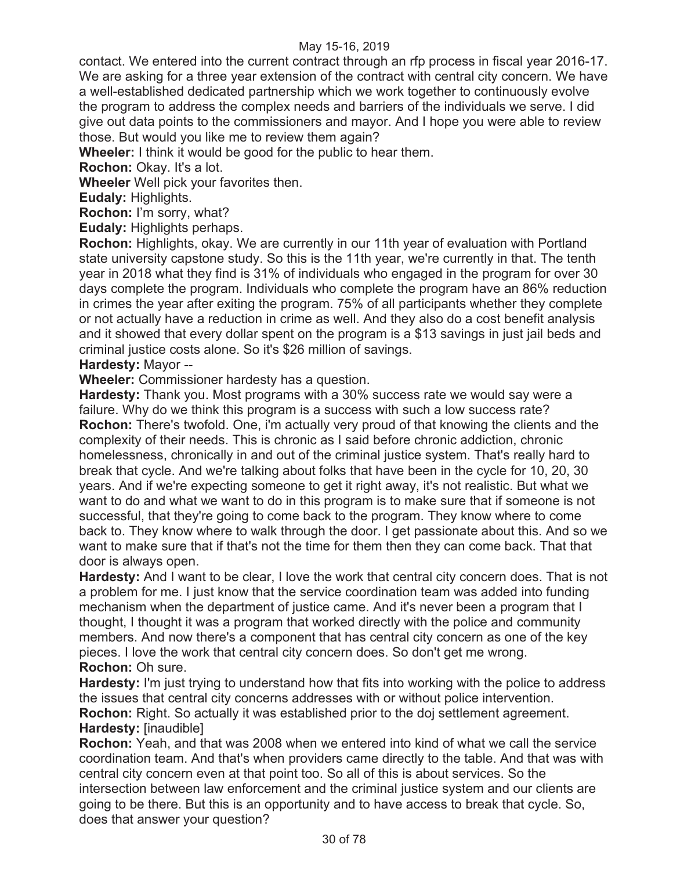contact. We entered into the current contract through an rfp process in fiscal year 2016-17. We are asking for a three year extension of the contract with central city concern. We have a well-established dedicated partnership which we work together to continuously evolve the program to address the complex needs and barriers of the individuals we serve. I did give out data points to the commissioners and mayor. And I hope you were able to review those. But would you like me to review them again?

**Wheeler:** I think it would be good for the public to hear them.

**Rochon:** Okay. It's a lot.

**Wheeler** Well pick your favorites then.

**Eudaly:** Highlights.

**Rochon:** I'm sorry, what?

**Eudaly:** Highlights perhaps.

**Rochon:** Highlights, okay. We are currently in our 11th year of evaluation with Portland state university capstone study. So this is the 11th year, we're currently in that. The tenth year in 2018 what they find is 31% of individuals who engaged in the program for over 30 days complete the program. Individuals who complete the program have an 86% reduction in crimes the year after exiting the program. 75% of all participants whether they complete or not actually have a reduction in crime as well. And they also do a cost benefit analysis and it showed that every dollar spent on the program is a \$13 savings in just jail beds and criminal justice costs alone. So it's \$26 million of savings.

#### **Hardesty:** Mayor --

**Wheeler:** Commissioner hardesty has a question.

**Hardesty:** Thank you. Most programs with a 30% success rate we would say were a failure. Why do we think this program is a success with such a low success rate? **Rochon:** There's twofold. One, i'm actually very proud of that knowing the clients and the complexity of their needs. This is chronic as I said before chronic addiction, chronic homelessness, chronically in and out of the criminal justice system. That's really hard to break that cycle. And we're talking about folks that have been in the cycle for 10, 20, 30 years. And if we're expecting someone to get it right away, it's not realistic. But what we want to do and what we want to do in this program is to make sure that if someone is not successful, that they're going to come back to the program. They know where to come back to. They know where to walk through the door. I get passionate about this. And so we want to make sure that if that's not the time for them then they can come back. That that door is always open.

**Hardesty:** And I want to be clear, I love the work that central city concern does. That is not a problem for me. I just know that the service coordination team was added into funding mechanism when the department of justice came. And it's never been a program that I thought, I thought it was a program that worked directly with the police and community members. And now there's a component that has central city concern as one of the key pieces. I love the work that central city concern does. So don't get me wrong. **Rochon:** Oh sure.

**Hardesty:** I'm just trying to understand how that fits into working with the police to address the issues that central city concerns addresses with or without police intervention.

**Rochon:** Right. So actually it was established prior to the doj settlement agreement. **Hardesty:** [inaudible]

**Rochon:** Yeah, and that was 2008 when we entered into kind of what we call the service coordination team. And that's when providers came directly to the table. And that was with central city concern even at that point too. So all of this is about services. So the intersection between law enforcement and the criminal justice system and our clients are going to be there. But this is an opportunity and to have access to break that cycle. So, does that answer your question?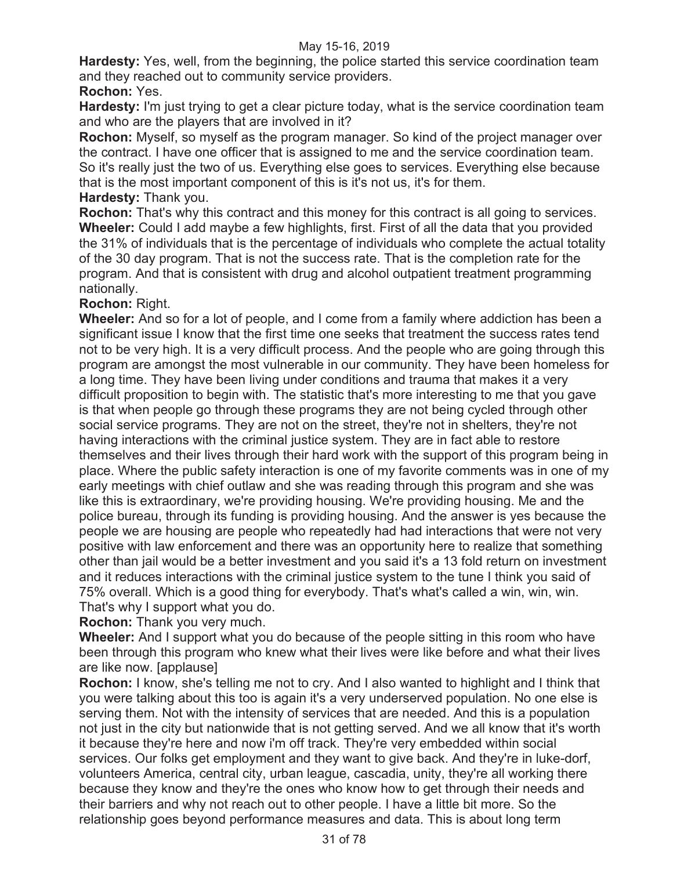**Hardesty:** Yes, well, from the beginning, the police started this service coordination team and they reached out to community service providers.

# **Rochon:** Yes.

**Hardesty:** I'm just trying to get a clear picture today, what is the service coordination team and who are the players that are involved in it?

**Rochon:** Myself, so myself as the program manager. So kind of the project manager over the contract. I have one officer that is assigned to me and the service coordination team. So it's really just the two of us. Everything else goes to services. Everything else because that is the most important component of this is it's not us, it's for them. **Hardesty:** Thank you.

**Rochon:** That's why this contract and this money for this contract is all going to services. **Wheeler:** Could I add maybe a few highlights, first. First of all the data that you provided the 31% of individuals that is the percentage of individuals who complete the actual totality of the 30 day program. That is not the success rate. That is the completion rate for the program. And that is consistent with drug and alcohol outpatient treatment programming nationally.

# **Rochon:** Right.

**Wheeler:** And so for a lot of people, and I come from a family where addiction has been a significant issue I know that the first time one seeks that treatment the success rates tend not to be very high. It is a very difficult process. And the people who are going through this program are amongst the most vulnerable in our community. They have been homeless for a long time. They have been living under conditions and trauma that makes it a very difficult proposition to begin with. The statistic that's more interesting to me that you gave is that when people go through these programs they are not being cycled through other social service programs. They are not on the street, they're not in shelters, they're not having interactions with the criminal justice system. They are in fact able to restore themselves and their lives through their hard work with the support of this program being in place. Where the public safety interaction is one of my favorite comments was in one of my early meetings with chief outlaw and she was reading through this program and she was like this is extraordinary, we're providing housing. We're providing housing. Me and the police bureau, through its funding is providing housing. And the answer is yes because the people we are housing are people who repeatedly had had interactions that were not very positive with law enforcement and there was an opportunity here to realize that something other than jail would be a better investment and you said it's a 13 fold return on investment and it reduces interactions with the criminal justice system to the tune I think you said of 75% overall. Which is a good thing for everybody. That's what's called a win, win, win. That's why I support what you do.

**Rochon:** Thank you very much.

**Wheeler:** And I support what you do because of the people sitting in this room who have been through this program who knew what their lives were like before and what their lives are like now. [applause]

**Rochon:** I know, she's telling me not to cry. And I also wanted to highlight and I think that you were talking about this too is again it's a very underserved population. No one else is serving them. Not with the intensity of services that are needed. And this is a population not just in the city but nationwide that is not getting served. And we all know that it's worth it because they're here and now i'm off track. They're very embedded within social services. Our folks get employment and they want to give back. And they're in luke-dorf, volunteers America, central city, urban league, cascadia, unity, they're all working there because they know and they're the ones who know how to get through their needs and their barriers and why not reach out to other people. I have a little bit more. So the relationship goes beyond performance measures and data. This is about long term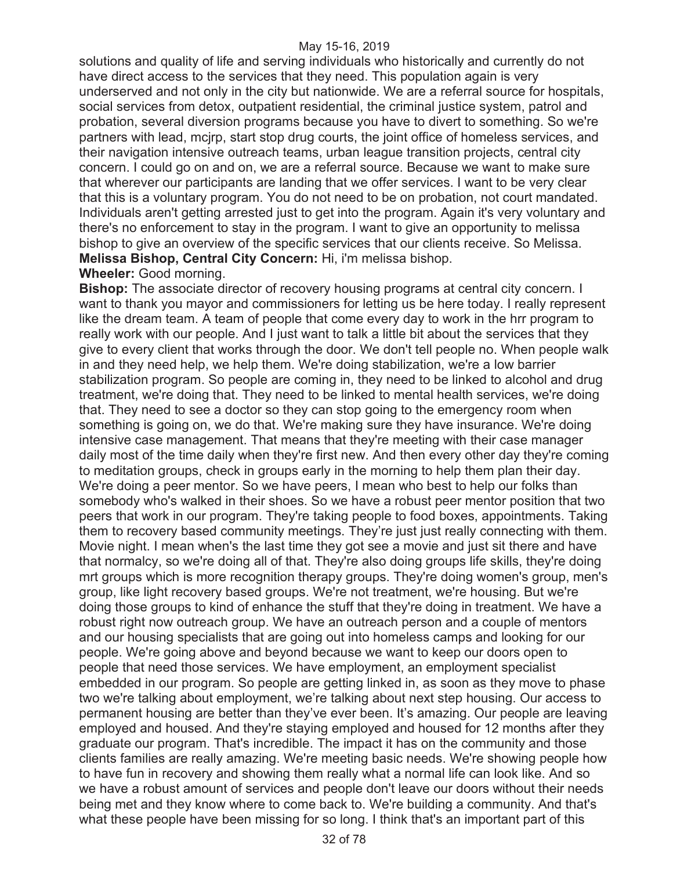solutions and quality of life and serving individuals who historically and currently do not have direct access to the services that they need. This population again is very underserved and not only in the city but nationwide. We are a referral source for hospitals, social services from detox, outpatient residential, the criminal justice system, patrol and probation, several diversion programs because you have to divert to something. So we're partners with lead, mcjrp, start stop drug courts, the joint office of homeless services, and their navigation intensive outreach teams, urban league transition projects, central city concern. I could go on and on, we are a referral source. Because we want to make sure that wherever our participants are landing that we offer services. I want to be very clear that this is a voluntary program. You do not need to be on probation, not court mandated. Individuals aren't getting arrested just to get into the program. Again it's very voluntary and there's no enforcement to stay in the program. I want to give an opportunity to melissa bishop to give an overview of the specific services that our clients receive. So Melissa. **Melissa Bishop, Central City Concern:** Hi, i'm melissa bishop.

#### **Wheeler:** Good morning.

**Bishop:** The associate director of recovery housing programs at central city concern. I want to thank you mayor and commissioners for letting us be here today. I really represent like the dream team. A team of people that come every day to work in the hrr program to really work with our people. And I just want to talk a little bit about the services that they give to every client that works through the door. We don't tell people no. When people walk in and they need help, we help them. We're doing stabilization, we're a low barrier stabilization program. So people are coming in, they need to be linked to alcohol and drug treatment, we're doing that. They need to be linked to mental health services, we're doing that. They need to see a doctor so they can stop going to the emergency room when something is going on, we do that. We're making sure they have insurance. We're doing intensive case management. That means that they're meeting with their case manager daily most of the time daily when they're first new. And then every other day they're coming to meditation groups, check in groups early in the morning to help them plan their day. We're doing a peer mentor. So we have peers, I mean who best to help our folks than somebody who's walked in their shoes. So we have a robust peer mentor position that two peers that work in our program. They're taking people to food boxes, appointments. Taking them to recovery based community meetings. They're just just really connecting with them. Movie night. I mean when's the last time they got see a movie and just sit there and have that normalcy, so we're doing all of that. They're also doing groups life skills, they're doing mrt groups which is more recognition therapy groups. They're doing women's group, men's group, like light recovery based groups. We're not treatment, we're housing. But we're doing those groups to kind of enhance the stuff that they're doing in treatment. We have a robust right now outreach group. We have an outreach person and a couple of mentors and our housing specialists that are going out into homeless camps and looking for our people. We're going above and beyond because we want to keep our doors open to people that need those services. We have employment, an employment specialist embedded in our program. So people are getting linked in, as soon as they move to phase two we're talking about employment, we're talking about next step housing. Our access to permanent housing are better than they've ever been. It's amazing. Our people are leaving employed and housed. And they're staying employed and housed for 12 months after they graduate our program. That's incredible. The impact it has on the community and those clients families are really amazing. We're meeting basic needs. We're showing people how to have fun in recovery and showing them really what a normal life can look like. And so we have a robust amount of services and people don't leave our doors without their needs being met and they know where to come back to. We're building a community. And that's what these people have been missing for so long. I think that's an important part of this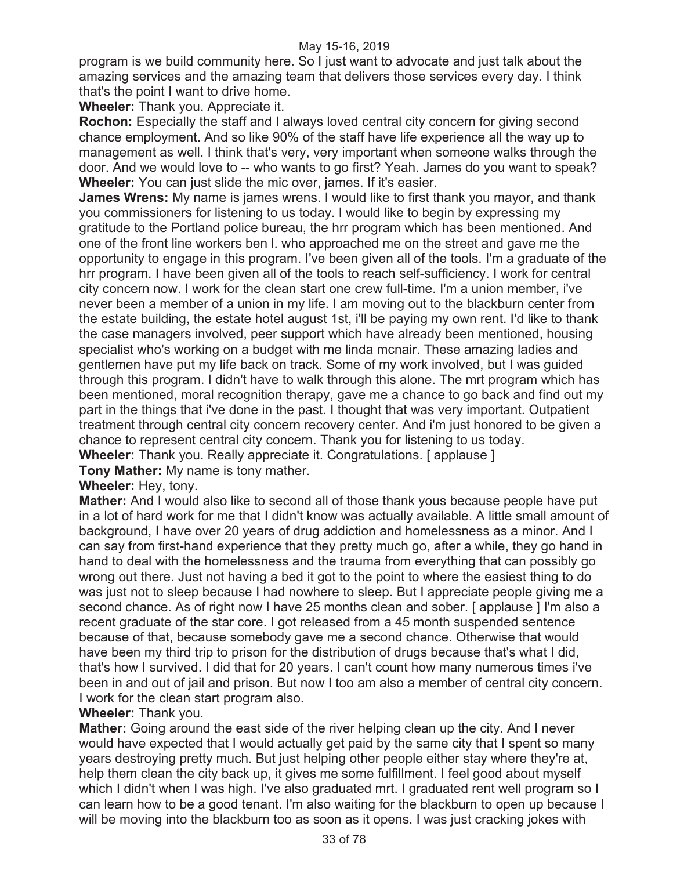program is we build community here. So I just want to advocate and just talk about the amazing services and the amazing team that delivers those services every day. I think that's the point I want to drive home.

**Wheeler:** Thank you. Appreciate it.

**Rochon:** Especially the staff and I always loved central city concern for giving second chance employment. And so like 90% of the staff have life experience all the way up to management as well. I think that's very, very important when someone walks through the door. And we would love to -- who wants to go first? Yeah. James do you want to speak? **Wheeler:** You can just slide the mic over, james. If it's easier.

**James Wrens:** My name is james wrens. I would like to first thank you mayor, and thank you commissioners for listening to us today. I would like to begin by expressing my gratitude to the Portland police bureau, the hrr program which has been mentioned. And one of the front line workers ben l. who approached me on the street and gave me the opportunity to engage in this program. I've been given all of the tools. I'm a graduate of the hrr program. I have been given all of the tools to reach self-sufficiency. I work for central city concern now. I work for the clean start one crew full-time. I'm a union member, i've never been a member of a union in my life. I am moving out to the blackburn center from the estate building, the estate hotel august 1st, i'll be paying my own rent. I'd like to thank the case managers involved, peer support which have already been mentioned, housing specialist who's working on a budget with me linda mcnair. These amazing ladies and gentlemen have put my life back on track. Some of my work involved, but I was guided through this program. I didn't have to walk through this alone. The mrt program which has been mentioned, moral recognition therapy, gave me a chance to go back and find out my part in the things that i've done in the past. I thought that was very important. Outpatient treatment through central city concern recovery center. And i'm just honored to be given a chance to represent central city concern. Thank you for listening to us today.

**Wheeler:** Thank you. Really appreciate it. Congratulations. [ applause ]

**Tony Mather:** My name is tony mather.

# **Wheeler:** Hey, tony.

**Mather:** And I would also like to second all of those thank yous because people have put in a lot of hard work for me that I didn't know was actually available. A little small amount of background, I have over 20 years of drug addiction and homelessness as a minor. And I can say from first-hand experience that they pretty much go, after a while, they go hand in hand to deal with the homelessness and the trauma from everything that can possibly go wrong out there. Just not having a bed it got to the point to where the easiest thing to do was just not to sleep because I had nowhere to sleep. But I appreciate people giving me a second chance. As of right now I have 25 months clean and sober. [ applause ] I'm also a recent graduate of the star core. I got released from a 45 month suspended sentence because of that, because somebody gave me a second chance. Otherwise that would have been my third trip to prison for the distribution of drugs because that's what I did, that's how I survived. I did that for 20 years. I can't count how many numerous times i've been in and out of jail and prison. But now I too am also a member of central city concern. I work for the clean start program also.

#### **Wheeler:** Thank you.

**Mather:** Going around the east side of the river helping clean up the city. And I never would have expected that I would actually get paid by the same city that I spent so many years destroying pretty much. But just helping other people either stay where they're at, help them clean the city back up, it gives me some fulfillment. I feel good about myself which I didn't when I was high. I've also graduated mrt. I graduated rent well program so I can learn how to be a good tenant. I'm also waiting for the blackburn to open up because I will be moving into the blackburn too as soon as it opens. I was just cracking jokes with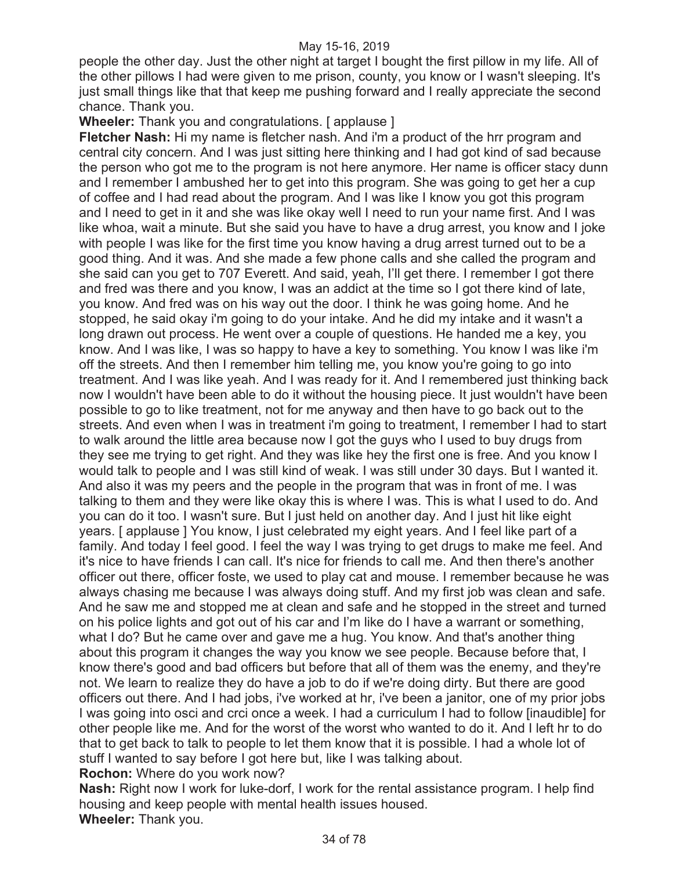people the other day. Just the other night at target I bought the first pillow in my life. All of the other pillows I had were given to me prison, county, you know or I wasn't sleeping. It's just small things like that that keep me pushing forward and I really appreciate the second chance. Thank you.

# **Wheeler:** Thank you and congratulations. [ applause ]

**Fletcher Nash:** Hi my name is fletcher nash. And i'm a product of the hrr program and central city concern. And I was just sitting here thinking and I had got kind of sad because the person who got me to the program is not here anymore. Her name is officer stacy dunn and I remember I ambushed her to get into this program. She was going to get her a cup of coffee and I had read about the program. And I was like I know you got this program and I need to get in it and she was like okay well I need to run your name first. And I was like whoa, wait a minute. But she said you have to have a drug arrest, you know and I joke with people I was like for the first time you know having a drug arrest turned out to be a good thing. And it was. And she made a few phone calls and she called the program and she said can you get to 707 Everett. And said, yeah, I'll get there. I remember I got there and fred was there and you know, I was an addict at the time so I got there kind of late, you know. And fred was on his way out the door. I think he was going home. And he stopped, he said okay i'm going to do your intake. And he did my intake and it wasn't a long drawn out process. He went over a couple of questions. He handed me a key, you know. And I was like, I was so happy to have a key to something. You know I was like i'm off the streets. And then I remember him telling me, you know you're going to go into treatment. And I was like yeah. And I was ready for it. And I remembered just thinking back now I wouldn't have been able to do it without the housing piece. It just wouldn't have been possible to go to like treatment, not for me anyway and then have to go back out to the streets. And even when I was in treatment i'm going to treatment, I remember I had to start to walk around the little area because now I got the guys who I used to buy drugs from they see me trying to get right. And they was like hey the first one is free. And you know I would talk to people and I was still kind of weak. I was still under 30 days. But I wanted it. And also it was my peers and the people in the program that was in front of me. I was talking to them and they were like okay this is where I was. This is what I used to do. And you can do it too. I wasn't sure. But I just held on another day. And I just hit like eight years. [ applause ] You know, I just celebrated my eight years. And I feel like part of a family. And today I feel good. I feel the way I was trying to get drugs to make me feel. And it's nice to have friends I can call. It's nice for friends to call me. And then there's another officer out there, officer foste, we used to play cat and mouse. I remember because he was always chasing me because I was always doing stuff. And my first job was clean and safe. And he saw me and stopped me at clean and safe and he stopped in the street and turned on his police lights and got out of his car and I'm like do I have a warrant or something, what I do? But he came over and gave me a hug. You know. And that's another thing about this program it changes the way you know we see people. Because before that, I know there's good and bad officers but before that all of them was the enemy, and they're not. We learn to realize they do have a job to do if we're doing dirty. But there are good officers out there. And I had jobs, i've worked at hr, i've been a janitor, one of my prior jobs I was going into osci and crci once a week. I had a curriculum I had to follow [inaudible] for other people like me. And for the worst of the worst who wanted to do it. And I left hr to do that to get back to talk to people to let them know that it is possible. I had a whole lot of stuff I wanted to say before I got here but, like I was talking about. **Rochon:** Where do you work now?

**Nash:** Right now I work for luke-dorf, I work for the rental assistance program. I help find housing and keep people with mental health issues housed. **Wheeler:** Thank you.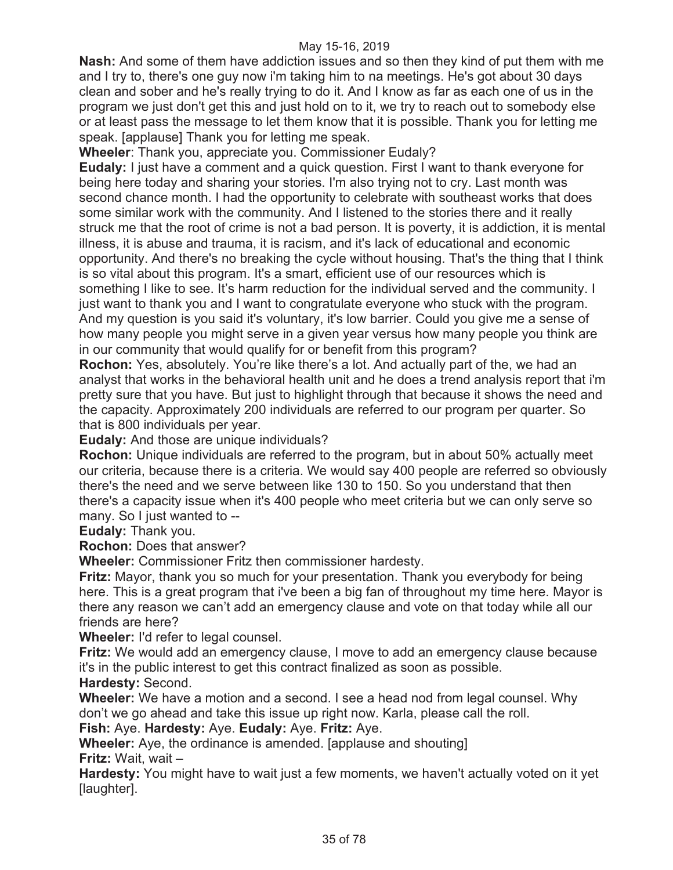**Nash:** And some of them have addiction issues and so then they kind of put them with me and I try to, there's one guy now i'm taking him to na meetings. He's got about 30 days clean and sober and he's really trying to do it. And I know as far as each one of us in the program we just don't get this and just hold on to it, we try to reach out to somebody else or at least pass the message to let them know that it is possible. Thank you for letting me speak. [applause] Thank you for letting me speak.

**Wheeler**: Thank you, appreciate you. Commissioner Eudaly?

**Eudaly:** I just have a comment and a quick question. First I want to thank everyone for being here today and sharing your stories. I'm also trying not to cry. Last month was second chance month. I had the opportunity to celebrate with southeast works that does some similar work with the community. And I listened to the stories there and it really struck me that the root of crime is not a bad person. It is poverty, it is addiction, it is mental illness, it is abuse and trauma, it is racism, and it's lack of educational and economic opportunity. And there's no breaking the cycle without housing. That's the thing that I think is so vital about this program. It's a smart, efficient use of our resources which is something I like to see. It's harm reduction for the individual served and the community. I just want to thank you and I want to congratulate everyone who stuck with the program. And my question is you said it's voluntary, it's low barrier. Could you give me a sense of how many people you might serve in a given year versus how many people you think are in our community that would qualify for or benefit from this program?

**Rochon:** Yes, absolutely. You're like there's a lot. And actually part of the, we had an analyst that works in the behavioral health unit and he does a trend analysis report that i'm pretty sure that you have. But just to highlight through that because it shows the need and the capacity. Approximately 200 individuals are referred to our program per quarter. So that is 800 individuals per year.

**Eudaly:** And those are unique individuals?

**Rochon:** Unique individuals are referred to the program, but in about 50% actually meet our criteria, because there is a criteria. We would say 400 people are referred so obviously there's the need and we serve between like 130 to 150. So you understand that then there's a capacity issue when it's 400 people who meet criteria but we can only serve so many. So I just wanted to --

**Eudaly:** Thank you.

**Rochon:** Does that answer?

**Wheeler:** Commissioner Fritz then commissioner hardesty.

**Fritz:** Mayor, thank you so much for your presentation. Thank you everybody for being here. This is a great program that i've been a big fan of throughout my time here. Mayor is there any reason we can't add an emergency clause and vote on that today while all our friends are here?

**Wheeler:** I'd refer to legal counsel.

**Fritz:** We would add an emergency clause, I move to add an emergency clause because it's in the public interest to get this contract finalized as soon as possible.

**Hardesty:** Second.

**Wheeler:** We have a motion and a second. I see a head nod from legal counsel. Why don't we go ahead and take this issue up right now. Karla, please call the roll.

**Fish:** Aye. **Hardesty:** Aye. **Eudaly:** Aye. **Fritz:** Aye.

**Wheeler:** Aye, the ordinance is amended. [applause and shouting] **Fritz:** Wait, wait –

**Hardesty:** You might have to wait just a few moments, we haven't actually voted on it yet [laughter].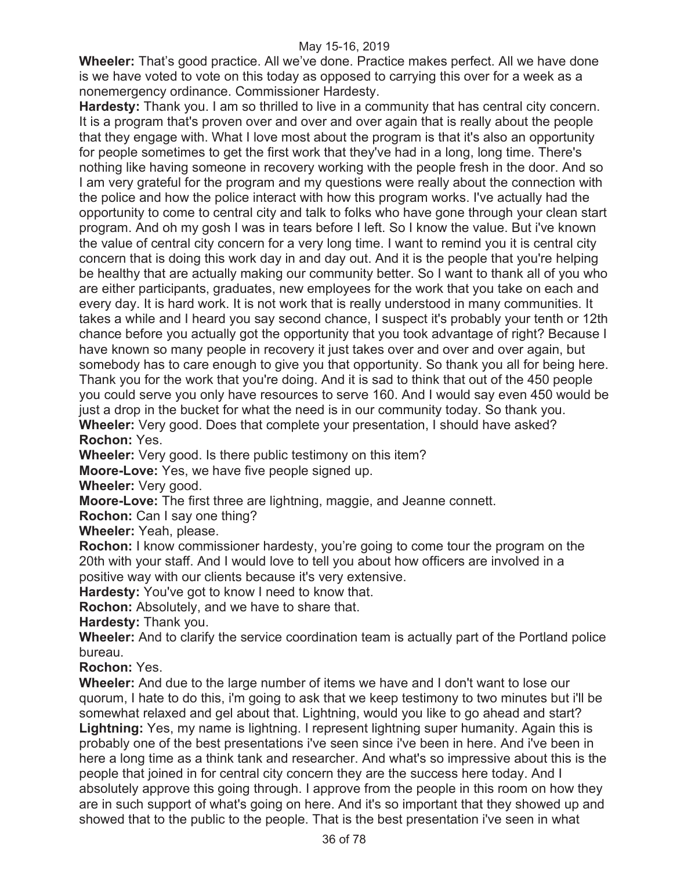**Wheeler:** That's good practice. All we've done. Practice makes perfect. All we have done is we have voted to vote on this today as opposed to carrying this over for a week as a nonemergency ordinance. Commissioner Hardesty.

**Hardesty:** Thank you. I am so thrilled to live in a community that has central city concern. It is a program that's proven over and over and over again that is really about the people that they engage with. What I love most about the program is that it's also an opportunity for people sometimes to get the first work that they've had in a long, long time. There's nothing like having someone in recovery working with the people fresh in the door. And so I am very grateful for the program and my questions were really about the connection with the police and how the police interact with how this program works. I've actually had the opportunity to come to central city and talk to folks who have gone through your clean start program. And oh my gosh I was in tears before I left. So I know the value. But i've known the value of central city concern for a very long time. I want to remind you it is central city concern that is doing this work day in and day out. And it is the people that you're helping be healthy that are actually making our community better. So I want to thank all of you who are either participants, graduates, new employees for the work that you take on each and every day. It is hard work. It is not work that is really understood in many communities. It takes a while and I heard you say second chance, I suspect it's probably your tenth or 12th chance before you actually got the opportunity that you took advantage of right? Because I have known so many people in recovery it just takes over and over and over again, but somebody has to care enough to give you that opportunity. So thank you all for being here. Thank you for the work that you're doing. And it is sad to think that out of the 450 people you could serve you only have resources to serve 160. And I would say even 450 would be just a drop in the bucket for what the need is in our community today. So thank you. **Wheeler:** Very good. Does that complete your presentation, I should have asked? **Rochon:** Yes.

**Wheeler:** Very good. Is there public testimony on this item?

**Moore-Love:** Yes, we have five people signed up.

**Wheeler:** Very good.

**Moore-Love:** The first three are lightning, maggie, and Jeanne connett.

**Rochon:** Can I say one thing?

**Wheeler:** Yeah, please.

**Rochon:** I know commissioner hardesty, you're going to come tour the program on the 20th with your staff. And I would love to tell you about how officers are involved in a positive way with our clients because it's very extensive.

**Hardesty:** You've got to know I need to know that.

**Rochon:** Absolutely, and we have to share that.

**Hardesty:** Thank you.

**Wheeler:** And to clarify the service coordination team is actually part of the Portland police bureau.

**Rochon:** Yes.

**Wheeler:** And due to the large number of items we have and I don't want to lose our quorum, I hate to do this, i'm going to ask that we keep testimony to two minutes but i'll be somewhat relaxed and gel about that. Lightning, would you like to go ahead and start? **Lightning:** Yes, my name is lightning. I represent lightning super humanity. Again this is probably one of the best presentations i've seen since i've been in here. And i've been in here a long time as a think tank and researcher. And what's so impressive about this is the people that joined in for central city concern they are the success here today. And I absolutely approve this going through. I approve from the people in this room on how they are in such support of what's going on here. And it's so important that they showed up and showed that to the public to the people. That is the best presentation i've seen in what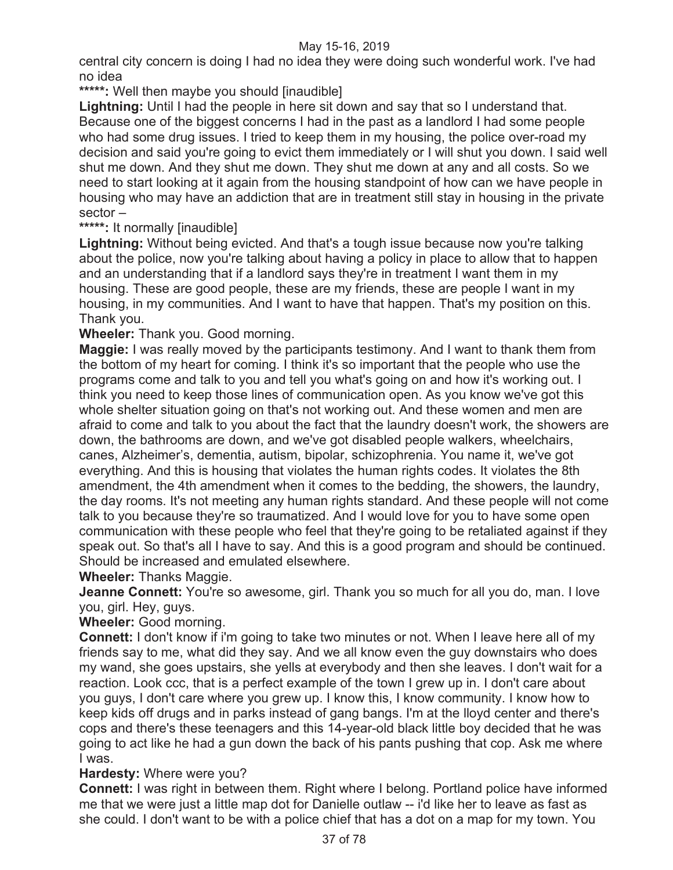central city concern is doing I had no idea they were doing such wonderful work. I've had no idea

**\*\*\*\*\*:** Well then maybe you should [inaudible]

**Lightning:** Until I had the people in here sit down and say that so I understand that. Because one of the biggest concerns I had in the past as a landlord I had some people who had some drug issues. I tried to keep them in my housing, the police over-road my decision and said you're going to evict them immediately or I will shut you down. I said well shut me down. And they shut me down. They shut me down at any and all costs. So we need to start looking at it again from the housing standpoint of how can we have people in housing who may have an addiction that are in treatment still stay in housing in the private sector –

## **\*\*\*\*\*:** It normally [inaudible]

**Lightning:** Without being evicted. And that's a tough issue because now you're talking about the police, now you're talking about having a policy in place to allow that to happen and an understanding that if a landlord says they're in treatment I want them in my housing. These are good people, these are my friends, these are people I want in my housing, in my communities. And I want to have that happen. That's my position on this. Thank you.

**Wheeler:** Thank you. Good morning.

**Maggie:** I was really moved by the participants testimony. And I want to thank them from the bottom of my heart for coming. I think it's so important that the people who use the programs come and talk to you and tell you what's going on and how it's working out. I think you need to keep those lines of communication open. As you know we've got this whole shelter situation going on that's not working out. And these women and men are afraid to come and talk to you about the fact that the laundry doesn't work, the showers are down, the bathrooms are down, and we've got disabled people walkers, wheelchairs, canes, Alzheimer's, dementia, autism, bipolar, schizophrenia. You name it, we've got everything. And this is housing that violates the human rights codes. It violates the 8th amendment, the 4th amendment when it comes to the bedding, the showers, the laundry, the day rooms. It's not meeting any human rights standard. And these people will not come talk to you because they're so traumatized. And I would love for you to have some open communication with these people who feel that they're going to be retaliated against if they speak out. So that's all I have to say. And this is a good program and should be continued. Should be increased and emulated elsewhere.

**Wheeler:** Thanks Maggie.

**Jeanne Connett:** You're so awesome, girl. Thank you so much for all you do, man. I love you, girl. Hey, guys.

**Wheeler:** Good morning.

**Connett:** I don't know if i'm going to take two minutes or not. When I leave here all of my friends say to me, what did they say. And we all know even the guy downstairs who does my wand, she goes upstairs, she yells at everybody and then she leaves. I don't wait for a reaction. Look ccc, that is a perfect example of the town I grew up in. I don't care about you guys, I don't care where you grew up. I know this, I know community. I know how to keep kids off drugs and in parks instead of gang bangs. I'm at the lloyd center and there's cops and there's these teenagers and this 14-year-old black little boy decided that he was going to act like he had a gun down the back of his pants pushing that cop. Ask me where I was.

# **Hardesty:** Where were you?

**Connett:** I was right in between them. Right where I belong. Portland police have informed me that we were just a little map dot for Danielle outlaw -- i'd like her to leave as fast as she could. I don't want to be with a police chief that has a dot on a map for my town. You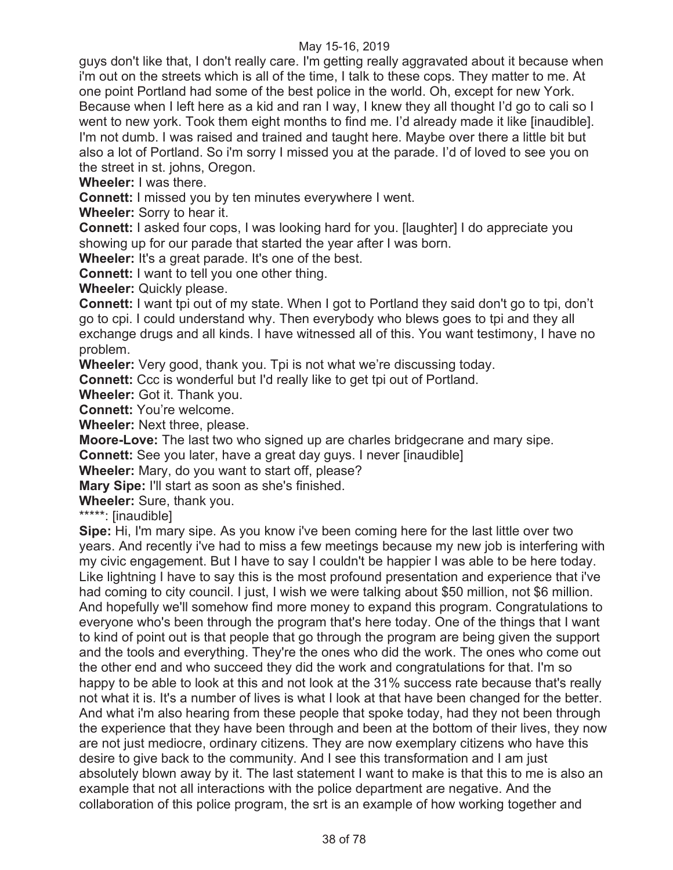guys don't like that, I don't really care. I'm getting really aggravated about it because when i'm out on the streets which is all of the time, I talk to these cops. They matter to me. At one point Portland had some of the best police in the world. Oh, except for new York. Because when I left here as a kid and ran I way, I knew they all thought I'd go to cali so I went to new york. Took them eight months to find me. I'd already made it like [inaudible]. I'm not dumb. I was raised and trained and taught here. Maybe over there a little bit but also a lot of Portland. So i'm sorry I missed you at the parade. I'd of loved to see you on the street in st. johns, Oregon.

**Wheeler:** I was there.

**Connett:** I missed you by ten minutes everywhere I went.

**Wheeler:** Sorry to hear it.

**Connett:** I asked four cops, I was looking hard for you. [laughter] I do appreciate you showing up for our parade that started the year after I was born.

**Wheeler:** It's a great parade. It's one of the best.

**Connett:** I want to tell you one other thing.

**Wheeler:** Quickly please.

**Connett:** I want tpi out of my state. When I got to Portland they said don't go to tpi, don't go to cpi. I could understand why. Then everybody who blews goes to tpi and they all exchange drugs and all kinds. I have witnessed all of this. You want testimony, I have no problem.

**Wheeler:** Very good, thank you. Tpi is not what we're discussing today.

**Connett:** Ccc is wonderful but I'd really like to get tpi out of Portland.

**Wheeler:** Got it. Thank you.

**Connett:** You're welcome.

**Wheeler:** Next three, please.

**Moore-Love:** The last two who signed up are charles bridgecrane and mary sipe.

**Connett:** See you later, have a great day guys. I never [inaudible]

**Wheeler:** Mary, do you want to start off, please?

**Mary Sipe:** I'll start as soon as she's finished.

**Wheeler:** Sure, thank you.

\*\*\*\*\*: [inaudible]

**Sipe:** Hi, I'm mary sipe. As you know i've been coming here for the last little over two years. And recently i've had to miss a few meetings because my new job is interfering with my civic engagement. But I have to say I couldn't be happier I was able to be here today. Like lightning I have to say this is the most profound presentation and experience that i've had coming to city council. I just, I wish we were talking about \$50 million, not \$6 million. And hopefully we'll somehow find more money to expand this program. Congratulations to everyone who's been through the program that's here today. One of the things that I want to kind of point out is that people that go through the program are being given the support and the tools and everything. They're the ones who did the work. The ones who come out the other end and who succeed they did the work and congratulations for that. I'm so happy to be able to look at this and not look at the 31% success rate because that's really not what it is. It's a number of lives is what I look at that have been changed for the better. And what i'm also hearing from these people that spoke today, had they not been through the experience that they have been through and been at the bottom of their lives, they now are not just mediocre, ordinary citizens. They are now exemplary citizens who have this desire to give back to the community. And I see this transformation and I am just absolutely blown away by it. The last statement I want to make is that this to me is also an example that not all interactions with the police department are negative. And the collaboration of this police program, the srt is an example of how working together and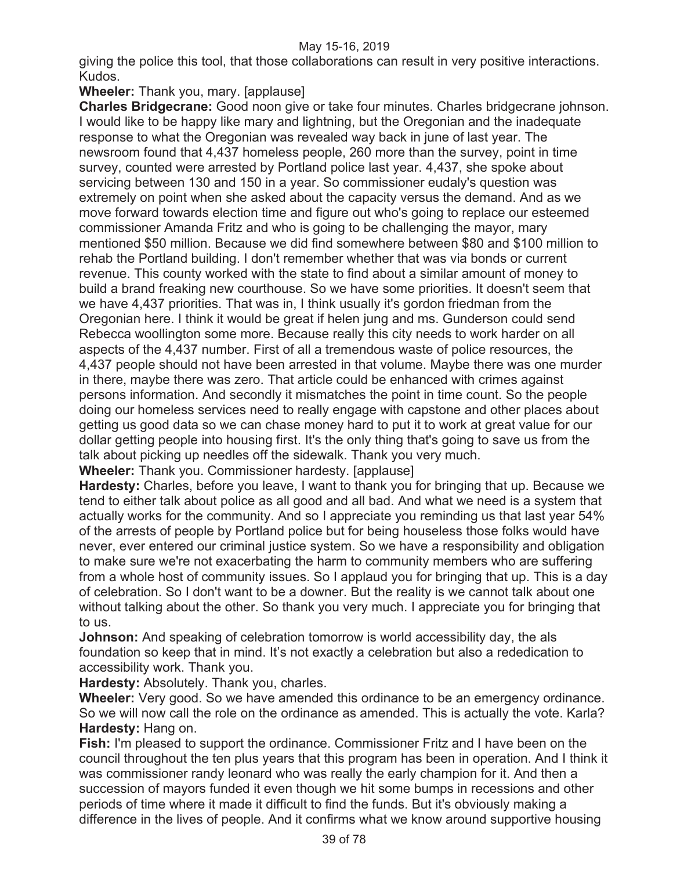giving the police this tool, that those collaborations can result in very positive interactions. Kudos.

# **Wheeler:** Thank you, mary. [applause]

**Charles Bridgecrane:** Good noon give or take four minutes. Charles bridgecrane johnson. I would like to be happy like mary and lightning, but the Oregonian and the inadequate response to what the Oregonian was revealed way back in june of last year. The newsroom found that 4,437 homeless people, 260 more than the survey, point in time survey, counted were arrested by Portland police last year. 4,437, she spoke about servicing between 130 and 150 in a year. So commissioner eudaly's question was extremely on point when she asked about the capacity versus the demand. And as we move forward towards election time and figure out who's going to replace our esteemed commissioner Amanda Fritz and who is going to be challenging the mayor, mary mentioned \$50 million. Because we did find somewhere between \$80 and \$100 million to rehab the Portland building. I don't remember whether that was via bonds or current revenue. This county worked with the state to find about a similar amount of money to build a brand freaking new courthouse. So we have some priorities. It doesn't seem that we have 4,437 priorities. That was in, I think usually it's gordon friedman from the Oregonian here. I think it would be great if helen jung and ms. Gunderson could send Rebecca woollington some more. Because really this city needs to work harder on all aspects of the 4,437 number. First of all a tremendous waste of police resources, the 4,437 people should not have been arrested in that volume. Maybe there was one murder in there, maybe there was zero. That article could be enhanced with crimes against persons information. And secondly it mismatches the point in time count. So the people doing our homeless services need to really engage with capstone and other places about getting us good data so we can chase money hard to put it to work at great value for our dollar getting people into housing first. It's the only thing that's going to save us from the talk about picking up needles off the sidewalk. Thank you very much.

**Wheeler:** Thank you. Commissioner hardesty. [applause]

**Hardesty:** Charles, before you leave, I want to thank you for bringing that up. Because we tend to either talk about police as all good and all bad. And what we need is a system that actually works for the community. And so I appreciate you reminding us that last year 54% of the arrests of people by Portland police but for being houseless those folks would have never, ever entered our criminal justice system. So we have a responsibility and obligation to make sure we're not exacerbating the harm to community members who are suffering from a whole host of community issues. So I applaud you for bringing that up. This is a day of celebration. So I don't want to be a downer. But the reality is we cannot talk about one without talking about the other. So thank you very much. I appreciate you for bringing that to us.

**Johnson:** And speaking of celebration tomorrow is world accessibility day, the als foundation so keep that in mind. It's not exactly a celebration but also a rededication to accessibility work. Thank you.

**Hardesty:** Absolutely. Thank you, charles.

**Wheeler:** Very good. So we have amended this ordinance to be an emergency ordinance. So we will now call the role on the ordinance as amended. This is actually the vote. Karla? **Hardesty:** Hang on.

**Fish:** I'm pleased to support the ordinance. Commissioner Fritz and I have been on the council throughout the ten plus years that this program has been in operation. And I think it was commissioner randy leonard who was really the early champion for it. And then a succession of mayors funded it even though we hit some bumps in recessions and other periods of time where it made it difficult to find the funds. But it's obviously making a difference in the lives of people. And it confirms what we know around supportive housing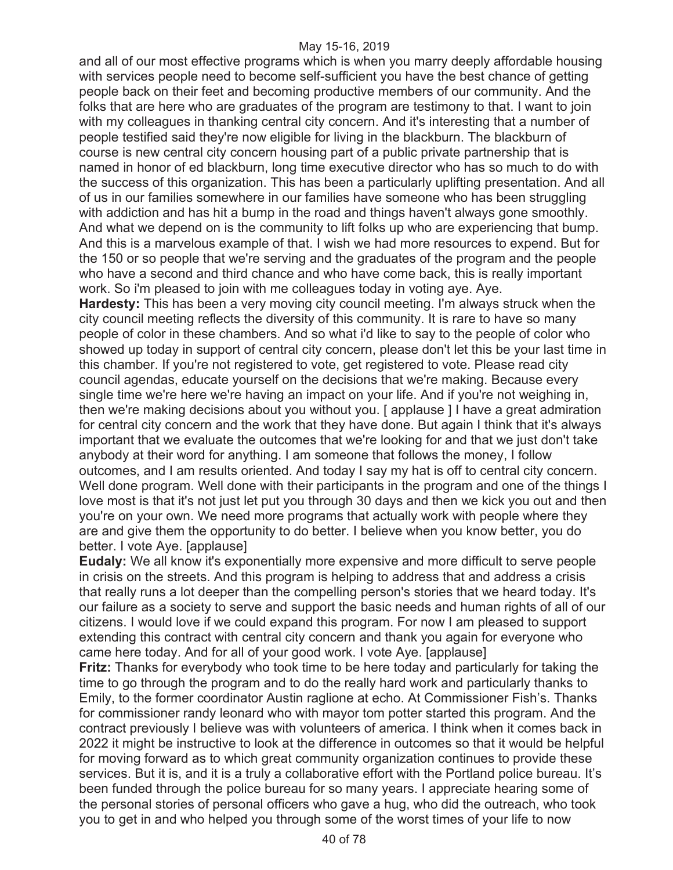and all of our most effective programs which is when you marry deeply affordable housing with services people need to become self-sufficient you have the best chance of getting people back on their feet and becoming productive members of our community. And the folks that are here who are graduates of the program are testimony to that. I want to join with my colleagues in thanking central city concern. And it's interesting that a number of people testified said they're now eligible for living in the blackburn. The blackburn of course is new central city concern housing part of a public private partnership that is named in honor of ed blackburn, long time executive director who has so much to do with the success of this organization. This has been a particularly uplifting presentation. And all of us in our families somewhere in our families have someone who has been struggling with addiction and has hit a bump in the road and things haven't always gone smoothly. And what we depend on is the community to lift folks up who are experiencing that bump. And this is a marvelous example of that. I wish we had more resources to expend. But for the 150 or so people that we're serving and the graduates of the program and the people who have a second and third chance and who have come back, this is really important work. So i'm pleased to join with me colleagues today in voting aye. Aye.

**Hardesty:** This has been a very moving city council meeting. I'm always struck when the city council meeting reflects the diversity of this community. It is rare to have so many people of color in these chambers. And so what i'd like to say to the people of color who showed up today in support of central city concern, please don't let this be your last time in this chamber. If you're not registered to vote, get registered to vote. Please read city council agendas, educate yourself on the decisions that we're making. Because every single time we're here we're having an impact on your life. And if you're not weighing in, then we're making decisions about you without you. [ applause ] I have a great admiration for central city concern and the work that they have done. But again I think that it's always important that we evaluate the outcomes that we're looking for and that we just don't take anybody at their word for anything. I am someone that follows the money, I follow outcomes, and I am results oriented. And today I say my hat is off to central city concern. Well done program. Well done with their participants in the program and one of the things I love most is that it's not just let put you through 30 days and then we kick you out and then you're on your own. We need more programs that actually work with people where they are and give them the opportunity to do better. I believe when you know better, you do better. I vote Aye. [applause]

**Eudaly:** We all know it's exponentially more expensive and more difficult to serve people in crisis on the streets. And this program is helping to address that and address a crisis that really runs a lot deeper than the compelling person's stories that we heard today. It's our failure as a society to serve and support the basic needs and human rights of all of our citizens. I would love if we could expand this program. For now I am pleased to support extending this contract with central city concern and thank you again for everyone who came here today. And for all of your good work. I vote Aye. [applause]

**Fritz:** Thanks for everybody who took time to be here today and particularly for taking the time to go through the program and to do the really hard work and particularly thanks to Emily, to the former coordinator Austin raglione at echo. At Commissioner Fish's. Thanks for commissioner randy leonard who with mayor tom potter started this program. And the contract previously I believe was with volunteers of america. I think when it comes back in 2022 it might be instructive to look at the difference in outcomes so that it would be helpful for moving forward as to which great community organization continues to provide these services. But it is, and it is a truly a collaborative effort with the Portland police bureau. It's been funded through the police bureau for so many years. I appreciate hearing some of the personal stories of personal officers who gave a hug, who did the outreach, who took you to get in and who helped you through some of the worst times of your life to now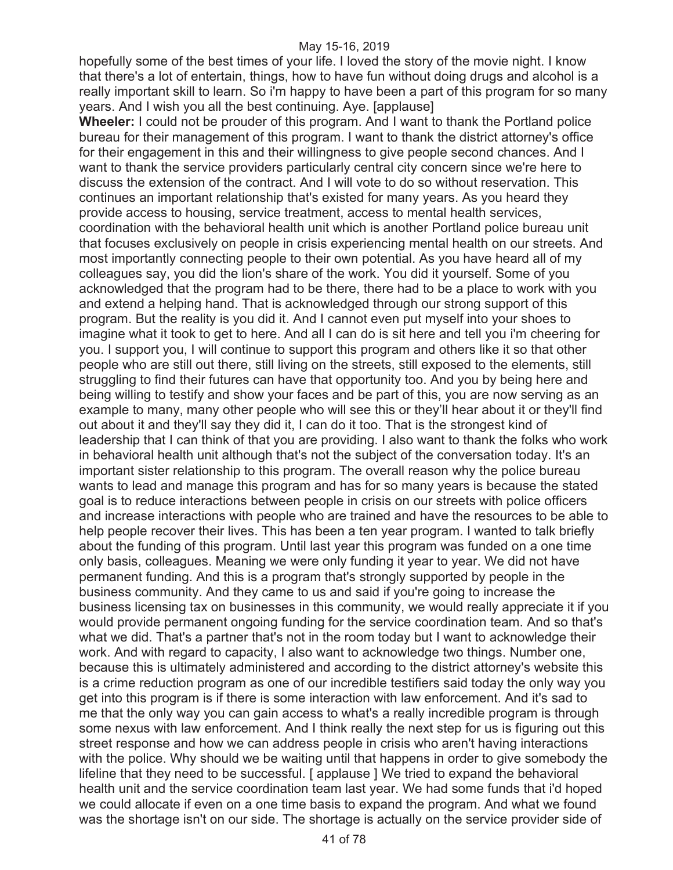hopefully some of the best times of your life. I loved the story of the movie night. I know that there's a lot of entertain, things, how to have fun without doing drugs and alcohol is a really important skill to learn. So i'm happy to have been a part of this program for so many years. And I wish you all the best continuing. Aye. [applause]

**Wheeler:** I could not be prouder of this program. And I want to thank the Portland police bureau for their management of this program. I want to thank the district attorney's office for their engagement in this and their willingness to give people second chances. And I want to thank the service providers particularly central city concern since we're here to discuss the extension of the contract. And I will vote to do so without reservation. This continues an important relationship that's existed for many years. As you heard they provide access to housing, service treatment, access to mental health services, coordination with the behavioral health unit which is another Portland police bureau unit that focuses exclusively on people in crisis experiencing mental health on our streets. And most importantly connecting people to their own potential. As you have heard all of my colleagues say, you did the lion's share of the work. You did it yourself. Some of you acknowledged that the program had to be there, there had to be a place to work with you and extend a helping hand. That is acknowledged through our strong support of this program. But the reality is you did it. And I cannot even put myself into your shoes to imagine what it took to get to here. And all I can do is sit here and tell you i'm cheering for you. I support you, I will continue to support this program and others like it so that other people who are still out there, still living on the streets, still exposed to the elements, still struggling to find their futures can have that opportunity too. And you by being here and being willing to testify and show your faces and be part of this, you are now serving as an example to many, many other people who will see this or they'll hear about it or they'll find out about it and they'll say they did it, I can do it too. That is the strongest kind of leadership that I can think of that you are providing. I also want to thank the folks who work in behavioral health unit although that's not the subject of the conversation today. It's an important sister relationship to this program. The overall reason why the police bureau wants to lead and manage this program and has for so many years is because the stated goal is to reduce interactions between people in crisis on our streets with police officers and increase interactions with people who are trained and have the resources to be able to help people recover their lives. This has been a ten year program. I wanted to talk briefly about the funding of this program. Until last year this program was funded on a one time only basis, colleagues. Meaning we were only funding it year to year. We did not have permanent funding. And this is a program that's strongly supported by people in the business community. And they came to us and said if you're going to increase the business licensing tax on businesses in this community, we would really appreciate it if you would provide permanent ongoing funding for the service coordination team. And so that's what we did. That's a partner that's not in the room today but I want to acknowledge their work. And with regard to capacity, I also want to acknowledge two things. Number one, because this is ultimately administered and according to the district attorney's website this is a crime reduction program as one of our incredible testifiers said today the only way you get into this program is if there is some interaction with law enforcement. And it's sad to me that the only way you can gain access to what's a really incredible program is through some nexus with law enforcement. And I think really the next step for us is figuring out this street response and how we can address people in crisis who aren't having interactions with the police. Why should we be waiting until that happens in order to give somebody the lifeline that they need to be successful. [ applause ] We tried to expand the behavioral health unit and the service coordination team last year. We had some funds that i'd hoped we could allocate if even on a one time basis to expand the program. And what we found was the shortage isn't on our side. The shortage is actually on the service provider side of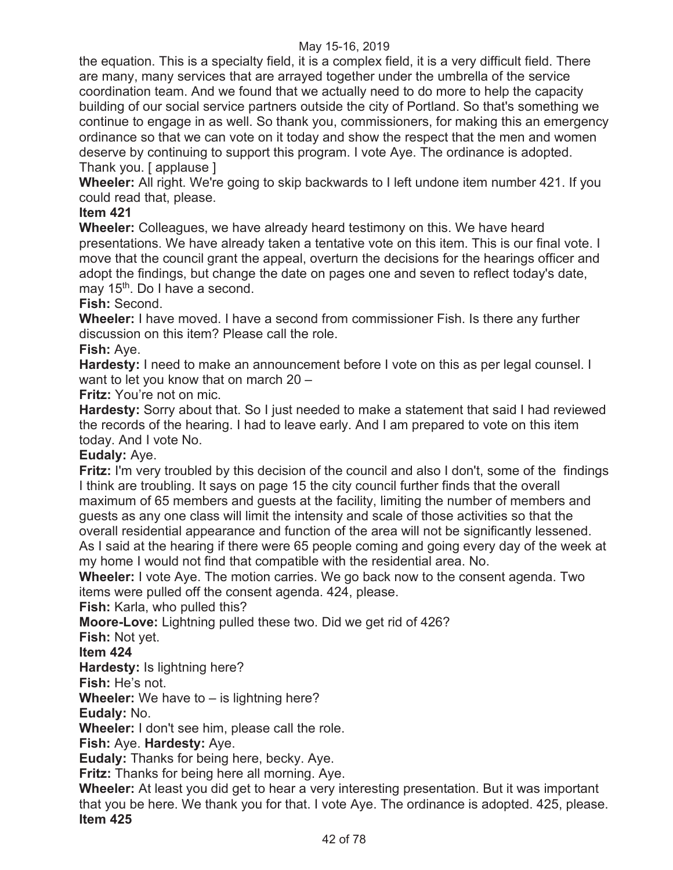the equation. This is a specialty field, it is a complex field, it is a very difficult field. There are many, many services that are arrayed together under the umbrella of the service coordination team. And we found that we actually need to do more to help the capacity building of our social service partners outside the city of Portland. So that's something we continue to engage in as well. So thank you, commissioners, for making this an emergency ordinance so that we can vote on it today and show the respect that the men and women deserve by continuing to support this program. I vote Aye. The ordinance is adopted. Thank you. [ applause ]

**Wheeler:** All right. We're going to skip backwards to I left undone item number 421. If you could read that, please.

# **Item 421**

**Wheeler:** Colleagues, we have already heard testimony on this. We have heard presentations. We have already taken a tentative vote on this item. This is our final vote. I move that the council grant the appeal, overturn the decisions for the hearings officer and adopt the findings, but change the date on pages one and seven to reflect today's date, may 15<sup>th</sup>. Do I have a second.

**Fish:** Second.

**Wheeler:** I have moved. I have a second from commissioner Fish. Is there any further discussion on this item? Please call the role.

**Fish:** Aye.

**Hardesty:** I need to make an announcement before I vote on this as per legal counsel. I want to let you know that on march 20 –

**Fritz:** You're not on mic.

**Hardesty:** Sorry about that. So I just needed to make a statement that said I had reviewed the records of the hearing. I had to leave early. And I am prepared to vote on this item today. And I vote No.

**Eudaly:** Aye.

**Fritz:** I'm very troubled by this decision of the council and also I don't, some of the findings I think are troubling. It says on page 15 the city council further finds that the overall maximum of 65 members and guests at the facility, limiting the number of members and guests as any one class will limit the intensity and scale of those activities so that the overall residential appearance and function of the area will not be significantly lessened. As I said at the hearing if there were 65 people coming and going every day of the week at my home I would not find that compatible with the residential area. No.

**Wheeler:** I vote Aye. The motion carries. We go back now to the consent agenda. Two items were pulled off the consent agenda. 424, please.

**Fish:** Karla, who pulled this?

**Moore-Love:** Lightning pulled these two. Did we get rid of 426?

**Fish:** Not yet.

**Item 424** 

**Hardesty:** Is lightning here?

**Fish:** He's not.

**Wheeler:** We have to – is lightning here?

**Eudaly:** No.

**Wheeler:** I don't see him, please call the role.

**Fish:** Aye. **Hardesty:** Aye.

**Eudaly:** Thanks for being here, becky. Aye.

**Fritz:** Thanks for being here all morning. Aye.

**Wheeler:** At least you did get to hear a very interesting presentation. But it was important that you be here. We thank you for that. I vote Aye. The ordinance is adopted. 425, please. **Item 425**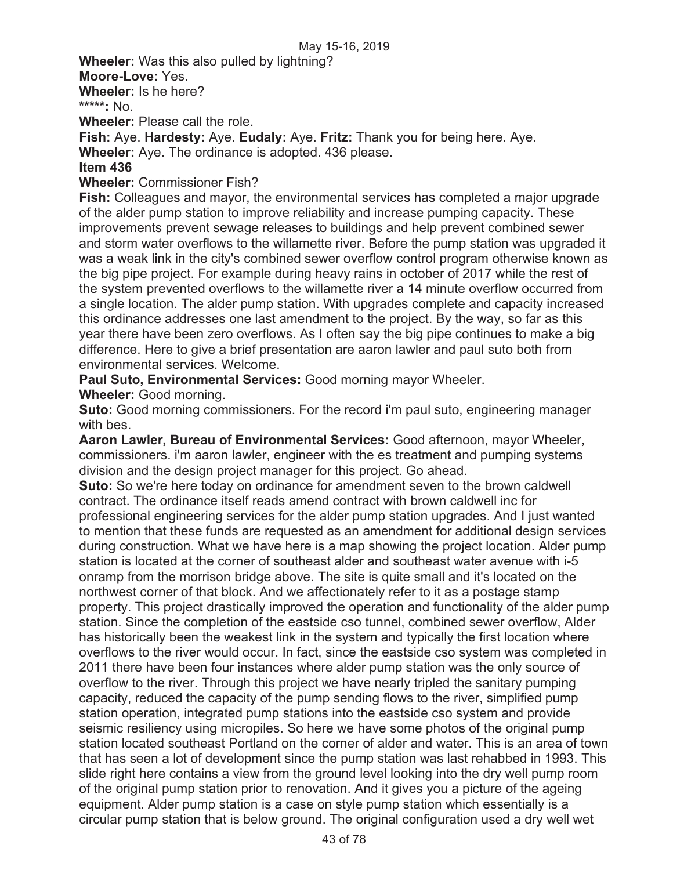**Wheeler:** Was this also pulled by lightning?

**Moore-Love:** Yes.

**Wheeler:** Is he here?

**\*\*\*\*\*:** No.

**Wheeler:** Please call the role.

**Fish:** Aye. **Hardesty:** Aye. **Eudaly:** Aye. **Fritz:** Thank you for being here. Aye.

**Wheeler:** Aye. The ordinance is adopted. 436 please.

## **Item 436**

**Wheeler:** Commissioner Fish?

**Fish:** Colleagues and mayor, the environmental services has completed a major upgrade of the alder pump station to improve reliability and increase pumping capacity. These improvements prevent sewage releases to buildings and help prevent combined sewer and storm water overflows to the willamette river. Before the pump station was upgraded it was a weak link in the city's combined sewer overflow control program otherwise known as the big pipe project. For example during heavy rains in october of 2017 while the rest of the system prevented overflows to the willamette river a 14 minute overflow occurred from a single location. The alder pump station. With upgrades complete and capacity increased this ordinance addresses one last amendment to the project. By the way, so far as this year there have been zero overflows. As I often say the big pipe continues to make a big difference. Here to give a brief presentation are aaron lawler and paul suto both from environmental services. Welcome.

**Paul Suto, Environmental Services:** Good morning mayor Wheeler.

**Wheeler:** Good morning.

**Suto:** Good morning commissioners. For the record i'm paul suto, engineering manager with bes.

**Aaron Lawler, Bureau of Environmental Services:** Good afternoon, mayor Wheeler, commissioners. i'm aaron lawler, engineer with the es treatment and pumping systems division and the design project manager for this project. Go ahead.

**Suto:** So we're here today on ordinance for amendment seven to the brown caldwell contract. The ordinance itself reads amend contract with brown caldwell inc for professional engineering services for the alder pump station upgrades. And I just wanted to mention that these funds are requested as an amendment for additional design services during construction. What we have here is a map showing the project location. Alder pump station is located at the corner of southeast alder and southeast water avenue with i-5 onramp from the morrison bridge above. The site is quite small and it's located on the northwest corner of that block. And we affectionately refer to it as a postage stamp property. This project drastically improved the operation and functionality of the alder pump station. Since the completion of the eastside cso tunnel, combined sewer overflow, Alder has historically been the weakest link in the system and typically the first location where overflows to the river would occur. In fact, since the eastside cso system was completed in 2011 there have been four instances where alder pump station was the only source of overflow to the river. Through this project we have nearly tripled the sanitary pumping capacity, reduced the capacity of the pump sending flows to the river, simplified pump station operation, integrated pump stations into the eastside cso system and provide seismic resiliency using micropiles. So here we have some photos of the original pump station located southeast Portland on the corner of alder and water. This is an area of town that has seen a lot of development since the pump station was last rehabbed in 1993. This slide right here contains a view from the ground level looking into the dry well pump room of the original pump station prior to renovation. And it gives you a picture of the ageing equipment. Alder pump station is a case on style pump station which essentially is a circular pump station that is below ground. The original configuration used a dry well wet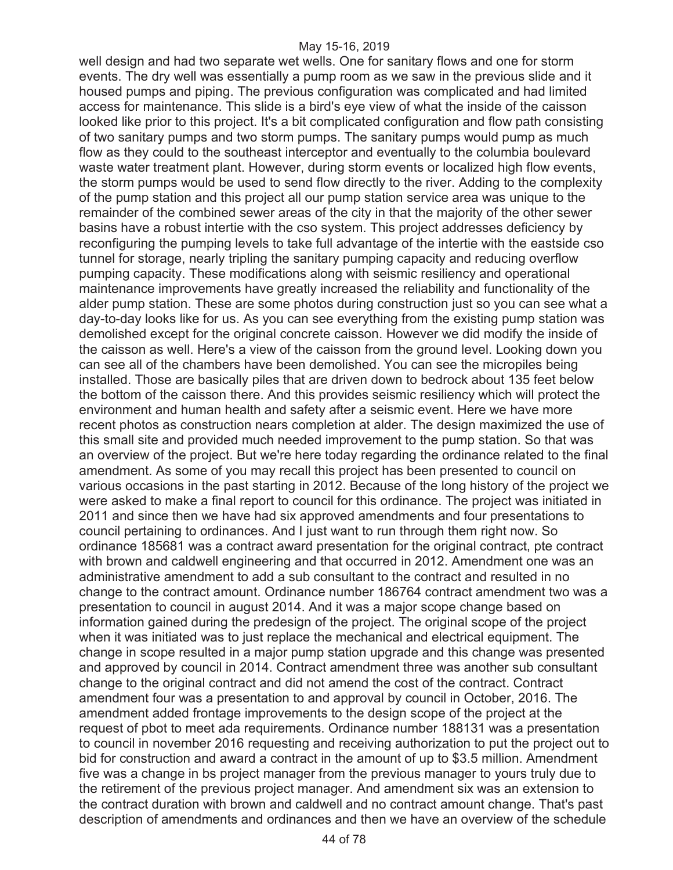well design and had two separate wet wells. One for sanitary flows and one for storm events. The dry well was essentially a pump room as we saw in the previous slide and it housed pumps and piping. The previous configuration was complicated and had limited access for maintenance. This slide is a bird's eye view of what the inside of the caisson looked like prior to this project. It's a bit complicated configuration and flow path consisting of two sanitary pumps and two storm pumps. The sanitary pumps would pump as much flow as they could to the southeast interceptor and eventually to the columbia boulevard waste water treatment plant. However, during storm events or localized high flow events, the storm pumps would be used to send flow directly to the river. Adding to the complexity of the pump station and this project all our pump station service area was unique to the remainder of the combined sewer areas of the city in that the majority of the other sewer basins have a robust intertie with the cso system. This project addresses deficiency by reconfiguring the pumping levels to take full advantage of the intertie with the eastside cso tunnel for storage, nearly tripling the sanitary pumping capacity and reducing overflow pumping capacity. These modifications along with seismic resiliency and operational maintenance improvements have greatly increased the reliability and functionality of the alder pump station. These are some photos during construction just so you can see what a day-to-day looks like for us. As you can see everything from the existing pump station was demolished except for the original concrete caisson. However we did modify the inside of the caisson as well. Here's a view of the caisson from the ground level. Looking down you can see all of the chambers have been demolished. You can see the micropiles being installed. Those are basically piles that are driven down to bedrock about 135 feet below the bottom of the caisson there. And this provides seismic resiliency which will protect the environment and human health and safety after a seismic event. Here we have more recent photos as construction nears completion at alder. The design maximized the use of this small site and provided much needed improvement to the pump station. So that was an overview of the project. But we're here today regarding the ordinance related to the final amendment. As some of you may recall this project has been presented to council on various occasions in the past starting in 2012. Because of the long history of the project we were asked to make a final report to council for this ordinance. The project was initiated in 2011 and since then we have had six approved amendments and four presentations to council pertaining to ordinances. And I just want to run through them right now. So ordinance 185681 was a contract award presentation for the original contract, pte contract with brown and caldwell engineering and that occurred in 2012. Amendment one was an administrative amendment to add a sub consultant to the contract and resulted in no change to the contract amount. Ordinance number 186764 contract amendment two was a presentation to council in august 2014. And it was a major scope change based on information gained during the predesign of the project. The original scope of the project when it was initiated was to just replace the mechanical and electrical equipment. The change in scope resulted in a major pump station upgrade and this change was presented and approved by council in 2014. Contract amendment three was another sub consultant change to the original contract and did not amend the cost of the contract. Contract amendment four was a presentation to and approval by council in October, 2016. The amendment added frontage improvements to the design scope of the project at the request of pbot to meet ada requirements. Ordinance number 188131 was a presentation to council in november 2016 requesting and receiving authorization to put the project out to bid for construction and award a contract in the amount of up to \$3.5 million. Amendment five was a change in bs project manager from the previous manager to yours truly due to the retirement of the previous project manager. And amendment six was an extension to the contract duration with brown and caldwell and no contract amount change. That's past description of amendments and ordinances and then we have an overview of the schedule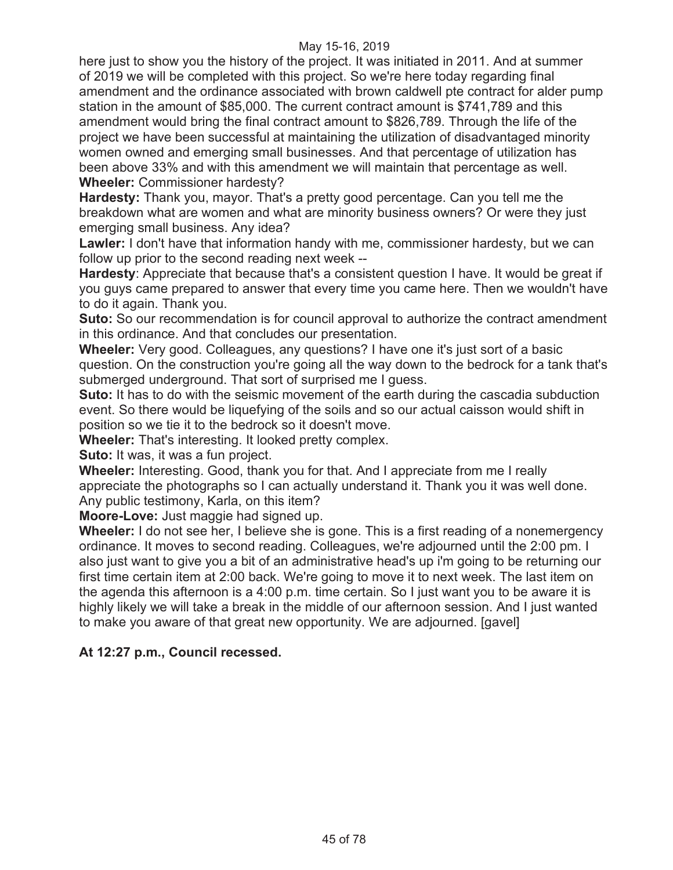here just to show you the history of the project. It was initiated in 2011. And at summer of 2019 we will be completed with this project. So we're here today regarding final amendment and the ordinance associated with brown caldwell pte contract for alder pump station in the amount of \$85,000. The current contract amount is \$741,789 and this amendment would bring the final contract amount to \$826,789. Through the life of the project we have been successful at maintaining the utilization of disadvantaged minority women owned and emerging small businesses. And that percentage of utilization has been above 33% and with this amendment we will maintain that percentage as well. **Wheeler:** Commissioner hardesty?

**Hardesty:** Thank you, mayor. That's a pretty good percentage. Can you tell me the breakdown what are women and what are minority business owners? Or were they just emerging small business. Any idea?

**Lawler:** I don't have that information handy with me, commissioner hardesty, but we can follow up prior to the second reading next week --

**Hardesty**: Appreciate that because that's a consistent question I have. It would be great if you guys came prepared to answer that every time you came here. Then we wouldn't have to do it again. Thank you.

**Suto:** So our recommendation is for council approval to authorize the contract amendment in this ordinance. And that concludes our presentation.

**Wheeler:** Very good. Colleagues, any questions? I have one it's just sort of a basic question. On the construction you're going all the way down to the bedrock for a tank that's submerged underground. That sort of surprised me I guess.

**Suto:** It has to do with the seismic movement of the earth during the cascadia subduction event. So there would be liquefying of the soils and so our actual caisson would shift in position so we tie it to the bedrock so it doesn't move.

**Wheeler:** That's interesting. It looked pretty complex.

**Suto:** It was, it was a fun project.

**Wheeler:** Interesting. Good, thank you for that. And I appreciate from me I really appreciate the photographs so I can actually understand it. Thank you it was well done. Any public testimony, Karla, on this item?

**Moore-Love:** Just maggie had signed up.

**Wheeler:** I do not see her, I believe she is gone. This is a first reading of a nonemergency ordinance. It moves to second reading. Colleagues, we're adjourned until the 2:00 pm. I also just want to give you a bit of an administrative head's up i'm going to be returning our first time certain item at 2:00 back. We're going to move it to next week. The last item on the agenda this afternoon is a 4:00 p.m. time certain. So I just want you to be aware it is highly likely we will take a break in the middle of our afternoon session. And I just wanted to make you aware of that great new opportunity. We are adjourned. [gavel]

# **At 12:27 p.m., Council recessed.**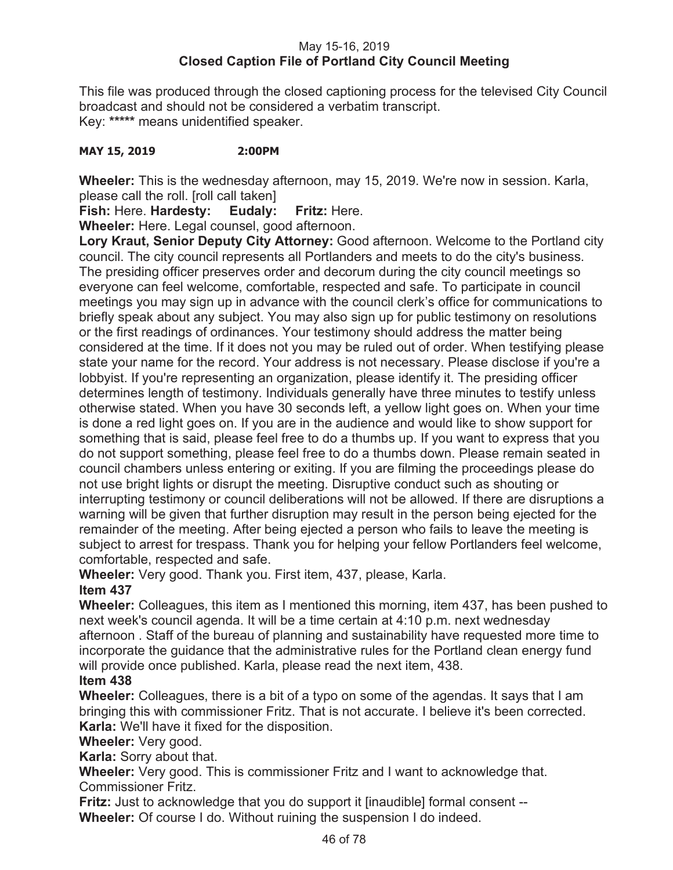# May 15-16, 2019 **Closed Caption File of Portland City Council Meeting**

This file was produced through the closed captioning process for the televised City Council broadcast and should not be considered a verbatim transcript. Key: **\*\*\*\*\*** means unidentified speaker.

## **MAY 15, 2019 2:00PM**

**Wheeler:** This is the wednesday afternoon, may 15, 2019. We're now in session. Karla, please call the roll. [roll call taken]

**Fish:** Here. **Hardesty: Eudaly: Fritz:** Here.

**Wheeler:** Here. Legal counsel, good afternoon.

**Lory Kraut, Senior Deputy City Attorney:** Good afternoon. Welcome to the Portland city council. The city council represents all Portlanders and meets to do the city's business. The presiding officer preserves order and decorum during the city council meetings so everyone can feel welcome, comfortable, respected and safe. To participate in council meetings you may sign up in advance with the council clerk's office for communications to briefly speak about any subject. You may also sign up for public testimony on resolutions or the first readings of ordinances. Your testimony should address the matter being considered at the time. If it does not you may be ruled out of order. When testifying please state your name for the record. Your address is not necessary. Please disclose if you're a lobbyist. If you're representing an organization, please identify it. The presiding officer determines length of testimony. Individuals generally have three minutes to testify unless otherwise stated. When you have 30 seconds left, a yellow light goes on. When your time is done a red light goes on. If you are in the audience and would like to show support for something that is said, please feel free to do a thumbs up. If you want to express that you do not support something, please feel free to do a thumbs down. Please remain seated in council chambers unless entering or exiting. If you are filming the proceedings please do not use bright lights or disrupt the meeting. Disruptive conduct such as shouting or interrupting testimony or council deliberations will not be allowed. If there are disruptions a warning will be given that further disruption may result in the person being ejected for the remainder of the meeting. After being ejected a person who fails to leave the meeting is subject to arrest for trespass. Thank you for helping your fellow Portlanders feel welcome, comfortable, respected and safe.

**Wheeler:** Very good. Thank you. First item, 437, please, Karla.

# **Item 437**

**Wheeler:** Colleagues, this item as I mentioned this morning, item 437, has been pushed to next week's council agenda. It will be a time certain at 4:10 p.m. next wednesday afternoon . Staff of the bureau of planning and sustainability have requested more time to incorporate the guidance that the administrative rules for the Portland clean energy fund will provide once published. Karla, please read the next item, 438.

# **Item 438**

**Wheeler:** Colleagues, there is a bit of a typo on some of the agendas. It says that I am bringing this with commissioner Fritz. That is not accurate. I believe it's been corrected. **Karla:** We'll have it fixed for the disposition.

**Wheeler:** Very good.

**Karla:** Sorry about that.

**Wheeler:** Very good. This is commissioner Fritz and I want to acknowledge that. Commissioner Fritz.

**Fritz:** Just to acknowledge that you do support it [inaudible] formal consent -- **Wheeler:** Of course I do. Without ruining the suspension I do indeed.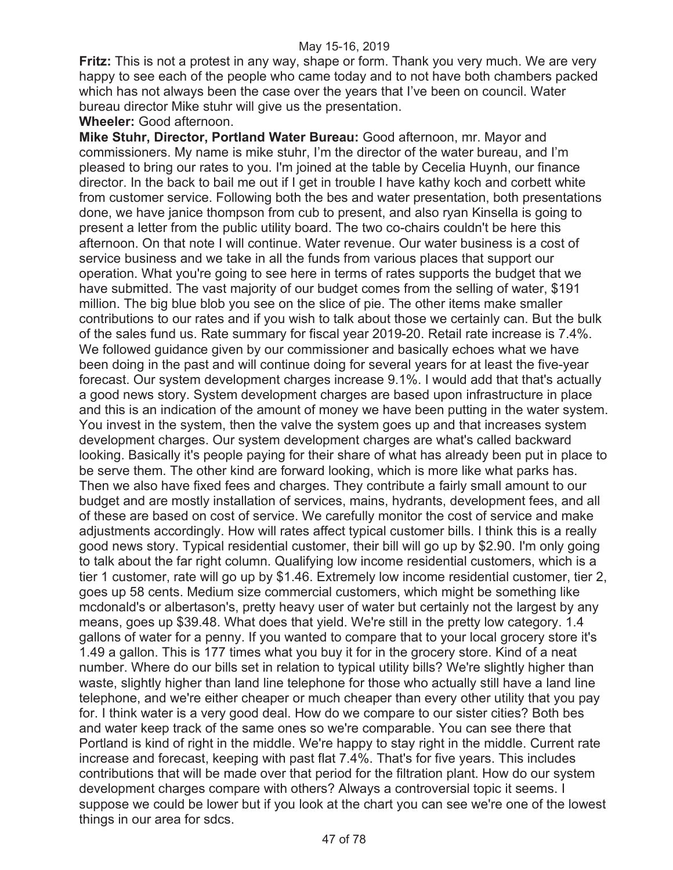**Fritz:** This is not a protest in any way, shape or form. Thank you very much. We are very happy to see each of the people who came today and to not have both chambers packed which has not always been the case over the years that I've been on council. Water bureau director Mike stuhr will give us the presentation.

**Wheeler:** Good afternoon.

**Mike Stuhr, Director, Portland Water Bureau:** Good afternoon, mr. Mayor and commissioners. My name is mike stuhr, I'm the director of the water bureau, and I'm pleased to bring our rates to you. I'm joined at the table by Cecelia Huynh, our finance director. In the back to bail me out if I get in trouble I have kathy koch and corbett white from customer service. Following both the bes and water presentation, both presentations done, we have janice thompson from cub to present, and also ryan Kinsella is going to present a letter from the public utility board. The two co-chairs couldn't be here this afternoon. On that note I will continue. Water revenue. Our water business is a cost of service business and we take in all the funds from various places that support our operation. What you're going to see here in terms of rates supports the budget that we have submitted. The vast majority of our budget comes from the selling of water, \$191 million. The big blue blob you see on the slice of pie. The other items make smaller contributions to our rates and if you wish to talk about those we certainly can. But the bulk of the sales fund us. Rate summary for fiscal year 2019-20. Retail rate increase is 7.4%. We followed guidance given by our commissioner and basically echoes what we have been doing in the past and will continue doing for several years for at least the five-year forecast. Our system development charges increase 9.1%. I would add that that's actually a good news story. System development charges are based upon infrastructure in place and this is an indication of the amount of money we have been putting in the water system. You invest in the system, then the valve the system goes up and that increases system development charges. Our system development charges are what's called backward looking. Basically it's people paying for their share of what has already been put in place to be serve them. The other kind are forward looking, which is more like what parks has. Then we also have fixed fees and charges. They contribute a fairly small amount to our budget and are mostly installation of services, mains, hydrants, development fees, and all of these are based on cost of service. We carefully monitor the cost of service and make adjustments accordingly. How will rates affect typical customer bills. I think this is a really good news story. Typical residential customer, their bill will go up by \$2.90. I'm only going to talk about the far right column. Qualifying low income residential customers, which is a tier 1 customer, rate will go up by \$1.46. Extremely low income residential customer, tier 2, goes up 58 cents. Medium size commercial customers, which might be something like mcdonald's or albertason's, pretty heavy user of water but certainly not the largest by any means, goes up \$39.48. What does that yield. We're still in the pretty low category. 1.4 gallons of water for a penny. If you wanted to compare that to your local grocery store it's 1.49 a gallon. This is 177 times what you buy it for in the grocery store. Kind of a neat number. Where do our bills set in relation to typical utility bills? We're slightly higher than waste, slightly higher than land line telephone for those who actually still have a land line telephone, and we're either cheaper or much cheaper than every other utility that you pay for. I think water is a very good deal. How do we compare to our sister cities? Both bes and water keep track of the same ones so we're comparable. You can see there that Portland is kind of right in the middle. We're happy to stay right in the middle. Current rate increase and forecast, keeping with past flat 7.4%. That's for five years. This includes contributions that will be made over that period for the filtration plant. How do our system development charges compare with others? Always a controversial topic it seems. I suppose we could be lower but if you look at the chart you can see we're one of the lowest things in our area for sdcs.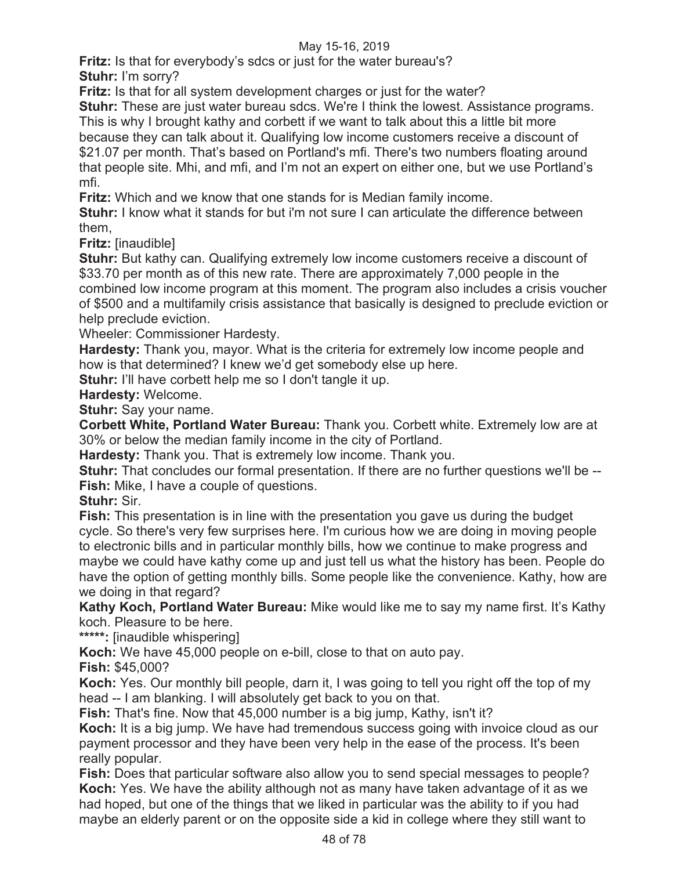**Fritz:** Is that for everybody's sdcs or just for the water bureau's? **Stuhr:** I'm sorry?

**Fritz:** Is that for all system development charges or just for the water?

**Stuhr:** These are just water bureau sdcs. We're I think the lowest. Assistance programs. This is why I brought kathy and corbett if we want to talk about this a little bit more because they can talk about it. Qualifying low income customers receive a discount of \$21.07 per month. That's based on Portland's mfi. There's two numbers floating around that people site. Mhi, and mfi, and I'm not an expert on either one, but we use Portland's mfi.

**Fritz:** Which and we know that one stands for is Median family income.

**Stuhr:** I know what it stands for but i'm not sure I can articulate the difference between them,

**Fritz:** [inaudible]

**Stuhr:** But kathy can. Qualifying extremely low income customers receive a discount of \$33.70 per month as of this new rate. There are approximately 7,000 people in the combined low income program at this moment. The program also includes a crisis voucher of \$500 and a multifamily crisis assistance that basically is designed to preclude eviction or help preclude eviction.

Wheeler: Commissioner Hardesty.

**Hardesty:** Thank you, mayor. What is the criteria for extremely low income people and how is that determined? I knew we'd get somebody else up here.

**Stuhr:** I'll have corbett help me so I don't tangle it up.

**Hardesty:** Welcome.

**Stuhr:** Say your name.

**Corbett White, Portland Water Bureau:** Thank you. Corbett white. Extremely low are at 30% or below the median family income in the city of Portland.

**Hardesty:** Thank you. That is extremely low income. Thank you.

**Stuhr:** That concludes our formal presentation. If there are no further questions we'll be -- **Fish:** Mike, I have a couple of questions.

**Stuhr:** Sir.

**Fish:** This presentation is in line with the presentation you gave us during the budget cycle. So there's very few surprises here. I'm curious how we are doing in moving people to electronic bills and in particular monthly bills, how we continue to make progress and maybe we could have kathy come up and just tell us what the history has been. People do have the option of getting monthly bills. Some people like the convenience. Kathy, how are we doing in that regard?

**Kathy Koch, Portland Water Bureau:** Mike would like me to say my name first. It's Kathy koch. Pleasure to be here.

**\*\*\*\*\*:** [inaudible whispering]

**Koch:** We have 45,000 people on e-bill, close to that on auto pay.

**Fish:** \$45,000?

**Koch:** Yes. Our monthly bill people, darn it, I was going to tell you right off the top of my head -- I am blanking. I will absolutely get back to you on that.

**Fish:** That's fine. Now that 45,000 number is a big jump, Kathy, isn't it?

**Koch:** It is a big jump. We have had tremendous success going with invoice cloud as our payment processor and they have been very help in the ease of the process. It's been really popular.

**Fish:** Does that particular software also allow you to send special messages to people? **Koch:** Yes. We have the ability although not as many have taken advantage of it as we had hoped, but one of the things that we liked in particular was the ability to if you had maybe an elderly parent or on the opposite side a kid in college where they still want to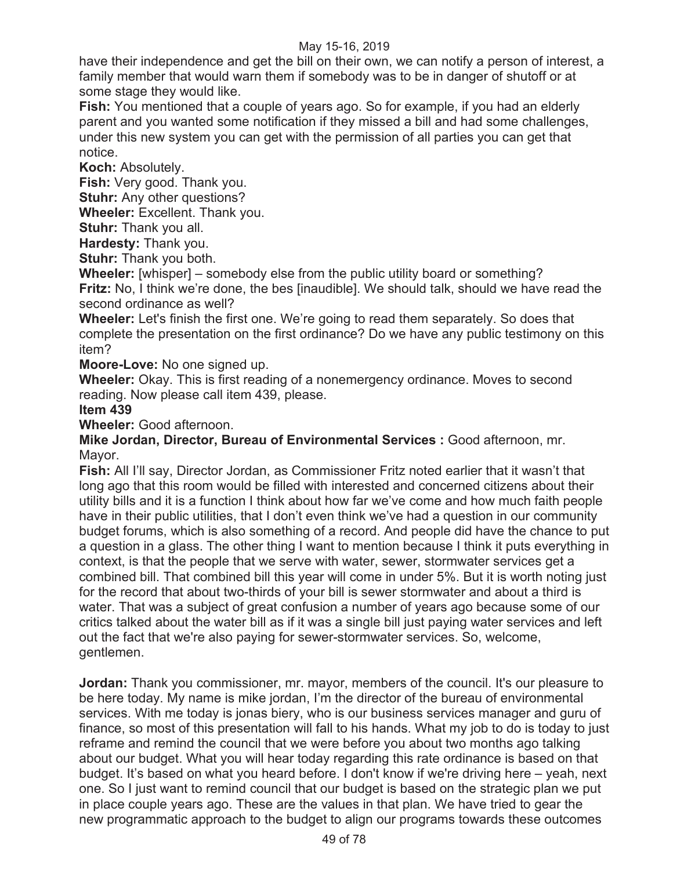have their independence and get the bill on their own, we can notify a person of interest, a family member that would warn them if somebody was to be in danger of shutoff or at some stage they would like.

**Fish:** You mentioned that a couple of years ago. So for example, if you had an elderly parent and you wanted some notification if they missed a bill and had some challenges, under this new system you can get with the permission of all parties you can get that notice.

**Koch:** Absolutely.

**Fish:** Very good. Thank you.

**Stuhr:** Any other questions?

**Wheeler:** Excellent. Thank you.

**Stuhr:** Thank you all.

**Hardesty:** Thank you.

**Stuhr:** Thank you both.

**Wheeler:** [whisper] – somebody else from the public utility board or something? **Fritz:** No, I think we're done, the bes [inaudible]. We should talk, should we have read the second ordinance as well?

**Wheeler:** Let's finish the first one. We're going to read them separately. So does that complete the presentation on the first ordinance? Do we have any public testimony on this item?

**Moore-Love:** No one signed up.

**Wheeler:** Okay. This is first reading of a nonemergency ordinance. Moves to second reading. Now please call item 439, please.

## **Item 439**

**Wheeler:** Good afternoon.

**Mike Jordan, Director, Bureau of Environmental Services :** Good afternoon, mr. Mayor.

**Fish:** All I'll say, Director Jordan, as Commissioner Fritz noted earlier that it wasn't that long ago that this room would be filled with interested and concerned citizens about their utility bills and it is a function I think about how far we've come and how much faith people have in their public utilities, that I don't even think we've had a question in our community budget forums, which is also something of a record. And people did have the chance to put a question in a glass. The other thing I want to mention because I think it puts everything in context, is that the people that we serve with water, sewer, stormwater services get a combined bill. That combined bill this year will come in under 5%. But it is worth noting just for the record that about two-thirds of your bill is sewer stormwater and about a third is water. That was a subject of great confusion a number of years ago because some of our critics talked about the water bill as if it was a single bill just paying water services and left out the fact that we're also paying for sewer-stormwater services. So, welcome, gentlemen.

**Jordan:** Thank you commissioner, mr. mayor, members of the council. It's our pleasure to be here today. My name is mike jordan, I'm the director of the bureau of environmental services. With me today is jonas biery, who is our business services manager and guru of finance, so most of this presentation will fall to his hands. What my job to do is today to just reframe and remind the council that we were before you about two months ago talking about our budget. What you will hear today regarding this rate ordinance is based on that budget. It's based on what you heard before. I don't know if we're driving here – yeah, next one. So I just want to remind council that our budget is based on the strategic plan we put in place couple years ago. These are the values in that plan. We have tried to gear the new programmatic approach to the budget to align our programs towards these outcomes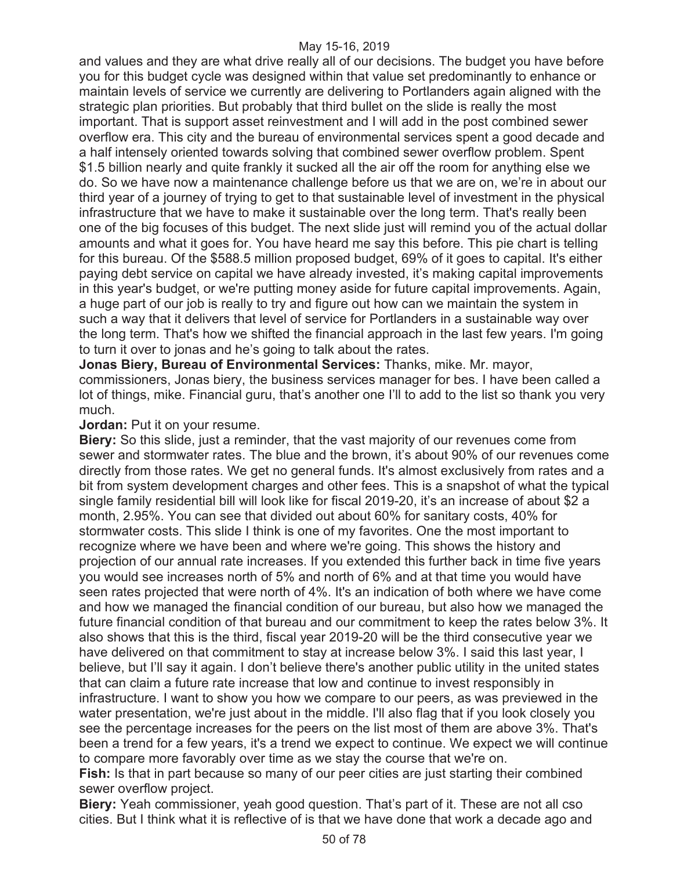and values and they are what drive really all of our decisions. The budget you have before you for this budget cycle was designed within that value set predominantly to enhance or maintain levels of service we currently are delivering to Portlanders again aligned with the strategic plan priorities. But probably that third bullet on the slide is really the most important. That is support asset reinvestment and I will add in the post combined sewer overflow era. This city and the bureau of environmental services spent a good decade and a half intensely oriented towards solving that combined sewer overflow problem. Spent \$1.5 billion nearly and quite frankly it sucked all the air off the room for anything else we do. So we have now a maintenance challenge before us that we are on, we're in about our third year of a journey of trying to get to that sustainable level of investment in the physical infrastructure that we have to make it sustainable over the long term. That's really been one of the big focuses of this budget. The next slide just will remind you of the actual dollar amounts and what it goes for. You have heard me say this before. This pie chart is telling for this bureau. Of the \$588.5 million proposed budget, 69% of it goes to capital. It's either paying debt service on capital we have already invested, it's making capital improvements in this year's budget, or we're putting money aside for future capital improvements. Again, a huge part of our job is really to try and figure out how can we maintain the system in such a way that it delivers that level of service for Portlanders in a sustainable way over the long term. That's how we shifted the financial approach in the last few years. I'm going to turn it over to jonas and he's going to talk about the rates.

**Jonas Biery, Bureau of Environmental Services:** Thanks, mike. Mr. mayor, commissioners, Jonas biery, the business services manager for bes. I have been called a lot of things, mike. Financial guru, that's another one I'll to add to the list so thank you very much.

## **Jordan:** Put it on your resume.

**Biery:** So this slide, just a reminder, that the vast majority of our revenues come from sewer and stormwater rates. The blue and the brown, it's about 90% of our revenues come directly from those rates. We get no general funds. It's almost exclusively from rates and a bit from system development charges and other fees. This is a snapshot of what the typical single family residential bill will look like for fiscal 2019-20, it's an increase of about \$2 a month, 2.95%. You can see that divided out about 60% for sanitary costs, 40% for stormwater costs. This slide I think is one of my favorites. One the most important to recognize where we have been and where we're going. This shows the history and projection of our annual rate increases. If you extended this further back in time five years you would see increases north of 5% and north of 6% and at that time you would have seen rates projected that were north of 4%. It's an indication of both where we have come and how we managed the financial condition of our bureau, but also how we managed the future financial condition of that bureau and our commitment to keep the rates below 3%. It also shows that this is the third, fiscal year 2019-20 will be the third consecutive year we have delivered on that commitment to stay at increase below 3%. I said this last year, I believe, but I'll say it again. I don't believe there's another public utility in the united states that can claim a future rate increase that low and continue to invest responsibly in infrastructure. I want to show you how we compare to our peers, as was previewed in the water presentation, we're just about in the middle. I'll also flag that if you look closely you see the percentage increases for the peers on the list most of them are above 3%. That's been a trend for a few years, it's a trend we expect to continue. We expect we will continue to compare more favorably over time as we stay the course that we're on.

**Fish:** Is that in part because so many of our peer cities are just starting their combined sewer overflow project.

**Biery:** Yeah commissioner, yeah good question. That's part of it. These are not all cso cities. But I think what it is reflective of is that we have done that work a decade ago and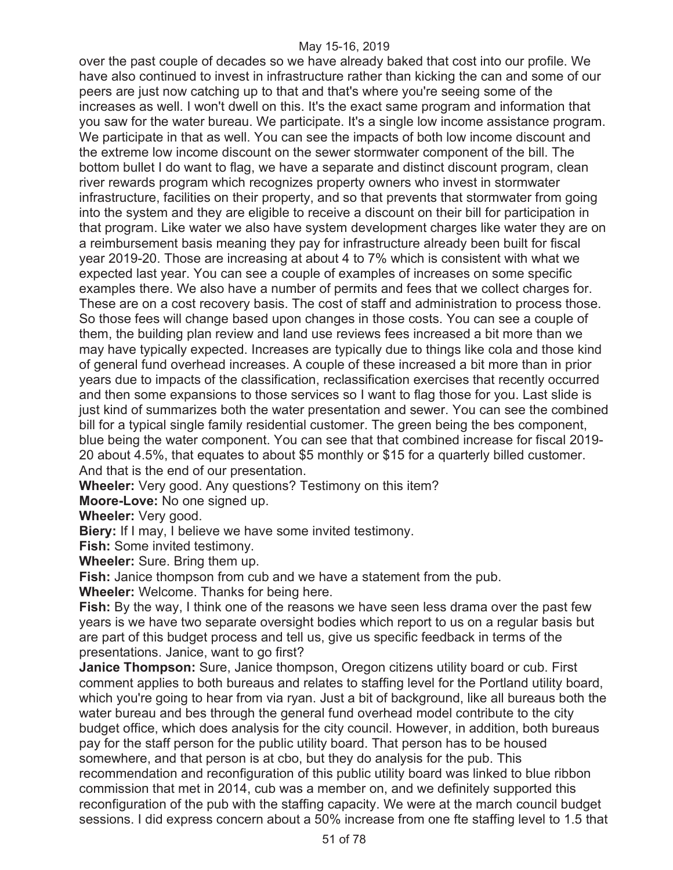over the past couple of decades so we have already baked that cost into our profile. We have also continued to invest in infrastructure rather than kicking the can and some of our peers are just now catching up to that and that's where you're seeing some of the increases as well. I won't dwell on this. It's the exact same program and information that you saw for the water bureau. We participate. It's a single low income assistance program. We participate in that as well. You can see the impacts of both low income discount and the extreme low income discount on the sewer stormwater component of the bill. The bottom bullet I do want to flag, we have a separate and distinct discount program, clean river rewards program which recognizes property owners who invest in stormwater infrastructure, facilities on their property, and so that prevents that stormwater from going into the system and they are eligible to receive a discount on their bill for participation in that program. Like water we also have system development charges like water they are on a reimbursement basis meaning they pay for infrastructure already been built for fiscal year 2019-20. Those are increasing at about 4 to 7% which is consistent with what we expected last year. You can see a couple of examples of increases on some specific examples there. We also have a number of permits and fees that we collect charges for. These are on a cost recovery basis. The cost of staff and administration to process those. So those fees will change based upon changes in those costs. You can see a couple of them, the building plan review and land use reviews fees increased a bit more than we may have typically expected. Increases are typically due to things like cola and those kind of general fund overhead increases. A couple of these increased a bit more than in prior years due to impacts of the classification, reclassification exercises that recently occurred and then some expansions to those services so I want to flag those for you. Last slide is just kind of summarizes both the water presentation and sewer. You can see the combined bill for a typical single family residential customer. The green being the bes component, blue being the water component. You can see that that combined increase for fiscal 2019- 20 about 4.5%, that equates to about \$5 monthly or \$15 for a quarterly billed customer. And that is the end of our presentation.

**Wheeler:** Very good. Any questions? Testimony on this item?

**Moore-Love:** No one signed up.

**Wheeler:** Very good.

**Biery:** If I may, I believe we have some invited testimony.

**Fish:** Some invited testimony.

**Wheeler:** Sure. Bring them up.

**Fish:** Janice thompson from cub and we have a statement from the pub.

**Wheeler:** Welcome. Thanks for being here.

**Fish:** By the way, I think one of the reasons we have seen less drama over the past few years is we have two separate oversight bodies which report to us on a regular basis but are part of this budget process and tell us, give us specific feedback in terms of the presentations. Janice, want to go first?

**Janice Thompson:** Sure, Janice thompson, Oregon citizens utility board or cub. First comment applies to both bureaus and relates to staffing level for the Portland utility board, which you're going to hear from via ryan. Just a bit of background, like all bureaus both the water bureau and bes through the general fund overhead model contribute to the city budget office, which does analysis for the city council. However, in addition, both bureaus pay for the staff person for the public utility board. That person has to be housed somewhere, and that person is at cbo, but they do analysis for the pub. This recommendation and reconfiguration of this public utility board was linked to blue ribbon commission that met in 2014, cub was a member on, and we definitely supported this reconfiguration of the pub with the staffing capacity. We were at the march council budget sessions. I did express concern about a 50% increase from one fte staffing level to 1.5 that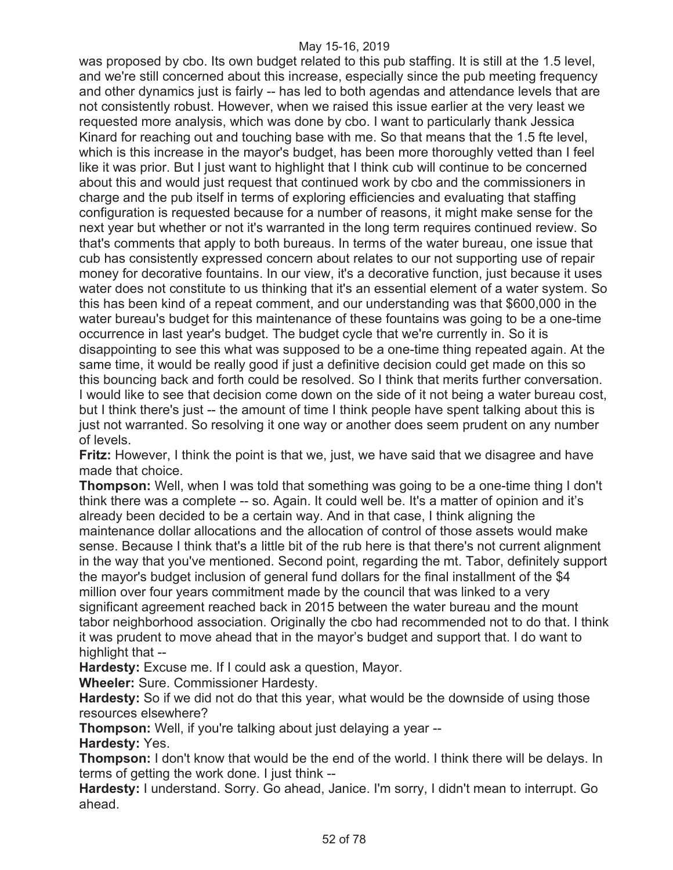was proposed by cbo. Its own budget related to this pub staffing. It is still at the 1.5 level, and we're still concerned about this increase, especially since the pub meeting frequency and other dynamics just is fairly -- has led to both agendas and attendance levels that are not consistently robust. However, when we raised this issue earlier at the very least we requested more analysis, which was done by cbo. I want to particularly thank Jessica Kinard for reaching out and touching base with me. So that means that the 1.5 fte level, which is this increase in the mayor's budget, has been more thoroughly vetted than I feel like it was prior. But I just want to highlight that I think cub will continue to be concerned about this and would just request that continued work by cbo and the commissioners in charge and the pub itself in terms of exploring efficiencies and evaluating that staffing configuration is requested because for a number of reasons, it might make sense for the next year but whether or not it's warranted in the long term requires continued review. So that's comments that apply to both bureaus. In terms of the water bureau, one issue that cub has consistently expressed concern about relates to our not supporting use of repair money for decorative fountains. In our view, it's a decorative function, just because it uses water does not constitute to us thinking that it's an essential element of a water system. So this has been kind of a repeat comment, and our understanding was that \$600,000 in the water bureau's budget for this maintenance of these fountains was going to be a one-time occurrence in last year's budget. The budget cycle that we're currently in. So it is disappointing to see this what was supposed to be a one-time thing repeated again. At the same time, it would be really good if just a definitive decision could get made on this so this bouncing back and forth could be resolved. So I think that merits further conversation. I would like to see that decision come down on the side of it not being a water bureau cost, but I think there's just -- the amount of time I think people have spent talking about this is just not warranted. So resolving it one way or another does seem prudent on any number of levels.

**Fritz:** However, I think the point is that we, just, we have said that we disagree and have made that choice.

**Thompson:** Well, when I was told that something was going to be a one-time thing I don't think there was a complete -- so. Again. It could well be. It's a matter of opinion and it's already been decided to be a certain way. And in that case, I think aligning the maintenance dollar allocations and the allocation of control of those assets would make sense. Because I think that's a little bit of the rub here is that there's not current alignment in the way that you've mentioned. Second point, regarding the mt. Tabor, definitely support the mayor's budget inclusion of general fund dollars for the final installment of the \$4 million over four years commitment made by the council that was linked to a very significant agreement reached back in 2015 between the water bureau and the mount tabor neighborhood association. Originally the cbo had recommended not to do that. I think it was prudent to move ahead that in the mayor's budget and support that. I do want to highlight that --

**Hardesty:** Excuse me. If I could ask a question, Mayor.

**Wheeler:** Sure. Commissioner Hardesty.

**Hardesty:** So if we did not do that this year, what would be the downside of using those resources elsewhere?

**Thompson:** Well, if you're talking about just delaying a year --

**Hardesty:** Yes.

**Thompson:** I don't know that would be the end of the world. I think there will be delays. In terms of getting the work done. I just think --

**Hardesty:** I understand. Sorry. Go ahead, Janice. I'm sorry, I didn't mean to interrupt. Go ahead.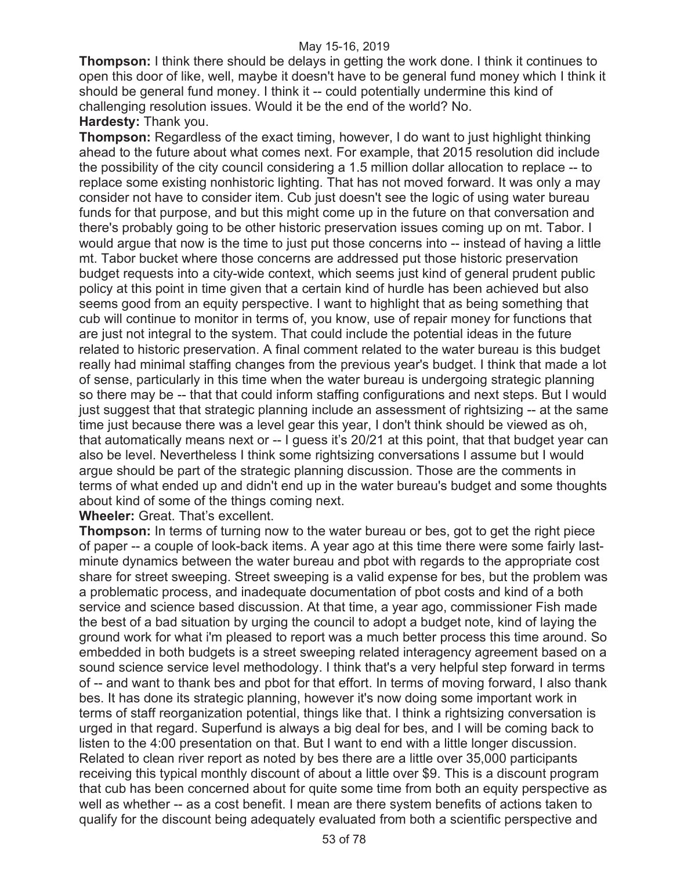**Thompson:** I think there should be delays in getting the work done. I think it continues to open this door of like, well, maybe it doesn't have to be general fund money which I think it should be general fund money. I think it -- could potentially undermine this kind of challenging resolution issues. Would it be the end of the world? No. **Hardesty:** Thank you.

**Thompson:** Regardless of the exact timing, however, I do want to just highlight thinking ahead to the future about what comes next. For example, that 2015 resolution did include the possibility of the city council considering a 1.5 million dollar allocation to replace -- to replace some existing nonhistoric lighting. That has not moved forward. It was only a may consider not have to consider item. Cub just doesn't see the logic of using water bureau funds for that purpose, and but this might come up in the future on that conversation and there's probably going to be other historic preservation issues coming up on mt. Tabor. I would argue that now is the time to just put those concerns into -- instead of having a little mt. Tabor bucket where those concerns are addressed put those historic preservation budget requests into a city-wide context, which seems just kind of general prudent public policy at this point in time given that a certain kind of hurdle has been achieved but also seems good from an equity perspective. I want to highlight that as being something that cub will continue to monitor in terms of, you know, use of repair money for functions that are just not integral to the system. That could include the potential ideas in the future related to historic preservation. A final comment related to the water bureau is this budget really had minimal staffing changes from the previous year's budget. I think that made a lot of sense, particularly in this time when the water bureau is undergoing strategic planning so there may be -- that that could inform staffing configurations and next steps. But I would just suggest that that strategic planning include an assessment of rightsizing -- at the same time just because there was a level gear this year, I don't think should be viewed as oh, that automatically means next or -- I guess it's 20/21 at this point, that that budget year can also be level. Nevertheless I think some rightsizing conversations I assume but I would argue should be part of the strategic planning discussion. Those are the comments in terms of what ended up and didn't end up in the water bureau's budget and some thoughts about kind of some of the things coming next.

**Wheeler:** Great. That's excellent.

**Thompson:** In terms of turning now to the water bureau or bes, got to get the right piece of paper -- a couple of look-back items. A year ago at this time there were some fairly lastminute dynamics between the water bureau and pbot with regards to the appropriate cost share for street sweeping. Street sweeping is a valid expense for bes, but the problem was a problematic process, and inadequate documentation of pbot costs and kind of a both service and science based discussion. At that time, a year ago, commissioner Fish made the best of a bad situation by urging the council to adopt a budget note, kind of laying the ground work for what i'm pleased to report was a much better process this time around. So embedded in both budgets is a street sweeping related interagency agreement based on a sound science service level methodology. I think that's a very helpful step forward in terms of -- and want to thank bes and pbot for that effort. In terms of moving forward, I also thank bes. It has done its strategic planning, however it's now doing some important work in terms of staff reorganization potential, things like that. I think a rightsizing conversation is urged in that regard. Superfund is always a big deal for bes, and I will be coming back to listen to the 4:00 presentation on that. But I want to end with a little longer discussion. Related to clean river report as noted by bes there are a little over 35,000 participants receiving this typical monthly discount of about a little over \$9. This is a discount program that cub has been concerned about for quite some time from both an equity perspective as well as whether -- as a cost benefit. I mean are there system benefits of actions taken to qualify for the discount being adequately evaluated from both a scientific perspective and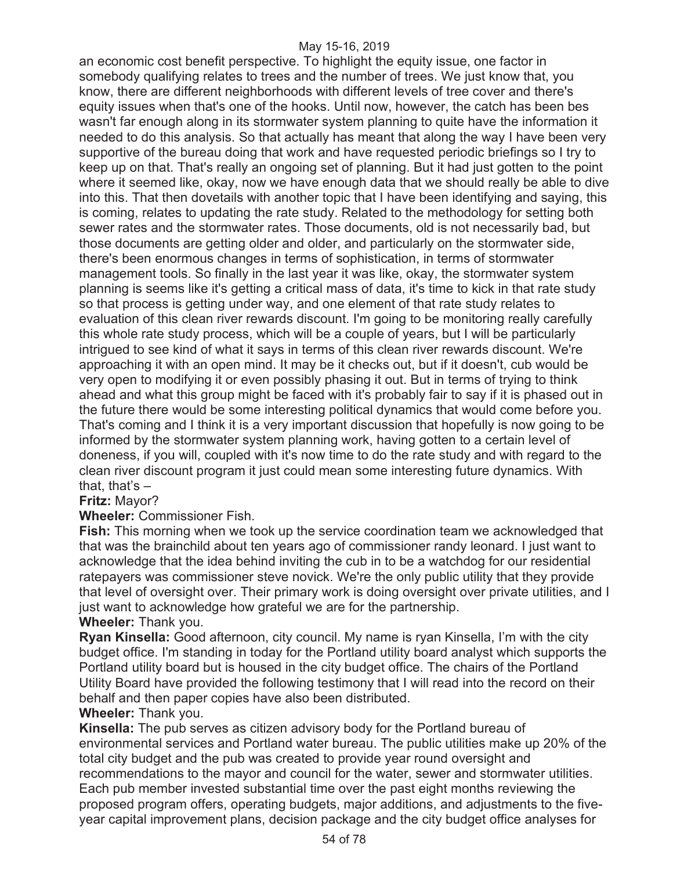an economic cost benefit perspective. To highlight the equity issue, one factor in somebody qualifying relates to trees and the number of trees. We just know that, you know, there are different neighborhoods with different levels of tree cover and there's equity issues when that's one of the hooks. Until now, however, the catch has been bes wasn't far enough along in its stormwater system planning to quite have the information it needed to do this analysis. So that actually has meant that along the way I have been very supportive of the bureau doing that work and have requested periodic briefings so I try to keep up on that. That's really an ongoing set of planning. But it had just gotten to the point where it seemed like, okay, now we have enough data that we should really be able to dive into this. That then dovetails with another topic that I have been identifying and saying, this is coming, relates to updating the rate study. Related to the methodology for setting both sewer rates and the stormwater rates. Those documents, old is not necessarily bad, but those documents are getting older and older, and particularly on the stormwater side, there's been enormous changes in terms of sophistication, in terms of stormwater management tools. So finally in the last year it was like, okay, the stormwater system planning is seems like it's getting a critical mass of data, it's time to kick in that rate study so that process is getting under way, and one element of that rate study relates to evaluation of this clean river rewards discount. I'm going to be monitoring really carefully this whole rate study process, which will be a couple of years, but I will be particularly intrigued to see kind of what it says in terms of this clean river rewards discount. We're approaching it with an open mind. It may be it checks out, but if it doesn't, cub would be very open to modifying it or even possibly phasing it out. But in terms of trying to think ahead and what this group might be faced with it's probably fair to say if it is phased out in the future there would be some interesting political dynamics that would come before you. That's coming and I think it is a very important discussion that hopefully is now going to be informed by the stormwater system planning work, having gotten to a certain level of doneness, if you will, coupled with it's now time to do the rate study and with regard to the clean river discount program it just could mean some interesting future dynamics. With that, that's  $-$ 

# **Fritz:** Mayor?

**Wheeler:** Commissioner Fish.

**Fish:** This morning when we took up the service coordination team we acknowledged that that was the brainchild about ten years ago of commissioner randy leonard. I just want to acknowledge that the idea behind inviting the cub in to be a watchdog for our residential ratepayers was commissioner steve novick. We're the only public utility that they provide that level of oversight over. Their primary work is doing oversight over private utilities, and I just want to acknowledge how grateful we are for the partnership.

# **Wheeler:** Thank you.

**Ryan Kinsella:** Good afternoon, city council. My name is ryan Kinsella, I'm with the city budget office. I'm standing in today for the Portland utility board analyst which supports the Portland utility board but is housed in the city budget office. The chairs of the Portland Utility Board have provided the following testimony that I will read into the record on their behalf and then paper copies have also been distributed.

# **Wheeler:** Thank you.

**Kinsella:** The pub serves as citizen advisory body for the Portland bureau of environmental services and Portland water bureau. The public utilities make up 20% of the total city budget and the pub was created to provide year round oversight and recommendations to the mayor and council for the water, sewer and stormwater utilities. Each pub member invested substantial time over the past eight months reviewing the proposed program offers, operating budgets, major additions, and adjustments to the fiveyear capital improvement plans, decision package and the city budget office analyses for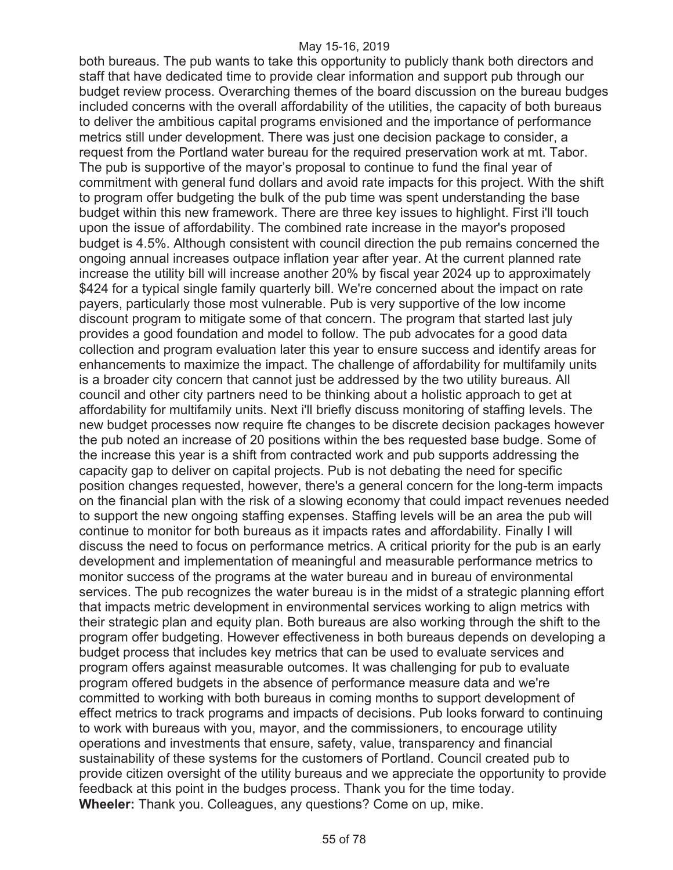both bureaus. The pub wants to take this opportunity to publicly thank both directors and staff that have dedicated time to provide clear information and support pub through our budget review process. Overarching themes of the board discussion on the bureau budges included concerns with the overall affordability of the utilities, the capacity of both bureaus to deliver the ambitious capital programs envisioned and the importance of performance metrics still under development. There was just one decision package to consider, a request from the Portland water bureau for the required preservation work at mt. Tabor. The pub is supportive of the mayor's proposal to continue to fund the final year of commitment with general fund dollars and avoid rate impacts for this project. With the shift to program offer budgeting the bulk of the pub time was spent understanding the base budget within this new framework. There are three key issues to highlight. First i'll touch upon the issue of affordability. The combined rate increase in the mayor's proposed budget is 4.5%. Although consistent with council direction the pub remains concerned the ongoing annual increases outpace inflation year after year. At the current planned rate increase the utility bill will increase another 20% by fiscal year 2024 up to approximately \$424 for a typical single family quarterly bill. We're concerned about the impact on rate payers, particularly those most vulnerable. Pub is very supportive of the low income discount program to mitigate some of that concern. The program that started last july provides a good foundation and model to follow. The pub advocates for a good data collection and program evaluation later this year to ensure success and identify areas for enhancements to maximize the impact. The challenge of affordability for multifamily units is a broader city concern that cannot just be addressed by the two utility bureaus. All council and other city partners need to be thinking about a holistic approach to get at affordability for multifamily units. Next i'll briefly discuss monitoring of staffing levels. The new budget processes now require fte changes to be discrete decision packages however the pub noted an increase of 20 positions within the bes requested base budge. Some of the increase this year is a shift from contracted work and pub supports addressing the capacity gap to deliver on capital projects. Pub is not debating the need for specific position changes requested, however, there's a general concern for the long-term impacts on the financial plan with the risk of a slowing economy that could impact revenues needed to support the new ongoing staffing expenses. Staffing levels will be an area the pub will continue to monitor for both bureaus as it impacts rates and affordability. Finally I will discuss the need to focus on performance metrics. A critical priority for the pub is an early development and implementation of meaningful and measurable performance metrics to monitor success of the programs at the water bureau and in bureau of environmental services. The pub recognizes the water bureau is in the midst of a strategic planning effort that impacts metric development in environmental services working to align metrics with their strategic plan and equity plan. Both bureaus are also working through the shift to the program offer budgeting. However effectiveness in both bureaus depends on developing a budget process that includes key metrics that can be used to evaluate services and program offers against measurable outcomes. It was challenging for pub to evaluate program offered budgets in the absence of performance measure data and we're committed to working with both bureaus in coming months to support development of effect metrics to track programs and impacts of decisions. Pub looks forward to continuing to work with bureaus with you, mayor, and the commissioners, to encourage utility operations and investments that ensure, safety, value, transparency and financial sustainability of these systems for the customers of Portland. Council created pub to provide citizen oversight of the utility bureaus and we appreciate the opportunity to provide feedback at this point in the budges process. Thank you for the time today. **Wheeler:** Thank you. Colleagues, any questions? Come on up, mike.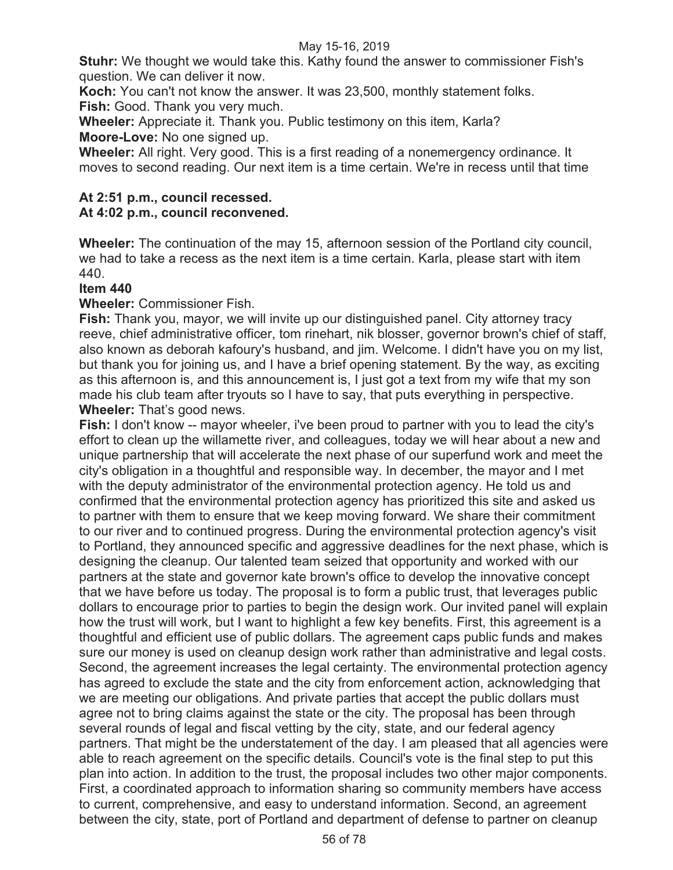**Stuhr:** We thought we would take this. Kathy found the answer to commissioner Fish's question. We can deliver it now.

**Koch:** You can't not know the answer. It was 23,500, monthly statement folks. **Fish:** Good. Thank you very much.

**Wheeler:** Appreciate it. Thank you. Public testimony on this item, Karla? **Moore-Love:** No one signed up.

**Wheeler:** All right. Very good. This is a first reading of a nonemergency ordinance. It moves to second reading. Our next item is a time certain. We're in recess until that time

# **At 2:51 p.m., council recessed.**

# **At 4:02 p.m., council reconvened.**

**Wheeler:** The continuation of the may 15, afternoon session of the Portland city council, we had to take a recess as the next item is a time certain. Karla, please start with item 440.

# **Item 440**

# **Wheeler:** Commissioner Fish.

**Fish:** Thank you, mayor, we will invite up our distinguished panel. City attorney tracy reeve, chief administrative officer, tom rinehart, nik blosser, governor brown's chief of staff, also known as deborah kafoury's husband, and jim. Welcome. I didn't have you on my list, but thank you for joining us, and I have a brief opening statement. By the way, as exciting as this afternoon is, and this announcement is, I just got a text from my wife that my son made his club team after tryouts so I have to say, that puts everything in perspective. **Wheeler:** That's good news.

**Fish:** I don't know -- mayor wheeler, i've been proud to partner with you to lead the city's effort to clean up the willamette river, and colleagues, today we will hear about a new and unique partnership that will accelerate the next phase of our superfund work and meet the city's obligation in a thoughtful and responsible way. In december, the mayor and I met with the deputy administrator of the environmental protection agency. He told us and confirmed that the environmental protection agency has prioritized this site and asked us to partner with them to ensure that we keep moving forward. We share their commitment to our river and to continued progress. During the environmental protection agency's visit to Portland, they announced specific and aggressive deadlines for the next phase, which is designing the cleanup. Our talented team seized that opportunity and worked with our partners at the state and governor kate brown's office to develop the innovative concept that we have before us today. The proposal is to form a public trust, that leverages public dollars to encourage prior to parties to begin the design work. Our invited panel will explain how the trust will work, but I want to highlight a few key benefits. First, this agreement is a thoughtful and efficient use of public dollars. The agreement caps public funds and makes sure our money is used on cleanup design work rather than administrative and legal costs. Second, the agreement increases the legal certainty. The environmental protection agency has agreed to exclude the state and the city from enforcement action, acknowledging that we are meeting our obligations. And private parties that accept the public dollars must agree not to bring claims against the state or the city. The proposal has been through several rounds of legal and fiscal vetting by the city, state, and our federal agency partners. That might be the understatement of the day. I am pleased that all agencies were able to reach agreement on the specific details. Council's vote is the final step to put this plan into action. In addition to the trust, the proposal includes two other major components. First, a coordinated approach to information sharing so community members have access to current, comprehensive, and easy to understand information. Second, an agreement between the city, state, port of Portland and department of defense to partner on cleanup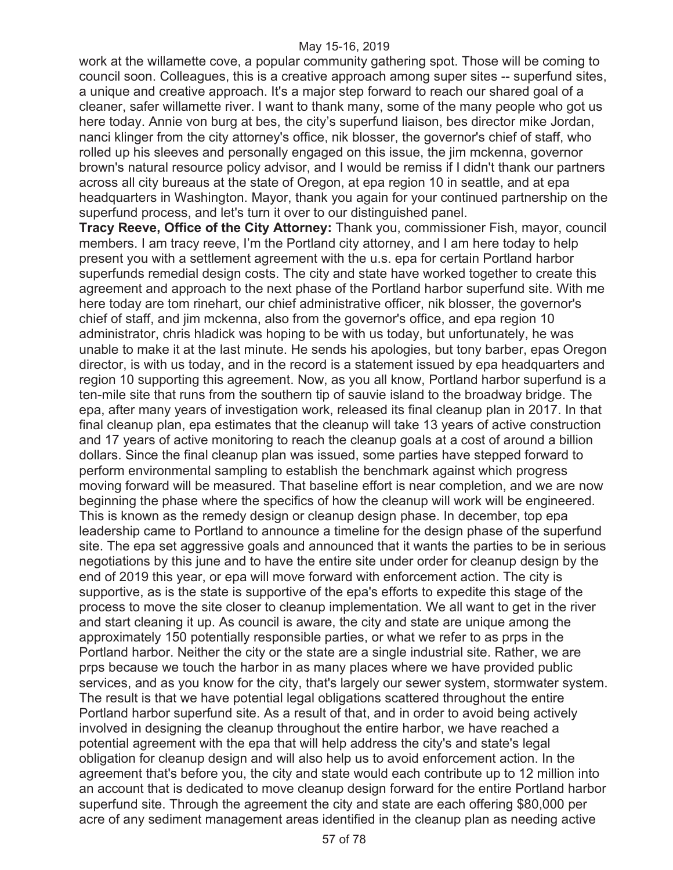work at the willamette cove, a popular community gathering spot. Those will be coming to council soon. Colleagues, this is a creative approach among super sites -- superfund sites, a unique and creative approach. It's a major step forward to reach our shared goal of a cleaner, safer willamette river. I want to thank many, some of the many people who got us here today. Annie von burg at bes, the city's superfund liaison, bes director mike Jordan, nanci klinger from the city attorney's office, nik blosser, the governor's chief of staff, who rolled up his sleeves and personally engaged on this issue, the jim mckenna, governor brown's natural resource policy advisor, and I would be remiss if I didn't thank our partners across all city bureaus at the state of Oregon, at epa region 10 in seattle, and at epa headquarters in Washington. Mayor, thank you again for your continued partnership on the superfund process, and let's turn it over to our distinguished panel.

**Tracy Reeve, Office of the City Attorney:** Thank you, commissioner Fish, mayor, council members. I am tracy reeve, I'm the Portland city attorney, and I am here today to help present you with a settlement agreement with the u.s. epa for certain Portland harbor superfunds remedial design costs. The city and state have worked together to create this agreement and approach to the next phase of the Portland harbor superfund site. With me here today are tom rinehart, our chief administrative officer, nik blosser, the governor's chief of staff, and jim mckenna, also from the governor's office, and epa region 10 administrator, chris hladick was hoping to be with us today, but unfortunately, he was unable to make it at the last minute. He sends his apologies, but tony barber, epas Oregon director, is with us today, and in the record is a statement issued by epa headquarters and region 10 supporting this agreement. Now, as you all know, Portland harbor superfund is a ten-mile site that runs from the southern tip of sauvie island to the broadway bridge. The epa, after many years of investigation work, released its final cleanup plan in 2017. In that final cleanup plan, epa estimates that the cleanup will take 13 years of active construction and 17 years of active monitoring to reach the cleanup goals at a cost of around a billion dollars. Since the final cleanup plan was issued, some parties have stepped forward to perform environmental sampling to establish the benchmark against which progress moving forward will be measured. That baseline effort is near completion, and we are now beginning the phase where the specifics of how the cleanup will work will be engineered. This is known as the remedy design or cleanup design phase. In december, top epa leadership came to Portland to announce a timeline for the design phase of the superfund site. The epa set aggressive goals and announced that it wants the parties to be in serious negotiations by this june and to have the entire site under order for cleanup design by the end of 2019 this year, or epa will move forward with enforcement action. The city is supportive, as is the state is supportive of the epa's efforts to expedite this stage of the process to move the site closer to cleanup implementation. We all want to get in the river and start cleaning it up. As council is aware, the city and state are unique among the approximately 150 potentially responsible parties, or what we refer to as prps in the Portland harbor. Neither the city or the state are a single industrial site. Rather, we are prps because we touch the harbor in as many places where we have provided public services, and as you know for the city, that's largely our sewer system, stormwater system. The result is that we have potential legal obligations scattered throughout the entire Portland harbor superfund site. As a result of that, and in order to avoid being actively involved in designing the cleanup throughout the entire harbor, we have reached a potential agreement with the epa that will help address the city's and state's legal obligation for cleanup design and will also help us to avoid enforcement action. In the agreement that's before you, the city and state would each contribute up to 12 million into an account that is dedicated to move cleanup design forward for the entire Portland harbor superfund site. Through the agreement the city and state are each offering \$80,000 per acre of any sediment management areas identified in the cleanup plan as needing active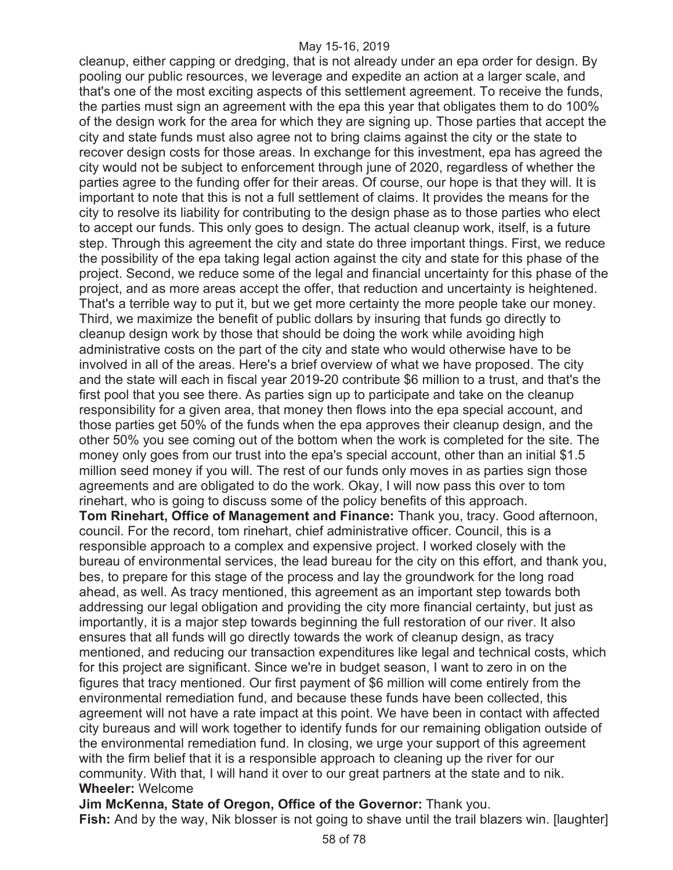cleanup, either capping or dredging, that is not already under an epa order for design. By pooling our public resources, we leverage and expedite an action at a larger scale, and that's one of the most exciting aspects of this settlement agreement. To receive the funds, the parties must sign an agreement with the epa this year that obligates them to do 100% of the design work for the area for which they are signing up. Those parties that accept the city and state funds must also agree not to bring claims against the city or the state to recover design costs for those areas. In exchange for this investment, epa has agreed the city would not be subject to enforcement through june of 2020, regardless of whether the parties agree to the funding offer for their areas. Of course, our hope is that they will. It is important to note that this is not a full settlement of claims. It provides the means for the city to resolve its liability for contributing to the design phase as to those parties who elect to accept our funds. This only goes to design. The actual cleanup work, itself, is a future step. Through this agreement the city and state do three important things. First, we reduce the possibility of the epa taking legal action against the city and state for this phase of the project. Second, we reduce some of the legal and financial uncertainty for this phase of the project, and as more areas accept the offer, that reduction and uncertainty is heightened. That's a terrible way to put it, but we get more certainty the more people take our money. Third, we maximize the benefit of public dollars by insuring that funds go directly to cleanup design work by those that should be doing the work while avoiding high administrative costs on the part of the city and state who would otherwise have to be involved in all of the areas. Here's a brief overview of what we have proposed. The city and the state will each in fiscal year 2019-20 contribute \$6 million to a trust, and that's the first pool that you see there. As parties sign up to participate and take on the cleanup responsibility for a given area, that money then flows into the epa special account, and those parties get 50% of the funds when the epa approves their cleanup design, and the other 50% you see coming out of the bottom when the work is completed for the site. The money only goes from our trust into the epa's special account, other than an initial \$1.5 million seed money if you will. The rest of our funds only moves in as parties sign those agreements and are obligated to do the work. Okay, I will now pass this over to tom rinehart, who is going to discuss some of the policy benefits of this approach.

**Tom Rinehart, Office of Management and Finance:** Thank you, tracy. Good afternoon, council. For the record, tom rinehart, chief administrative officer. Council, this is a responsible approach to a complex and expensive project. I worked closely with the bureau of environmental services, the lead bureau for the city on this effort, and thank you, bes, to prepare for this stage of the process and lay the groundwork for the long road ahead, as well. As tracy mentioned, this agreement as an important step towards both addressing our legal obligation and providing the city more financial certainty, but just as importantly, it is a major step towards beginning the full restoration of our river. It also ensures that all funds will go directly towards the work of cleanup design, as tracy mentioned, and reducing our transaction expenditures like legal and technical costs, which for this project are significant. Since we're in budget season, I want to zero in on the figures that tracy mentioned. Our first payment of \$6 million will come entirely from the environmental remediation fund, and because these funds have been collected, this agreement will not have a rate impact at this point. We have been in contact with affected city bureaus and will work together to identify funds for our remaining obligation outside of the environmental remediation fund. In closing, we urge your support of this agreement with the firm belief that it is a responsible approach to cleaning up the river for our community. With that, I will hand it over to our great partners at the state and to nik. **Wheeler:** Welcome

**Jim McKenna, State of Oregon, Office of the Governor:** Thank you.

**Fish:** And by the way, Nik blosser is not going to shave until the trail blazers win. [laughter]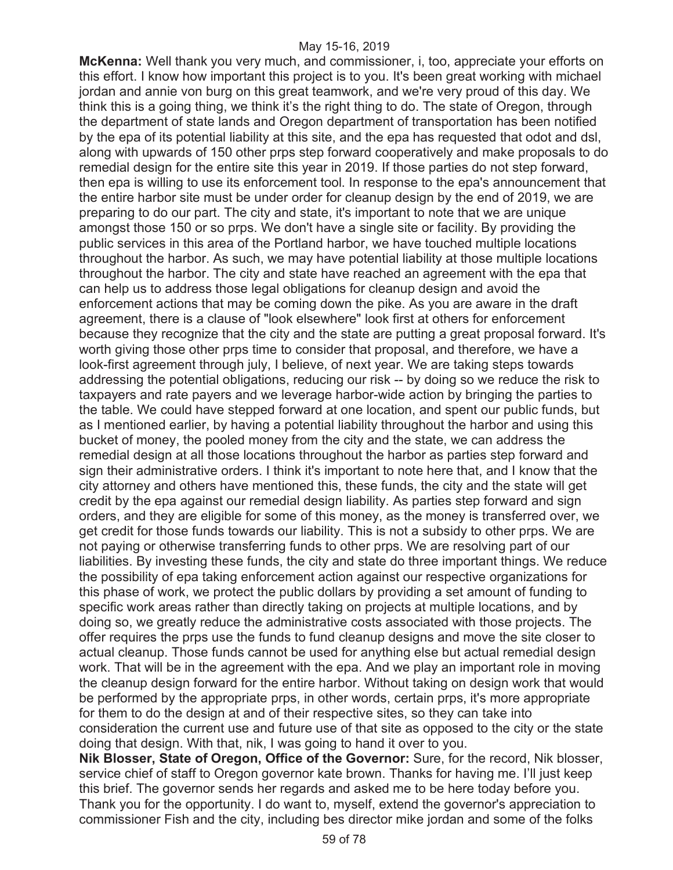**McKenna:** Well thank you very much, and commissioner, i, too, appreciate your efforts on this effort. I know how important this project is to you. It's been great working with michael jordan and annie von burg on this great teamwork, and we're very proud of this day. We think this is a going thing, we think it's the right thing to do. The state of Oregon, through the department of state lands and Oregon department of transportation has been notified by the epa of its potential liability at this site, and the epa has requested that odot and dsl, along with upwards of 150 other prps step forward cooperatively and make proposals to do remedial design for the entire site this year in 2019. If those parties do not step forward, then epa is willing to use its enforcement tool. In response to the epa's announcement that the entire harbor site must be under order for cleanup design by the end of 2019, we are preparing to do our part. The city and state, it's important to note that we are unique amongst those 150 or so prps. We don't have a single site or facility. By providing the public services in this area of the Portland harbor, we have touched multiple locations throughout the harbor. As such, we may have potential liability at those multiple locations throughout the harbor. The city and state have reached an agreement with the epa that can help us to address those legal obligations for cleanup design and avoid the enforcement actions that may be coming down the pike. As you are aware in the draft agreement, there is a clause of "look elsewhere" look first at others for enforcement because they recognize that the city and the state are putting a great proposal forward. It's worth giving those other prps time to consider that proposal, and therefore, we have a look-first agreement through july, I believe, of next year. We are taking steps towards addressing the potential obligations, reducing our risk -- by doing so we reduce the risk to taxpayers and rate payers and we leverage harbor-wide action by bringing the parties to the table. We could have stepped forward at one location, and spent our public funds, but as I mentioned earlier, by having a potential liability throughout the harbor and using this bucket of money, the pooled money from the city and the state, we can address the remedial design at all those locations throughout the harbor as parties step forward and sign their administrative orders. I think it's important to note here that, and I know that the city attorney and others have mentioned this, these funds, the city and the state will get credit by the epa against our remedial design liability. As parties step forward and sign orders, and they are eligible for some of this money, as the money is transferred over, we get credit for those funds towards our liability. This is not a subsidy to other prps. We are not paying or otherwise transferring funds to other prps. We are resolving part of our liabilities. By investing these funds, the city and state do three important things. We reduce the possibility of epa taking enforcement action against our respective organizations for this phase of work, we protect the public dollars by providing a set amount of funding to specific work areas rather than directly taking on projects at multiple locations, and by doing so, we greatly reduce the administrative costs associated with those projects. The offer requires the prps use the funds to fund cleanup designs and move the site closer to actual cleanup. Those funds cannot be used for anything else but actual remedial design work. That will be in the agreement with the epa. And we play an important role in moving the cleanup design forward for the entire harbor. Without taking on design work that would be performed by the appropriate prps, in other words, certain prps, it's more appropriate for them to do the design at and of their respective sites, so they can take into consideration the current use and future use of that site as opposed to the city or the state doing that design. With that, nik, I was going to hand it over to you.

**Nik Blosser, State of Oregon, Office of the Governor:** Sure, for the record, Nik blosser, service chief of staff to Oregon governor kate brown. Thanks for having me. I'll just keep this brief. The governor sends her regards and asked me to be here today before you. Thank you for the opportunity. I do want to, myself, extend the governor's appreciation to commissioner Fish and the city, including bes director mike jordan and some of the folks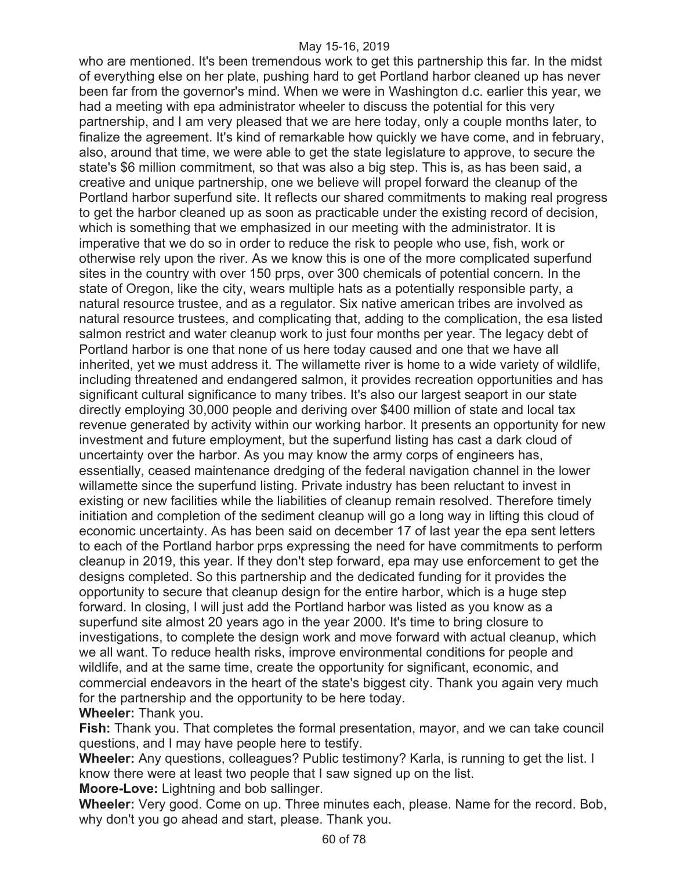who are mentioned. It's been tremendous work to get this partnership this far. In the midst of everything else on her plate, pushing hard to get Portland harbor cleaned up has never been far from the governor's mind. When we were in Washington d.c. earlier this year, we had a meeting with epa administrator wheeler to discuss the potential for this very partnership, and I am very pleased that we are here today, only a couple months later, to finalize the agreement. It's kind of remarkable how quickly we have come, and in february, also, around that time, we were able to get the state legislature to approve, to secure the state's \$6 million commitment, so that was also a big step. This is, as has been said, a creative and unique partnership, one we believe will propel forward the cleanup of the Portland harbor superfund site. It reflects our shared commitments to making real progress to get the harbor cleaned up as soon as practicable under the existing record of decision, which is something that we emphasized in our meeting with the administrator. It is imperative that we do so in order to reduce the risk to people who use, fish, work or otherwise rely upon the river. As we know this is one of the more complicated superfund sites in the country with over 150 prps, over 300 chemicals of potential concern. In the state of Oregon, like the city, wears multiple hats as a potentially responsible party, a natural resource trustee, and as a regulator. Six native american tribes are involved as natural resource trustees, and complicating that, adding to the complication, the esa listed salmon restrict and water cleanup work to just four months per year. The legacy debt of Portland harbor is one that none of us here today caused and one that we have all inherited, yet we must address it. The willamette river is home to a wide variety of wildlife, including threatened and endangered salmon, it provides recreation opportunities and has significant cultural significance to many tribes. It's also our largest seaport in our state directly employing 30,000 people and deriving over \$400 million of state and local tax revenue generated by activity within our working harbor. It presents an opportunity for new investment and future employment, but the superfund listing has cast a dark cloud of uncertainty over the harbor. As you may know the army corps of engineers has, essentially, ceased maintenance dredging of the federal navigation channel in the lower willamette since the superfund listing. Private industry has been reluctant to invest in existing or new facilities while the liabilities of cleanup remain resolved. Therefore timely initiation and completion of the sediment cleanup will go a long way in lifting this cloud of economic uncertainty. As has been said on december 17 of last year the epa sent letters to each of the Portland harbor prps expressing the need for have commitments to perform cleanup in 2019, this year. If they don't step forward, epa may use enforcement to get the designs completed. So this partnership and the dedicated funding for it provides the opportunity to secure that cleanup design for the entire harbor, which is a huge step forward. In closing, I will just add the Portland harbor was listed as you know as a superfund site almost 20 years ago in the year 2000. It's time to bring closure to investigations, to complete the design work and move forward with actual cleanup, which we all want. To reduce health risks, improve environmental conditions for people and wildlife, and at the same time, create the opportunity for significant, economic, and commercial endeavors in the heart of the state's biggest city. Thank you again very much for the partnership and the opportunity to be here today.

### **Wheeler:** Thank you.

**Fish:** Thank you. That completes the formal presentation, mayor, and we can take council questions, and I may have people here to testify.

**Wheeler:** Any questions, colleagues? Public testimony? Karla, is running to get the list. I know there were at least two people that I saw signed up on the list.

**Moore-Love:** Lightning and bob sallinger.

**Wheeler:** Very good. Come on up. Three minutes each, please. Name for the record. Bob, why don't you go ahead and start, please. Thank you.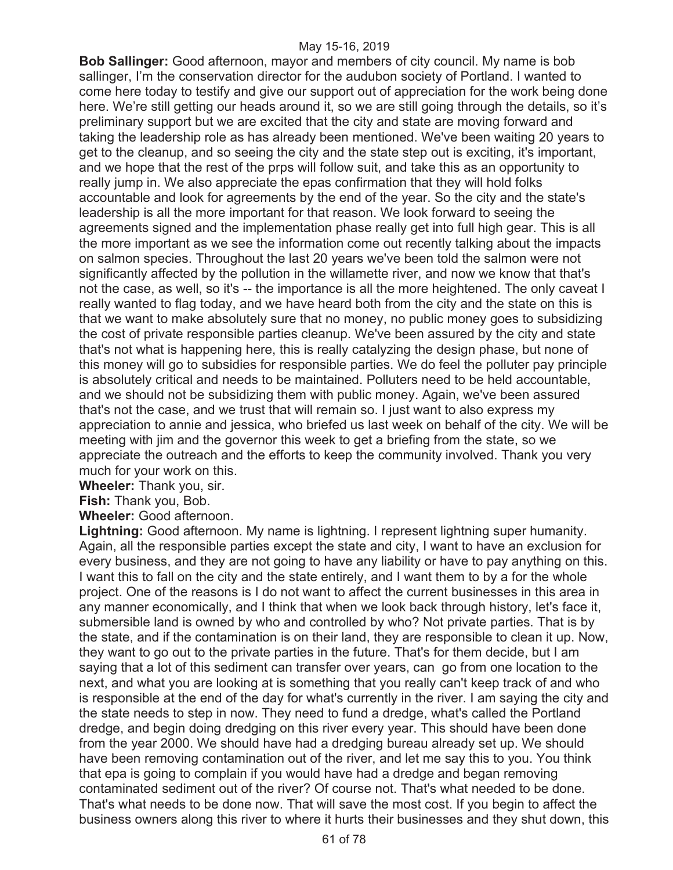**Bob Sallinger:** Good afternoon, mayor and members of city council. My name is bob sallinger, I'm the conservation director for the audubon society of Portland. I wanted to come here today to testify and give our support out of appreciation for the work being done here. We're still getting our heads around it, so we are still going through the details, so it's preliminary support but we are excited that the city and state are moving forward and taking the leadership role as has already been mentioned. We've been waiting 20 years to get to the cleanup, and so seeing the city and the state step out is exciting, it's important, and we hope that the rest of the prps will follow suit, and take this as an opportunity to really jump in. We also appreciate the epas confirmation that they will hold folks accountable and look for agreements by the end of the year. So the city and the state's leadership is all the more important for that reason. We look forward to seeing the agreements signed and the implementation phase really get into full high gear. This is all the more important as we see the information come out recently talking about the impacts on salmon species. Throughout the last 20 years we've been told the salmon were not significantly affected by the pollution in the willamette river, and now we know that that's not the case, as well, so it's -- the importance is all the more heightened. The only caveat I really wanted to flag today, and we have heard both from the city and the state on this is that we want to make absolutely sure that no money, no public money goes to subsidizing the cost of private responsible parties cleanup. We've been assured by the city and state that's not what is happening here, this is really catalyzing the design phase, but none of this money will go to subsidies for responsible parties. We do feel the polluter pay principle is absolutely critical and needs to be maintained. Polluters need to be held accountable, and we should not be subsidizing them with public money. Again, we've been assured that's not the case, and we trust that will remain so. I just want to also express my appreciation to annie and jessica, who briefed us last week on behalf of the city. We will be meeting with jim and the governor this week to get a briefing from the state, so we appreciate the outreach and the efforts to keep the community involved. Thank you very much for your work on this.

**Wheeler:** Thank you, sir.

**Fish:** Thank you, Bob.

**Wheeler:** Good afternoon.

**Lightning:** Good afternoon. My name is lightning. I represent lightning super humanity. Again, all the responsible parties except the state and city, I want to have an exclusion for every business, and they are not going to have any liability or have to pay anything on this. I want this to fall on the city and the state entirely, and I want them to by a for the whole project. One of the reasons is I do not want to affect the current businesses in this area in any manner economically, and I think that when we look back through history, let's face it, submersible land is owned by who and controlled by who? Not private parties. That is by the state, and if the contamination is on their land, they are responsible to clean it up. Now, they want to go out to the private parties in the future. That's for them decide, but I am saying that a lot of this sediment can transfer over years, can go from one location to the next, and what you are looking at is something that you really can't keep track of and who is responsible at the end of the day for what's currently in the river. I am saying the city and the state needs to step in now. They need to fund a dredge, what's called the Portland dredge, and begin doing dredging on this river every year. This should have been done from the year 2000. We should have had a dredging bureau already set up. We should have been removing contamination out of the river, and let me say this to you. You think that epa is going to complain if you would have had a dredge and began removing contaminated sediment out of the river? Of course not. That's what needed to be done. That's what needs to be done now. That will save the most cost. If you begin to affect the business owners along this river to where it hurts their businesses and they shut down, this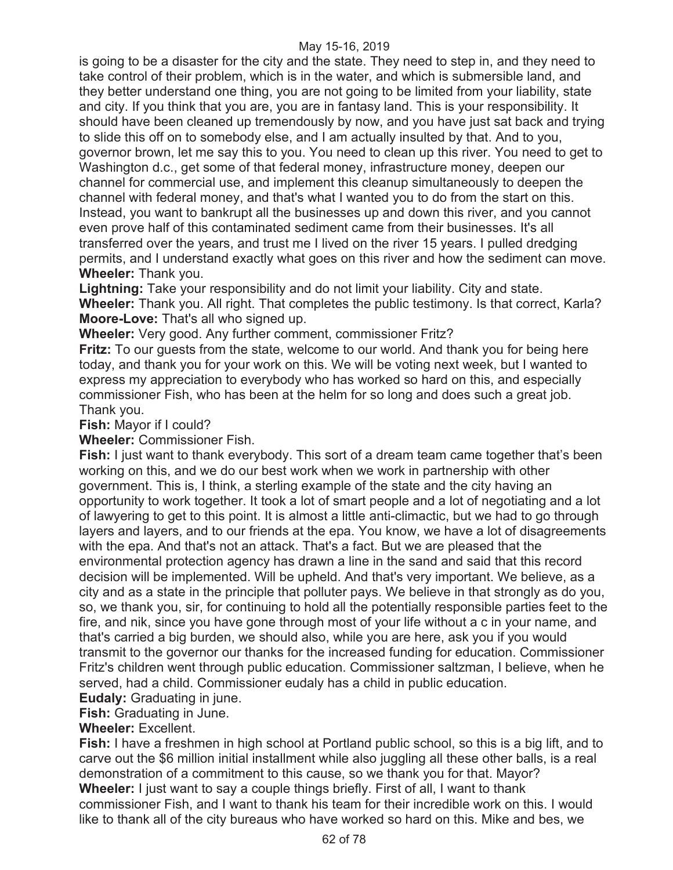is going to be a disaster for the city and the state. They need to step in, and they need to take control of their problem, which is in the water, and which is submersible land, and they better understand one thing, you are not going to be limited from your liability, state and city. If you think that you are, you are in fantasy land. This is your responsibility. It should have been cleaned up tremendously by now, and you have just sat back and trying to slide this off on to somebody else, and I am actually insulted by that. And to you, governor brown, let me say this to you. You need to clean up this river. You need to get to Washington d.c., get some of that federal money, infrastructure money, deepen our channel for commercial use, and implement this cleanup simultaneously to deepen the channel with federal money, and that's what I wanted you to do from the start on this. Instead, you want to bankrupt all the businesses up and down this river, and you cannot even prove half of this contaminated sediment came from their businesses. It's all transferred over the years, and trust me I lived on the river 15 years. I pulled dredging permits, and I understand exactly what goes on this river and how the sediment can move. **Wheeler:** Thank you.

**Lightning:** Take your responsibility and do not limit your liability. City and state. **Wheeler:** Thank you. All right. That completes the public testimony. Is that correct, Karla? **Moore-Love:** That's all who signed up.

**Wheeler:** Very good. Any further comment, commissioner Fritz?

**Fritz:** To our guests from the state, welcome to our world. And thank you for being here today, and thank you for your work on this. We will be voting next week, but I wanted to express my appreciation to everybody who has worked so hard on this, and especially commissioner Fish, who has been at the helm for so long and does such a great job. Thank you.

**Fish:** Mayor if I could?

**Wheeler:** Commissioner Fish.

**Fish:** I just want to thank everybody. This sort of a dream team came together that's been working on this, and we do our best work when we work in partnership with other government. This is, I think, a sterling example of the state and the city having an opportunity to work together. It took a lot of smart people and a lot of negotiating and a lot of lawyering to get to this point. It is almost a little anti-climactic, but we had to go through layers and layers, and to our friends at the epa. You know, we have a lot of disagreements with the epa. And that's not an attack. That's a fact. But we are pleased that the environmental protection agency has drawn a line in the sand and said that this record decision will be implemented. Will be upheld. And that's very important. We believe, as a city and as a state in the principle that polluter pays. We believe in that strongly as do you, so, we thank you, sir, for continuing to hold all the potentially responsible parties feet to the fire, and nik, since you have gone through most of your life without a c in your name, and that's carried a big burden, we should also, while you are here, ask you if you would transmit to the governor our thanks for the increased funding for education. Commissioner Fritz's children went through public education. Commissioner saltzman, I believe, when he served, had a child. Commissioner eudaly has a child in public education.

**Eudaly:** Graduating in june.

**Fish:** Graduating in June.

### **Wheeler:** Excellent.

**Fish:** I have a freshmen in high school at Portland public school, so this is a big lift, and to carve out the \$6 million initial installment while also juggling all these other balls, is a real demonstration of a commitment to this cause, so we thank you for that. Mayor? **Wheeler:** I just want to say a couple things briefly. First of all, I want to thank commissioner Fish, and I want to thank his team for their incredible work on this. I would like to thank all of the city bureaus who have worked so hard on this. Mike and bes, we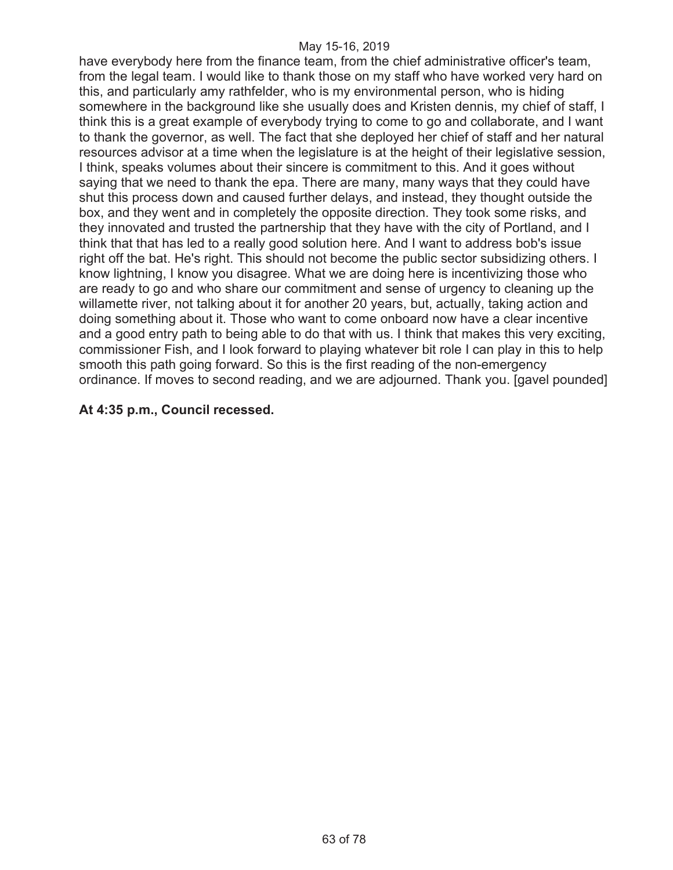have everybody here from the finance team, from the chief administrative officer's team, from the legal team. I would like to thank those on my staff who have worked very hard on this, and particularly amy rathfelder, who is my environmental person, who is hiding somewhere in the background like she usually does and Kristen dennis, my chief of staff, I think this is a great example of everybody trying to come to go and collaborate, and I want to thank the governor, as well. The fact that she deployed her chief of staff and her natural resources advisor at a time when the legislature is at the height of their legislative session, I think, speaks volumes about their sincere is commitment to this. And it goes without saying that we need to thank the epa. There are many, many ways that they could have shut this process down and caused further delays, and instead, they thought outside the box, and they went and in completely the opposite direction. They took some risks, and they innovated and trusted the partnership that they have with the city of Portland, and I think that that has led to a really good solution here. And I want to address bob's issue right off the bat. He's right. This should not become the public sector subsidizing others. I know lightning, I know you disagree. What we are doing here is incentivizing those who are ready to go and who share our commitment and sense of urgency to cleaning up the willamette river, not talking about it for another 20 years, but, actually, taking action and doing something about it. Those who want to come onboard now have a clear incentive and a good entry path to being able to do that with us. I think that makes this very exciting, commissioner Fish, and I look forward to playing whatever bit role I can play in this to help smooth this path going forward. So this is the first reading of the non-emergency ordinance. If moves to second reading, and we are adjourned. Thank you. [gavel pounded]

### **At 4:35 p.m., Council recessed.**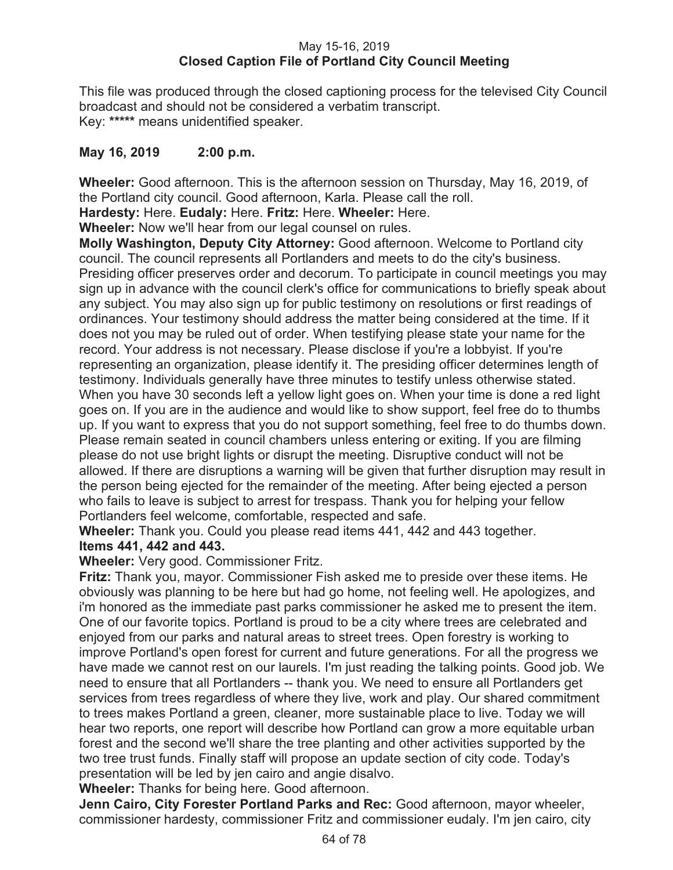## May 15-16, 2019 **Closed Caption File of Portland City Council Meeting**

This file was produced through the closed captioning process for the televised City Council broadcast and should not be considered a verbatim transcript. Key: **\*\*\*\*\*** means unidentified speaker.

# **May 16, 2019 2:00 p.m.**

**Wheeler:** Good afternoon. This is the afternoon session on Thursday, May 16, 2019, of the Portland city council. Good afternoon, Karla. Please call the roll.

**Hardesty:** Here. **Eudaly:** Here. **Fritz:** Here. **Wheeler:** Here.

**Wheeler:** Now we'll hear from our legal counsel on rules.

**Molly Washington, Deputy City Attorney:** Good afternoon. Welcome to Portland city council. The council represents all Portlanders and meets to do the city's business. Presiding officer preserves order and decorum. To participate in council meetings you may sign up in advance with the council clerk's office for communications to briefly speak about any subject. You may also sign up for public testimony on resolutions or first readings of ordinances. Your testimony should address the matter being considered at the time. If it does not you may be ruled out of order. When testifying please state your name for the record. Your address is not necessary. Please disclose if you're a lobbyist. If you're representing an organization, please identify it. The presiding officer determines length of testimony. Individuals generally have three minutes to testify unless otherwise stated. When you have 30 seconds left a yellow light goes on. When your time is done a red light goes on. If you are in the audience and would like to show support, feel free do to thumbs up. If you want to express that you do not support something, feel free to do thumbs down. Please remain seated in council chambers unless entering or exiting. If you are filming please do not use bright lights or disrupt the meeting. Disruptive conduct will not be allowed. If there are disruptions a warning will be given that further disruption may result in the person being ejected for the remainder of the meeting. After being ejected a person who fails to leave is subject to arrest for trespass. Thank you for helping your fellow Portlanders feel welcome, comfortable, respected and safe.

**Wheeler:** Thank you. Could you please read items 441, 442 and 443 together.

# **Items 441, 442 and 443.**

**Wheeler:** Very good. Commissioner Fritz.

**Fritz:** Thank you, mayor. Commissioner Fish asked me to preside over these items. He obviously was planning to be here but had go home, not feeling well. He apologizes, and i'm honored as the immediate past parks commissioner he asked me to present the item. One of our favorite topics. Portland is proud to be a city where trees are celebrated and enjoyed from our parks and natural areas to street trees. Open forestry is working to improve Portland's open forest for current and future generations. For all the progress we have made we cannot rest on our laurels. I'm just reading the talking points. Good job. We need to ensure that all Portlanders -- thank you. We need to ensure all Portlanders get services from trees regardless of where they live, work and play. Our shared commitment to trees makes Portland a green, cleaner, more sustainable place to live. Today we will hear two reports, one report will describe how Portland can grow a more equitable urban forest and the second we'll share the tree planting and other activities supported by the two tree trust funds. Finally staff will propose an update section of city code. Today's presentation will be led by jen cairo and angie disalvo.

**Wheeler:** Thanks for being here. Good afternoon.

**Jenn Cairo, City Forester Portland Parks and Rec:** Good afternoon, mayor wheeler, commissioner hardesty, commissioner Fritz and commissioner eudaly. I'm jen cairo, city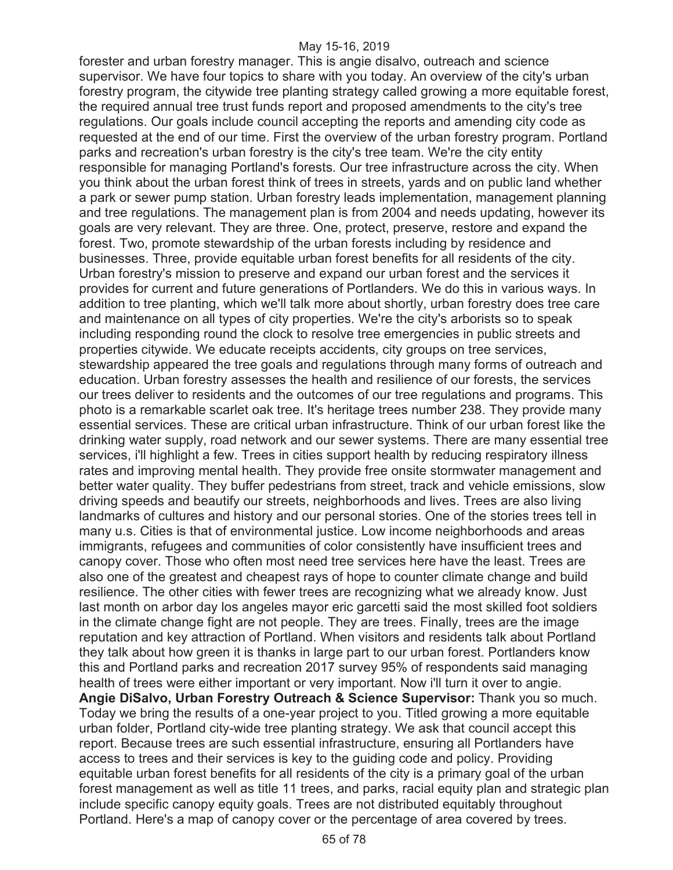forester and urban forestry manager. This is angie disalvo, outreach and science supervisor. We have four topics to share with you today. An overview of the city's urban forestry program, the citywide tree planting strategy called growing a more equitable forest, the required annual tree trust funds report and proposed amendments to the city's tree regulations. Our goals include council accepting the reports and amending city code as requested at the end of our time. First the overview of the urban forestry program. Portland parks and recreation's urban forestry is the city's tree team. We're the city entity responsible for managing Portland's forests. Our tree infrastructure across the city. When you think about the urban forest think of trees in streets, yards and on public land whether a park or sewer pump station. Urban forestry leads implementation, management planning and tree regulations. The management plan is from 2004 and needs updating, however its goals are very relevant. They are three. One, protect, preserve, restore and expand the forest. Two, promote stewardship of the urban forests including by residence and businesses. Three, provide equitable urban forest benefits for all residents of the city. Urban forestry's mission to preserve and expand our urban forest and the services it provides for current and future generations of Portlanders. We do this in various ways. In addition to tree planting, which we'll talk more about shortly, urban forestry does tree care and maintenance on all types of city properties. We're the city's arborists so to speak including responding round the clock to resolve tree emergencies in public streets and properties citywide. We educate receipts accidents, city groups on tree services, stewardship appeared the tree goals and regulations through many forms of outreach and education. Urban forestry assesses the health and resilience of our forests, the services our trees deliver to residents and the outcomes of our tree regulations and programs. This photo is a remarkable scarlet oak tree. It's heritage trees number 238. They provide many essential services. These are critical urban infrastructure. Think of our urban forest like the drinking water supply, road network and our sewer systems. There are many essential tree services, i'll highlight a few. Trees in cities support health by reducing respiratory illness rates and improving mental health. They provide free onsite stormwater management and better water quality. They buffer pedestrians from street, track and vehicle emissions, slow driving speeds and beautify our streets, neighborhoods and lives. Trees are also living landmarks of cultures and history and our personal stories. One of the stories trees tell in many u.s. Cities is that of environmental justice. Low income neighborhoods and areas immigrants, refugees and communities of color consistently have insufficient trees and canopy cover. Those who often most need tree services here have the least. Trees are also one of the greatest and cheapest rays of hope to counter climate change and build resilience. The other cities with fewer trees are recognizing what we already know. Just last month on arbor day los angeles mayor eric garcetti said the most skilled foot soldiers in the climate change fight are not people. They are trees. Finally, trees are the image reputation and key attraction of Portland. When visitors and residents talk about Portland they talk about how green it is thanks in large part to our urban forest. Portlanders know this and Portland parks and recreation 2017 survey 95% of respondents said managing health of trees were either important or very important. Now i'll turn it over to angie. **Angie DiSalvo, Urban Forestry Outreach & Science Supervisor:** Thank you so much. Today we bring the results of a one-year project to you. Titled growing a more equitable urban folder, Portland city-wide tree planting strategy. We ask that council accept this report. Because trees are such essential infrastructure, ensuring all Portlanders have access to trees and their services is key to the guiding code and policy. Providing equitable urban forest benefits for all residents of the city is a primary goal of the urban forest management as well as title 11 trees, and parks, racial equity plan and strategic plan include specific canopy equity goals. Trees are not distributed equitably throughout Portland. Here's a map of canopy cover or the percentage of area covered by trees.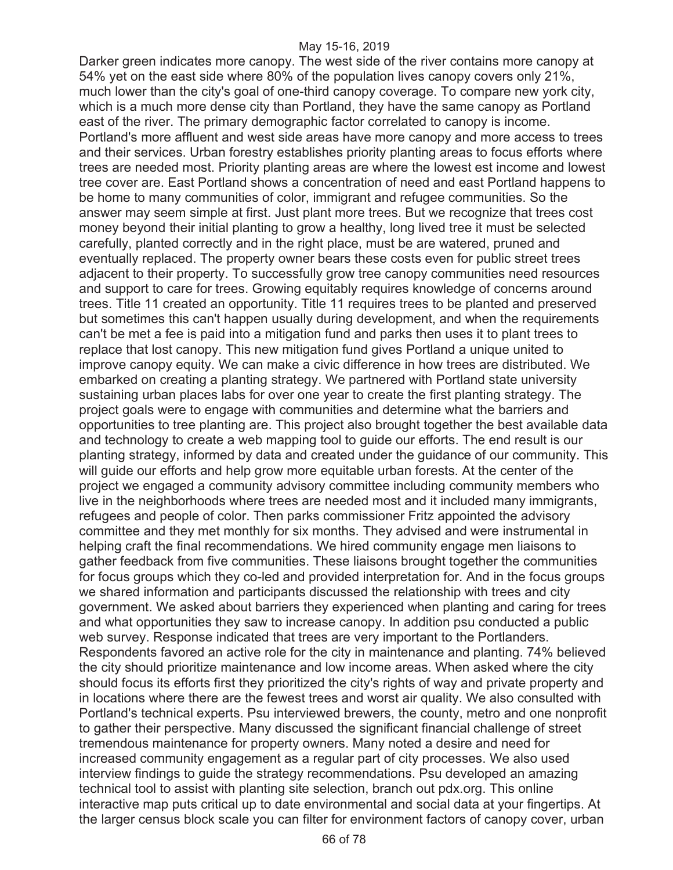Darker green indicates more canopy. The west side of the river contains more canopy at 54% yet on the east side where 80% of the population lives canopy covers only 21%, much lower than the city's goal of one-third canopy coverage. To compare new york city, which is a much more dense city than Portland, they have the same canopy as Portland east of the river. The primary demographic factor correlated to canopy is income. Portland's more affluent and west side areas have more canopy and more access to trees and their services. Urban forestry establishes priority planting areas to focus efforts where trees are needed most. Priority planting areas are where the lowest est income and lowest tree cover are. East Portland shows a concentration of need and east Portland happens to be home to many communities of color, immigrant and refugee communities. So the answer may seem simple at first. Just plant more trees. But we recognize that trees cost money beyond their initial planting to grow a healthy, long lived tree it must be selected carefully, planted correctly and in the right place, must be are watered, pruned and eventually replaced. The property owner bears these costs even for public street trees adjacent to their property. To successfully grow tree canopy communities need resources and support to care for trees. Growing equitably requires knowledge of concerns around trees. Title 11 created an opportunity. Title 11 requires trees to be planted and preserved but sometimes this can't happen usually during development, and when the requirements can't be met a fee is paid into a mitigation fund and parks then uses it to plant trees to replace that lost canopy. This new mitigation fund gives Portland a unique united to improve canopy equity. We can make a civic difference in how trees are distributed. We embarked on creating a planting strategy. We partnered with Portland state university sustaining urban places labs for over one year to create the first planting strategy. The project goals were to engage with communities and determine what the barriers and opportunities to tree planting are. This project also brought together the best available data and technology to create a web mapping tool to guide our efforts. The end result is our planting strategy, informed by data and created under the guidance of our community. This will guide our efforts and help grow more equitable urban forests. At the center of the project we engaged a community advisory committee including community members who live in the neighborhoods where trees are needed most and it included many immigrants, refugees and people of color. Then parks commissioner Fritz appointed the advisory committee and they met monthly for six months. They advised and were instrumental in helping craft the final recommendations. We hired community engage men liaisons to gather feedback from five communities. These liaisons brought together the communities for focus groups which they co-led and provided interpretation for. And in the focus groups we shared information and participants discussed the relationship with trees and city government. We asked about barriers they experienced when planting and caring for trees and what opportunities they saw to increase canopy. In addition psu conducted a public web survey. Response indicated that trees are very important to the Portlanders. Respondents favored an active role for the city in maintenance and planting. 74% believed the city should prioritize maintenance and low income areas. When asked where the city should focus its efforts first they prioritized the city's rights of way and private property and in locations where there are the fewest trees and worst air quality. We also consulted with Portland's technical experts. Psu interviewed brewers, the county, metro and one nonprofit to gather their perspective. Many discussed the significant financial challenge of street tremendous maintenance for property owners. Many noted a desire and need for increased community engagement as a regular part of city processes. We also used interview findings to guide the strategy recommendations. Psu developed an amazing technical tool to assist with planting site selection, branch out pdx.org. This online interactive map puts critical up to date environmental and social data at your fingertips. At the larger census block scale you can filter for environment factors of canopy cover, urban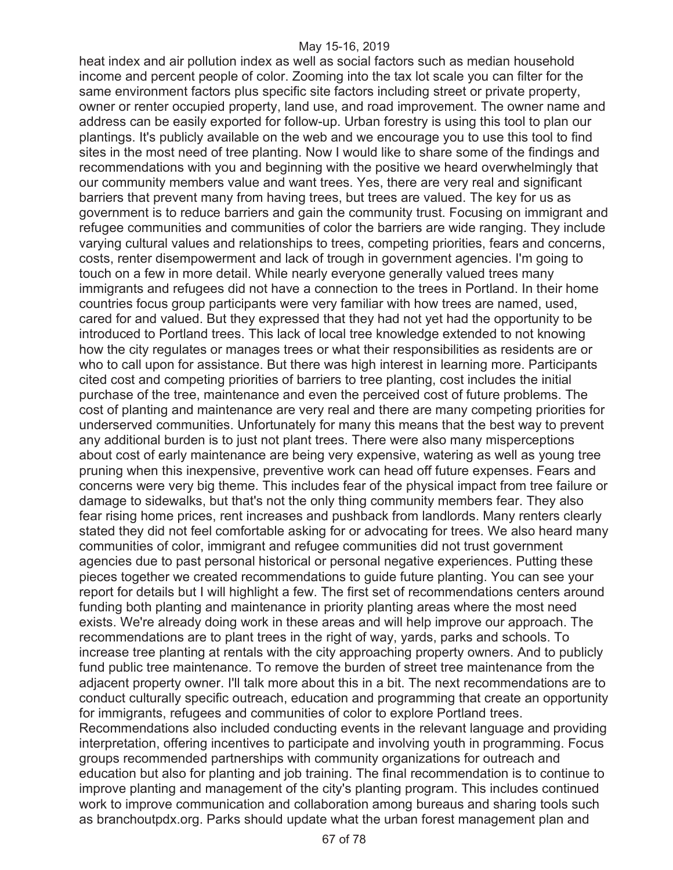heat index and air pollution index as well as social factors such as median household income and percent people of color. Zooming into the tax lot scale you can filter for the same environment factors plus specific site factors including street or private property, owner or renter occupied property, land use, and road improvement. The owner name and address can be easily exported for follow-up. Urban forestry is using this tool to plan our plantings. It's publicly available on the web and we encourage you to use this tool to find sites in the most need of tree planting. Now I would like to share some of the findings and recommendations with you and beginning with the positive we heard overwhelmingly that our community members value and want trees. Yes, there are very real and significant barriers that prevent many from having trees, but trees are valued. The key for us as government is to reduce barriers and gain the community trust. Focusing on immigrant and refugee communities and communities of color the barriers are wide ranging. They include varying cultural values and relationships to trees, competing priorities, fears and concerns, costs, renter disempowerment and lack of trough in government agencies. I'm going to touch on a few in more detail. While nearly everyone generally valued trees many immigrants and refugees did not have a connection to the trees in Portland. In their home countries focus group participants were very familiar with how trees are named, used, cared for and valued. But they expressed that they had not yet had the opportunity to be introduced to Portland trees. This lack of local tree knowledge extended to not knowing how the city regulates or manages trees or what their responsibilities as residents are or who to call upon for assistance. But there was high interest in learning more. Participants cited cost and competing priorities of barriers to tree planting, cost includes the initial purchase of the tree, maintenance and even the perceived cost of future problems. The cost of planting and maintenance are very real and there are many competing priorities for underserved communities. Unfortunately for many this means that the best way to prevent any additional burden is to just not plant trees. There were also many misperceptions about cost of early maintenance are being very expensive, watering as well as young tree pruning when this inexpensive, preventive work can head off future expenses. Fears and concerns were very big theme. This includes fear of the physical impact from tree failure or damage to sidewalks, but that's not the only thing community members fear. They also fear rising home prices, rent increases and pushback from landlords. Many renters clearly stated they did not feel comfortable asking for or advocating for trees. We also heard many communities of color, immigrant and refugee communities did not trust government agencies due to past personal historical or personal negative experiences. Putting these pieces together we created recommendations to guide future planting. You can see your report for details but I will highlight a few. The first set of recommendations centers around funding both planting and maintenance in priority planting areas where the most need exists. We're already doing work in these areas and will help improve our approach. The recommendations are to plant trees in the right of way, yards, parks and schools. To increase tree planting at rentals with the city approaching property owners. And to publicly fund public tree maintenance. To remove the burden of street tree maintenance from the adjacent property owner. I'll talk more about this in a bit. The next recommendations are to conduct culturally specific outreach, education and programming that create an opportunity for immigrants, refugees and communities of color to explore Portland trees. Recommendations also included conducting events in the relevant language and providing interpretation, offering incentives to participate and involving youth in programming. Focus groups recommended partnerships with community organizations for outreach and education but also for planting and job training. The final recommendation is to continue to improve planting and management of the city's planting program. This includes continued work to improve communication and collaboration among bureaus and sharing tools such as branchoutpdx.org. Parks should update what the urban forest management plan and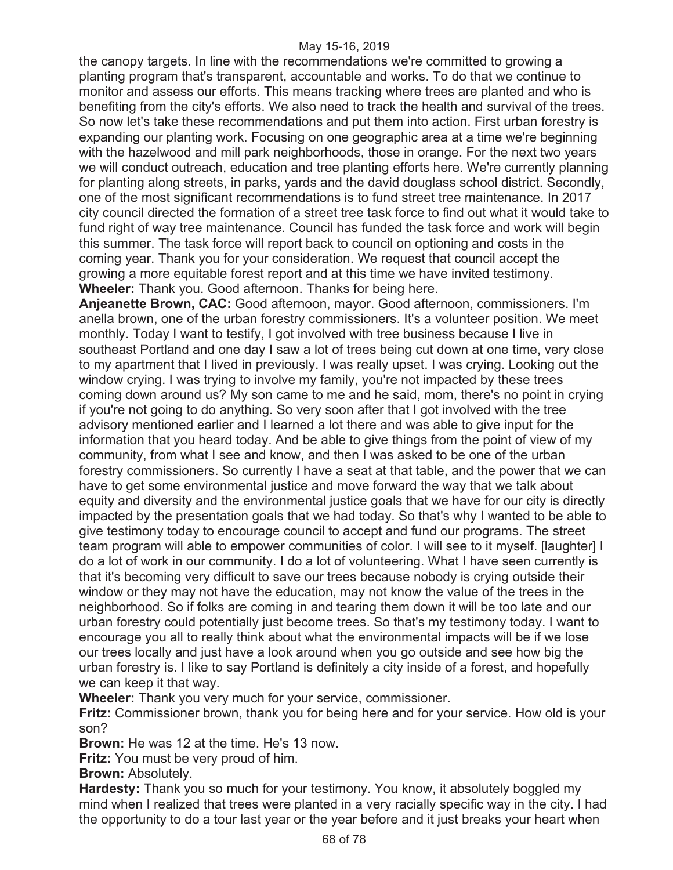the canopy targets. In line with the recommendations we're committed to growing a planting program that's transparent, accountable and works. To do that we continue to monitor and assess our efforts. This means tracking where trees are planted and who is benefiting from the city's efforts. We also need to track the health and survival of the trees. So now let's take these recommendations and put them into action. First urban forestry is expanding our planting work. Focusing on one geographic area at a time we're beginning with the hazelwood and mill park neighborhoods, those in orange. For the next two years we will conduct outreach, education and tree planting efforts here. We're currently planning for planting along streets, in parks, yards and the david douglass school district. Secondly, one of the most significant recommendations is to fund street tree maintenance. In 2017 city council directed the formation of a street tree task force to find out what it would take to fund right of way tree maintenance. Council has funded the task force and work will begin this summer. The task force will report back to council on optioning and costs in the coming year. Thank you for your consideration. We request that council accept the growing a more equitable forest report and at this time we have invited testimony. **Wheeler:** Thank you. Good afternoon. Thanks for being here.

**Anjeanette Brown, CAC:** Good afternoon, mayor. Good afternoon, commissioners. I'm anella brown, one of the urban forestry commissioners. It's a volunteer position. We meet monthly. Today I want to testify, I got involved with tree business because I live in southeast Portland and one day I saw a lot of trees being cut down at one time, very close to my apartment that I lived in previously. I was really upset. I was crying. Looking out the window crying. I was trying to involve my family, you're not impacted by these trees coming down around us? My son came to me and he said, mom, there's no point in crying if you're not going to do anything. So very soon after that I got involved with the tree advisory mentioned earlier and I learned a lot there and was able to give input for the information that you heard today. And be able to give things from the point of view of my community, from what I see and know, and then I was asked to be one of the urban forestry commissioners. So currently I have a seat at that table, and the power that we can have to get some environmental justice and move forward the way that we talk about equity and diversity and the environmental justice goals that we have for our city is directly impacted by the presentation goals that we had today. So that's why I wanted to be able to give testimony today to encourage council to accept and fund our programs. The street team program will able to empower communities of color. I will see to it myself. [laughter] I do a lot of work in our community. I do a lot of volunteering. What I have seen currently is that it's becoming very difficult to save our trees because nobody is crying outside their window or they may not have the education, may not know the value of the trees in the neighborhood. So if folks are coming in and tearing them down it will be too late and our urban forestry could potentially just become trees. So that's my testimony today. I want to encourage you all to really think about what the environmental impacts will be if we lose our trees locally and just have a look around when you go outside and see how big the urban forestry is. I like to say Portland is definitely a city inside of a forest, and hopefully we can keep it that way.

**Wheeler:** Thank you very much for your service, commissioner.

**Fritz:** Commissioner brown, thank you for being here and for your service. How old is your son?

**Brown:** He was 12 at the time. He's 13 now.

**Fritz:** You must be very proud of him.

**Brown:** Absolutely.

**Hardesty:** Thank you so much for your testimony. You know, it absolutely boggled my mind when I realized that trees were planted in a very racially specific way in the city. I had the opportunity to do a tour last year or the year before and it just breaks your heart when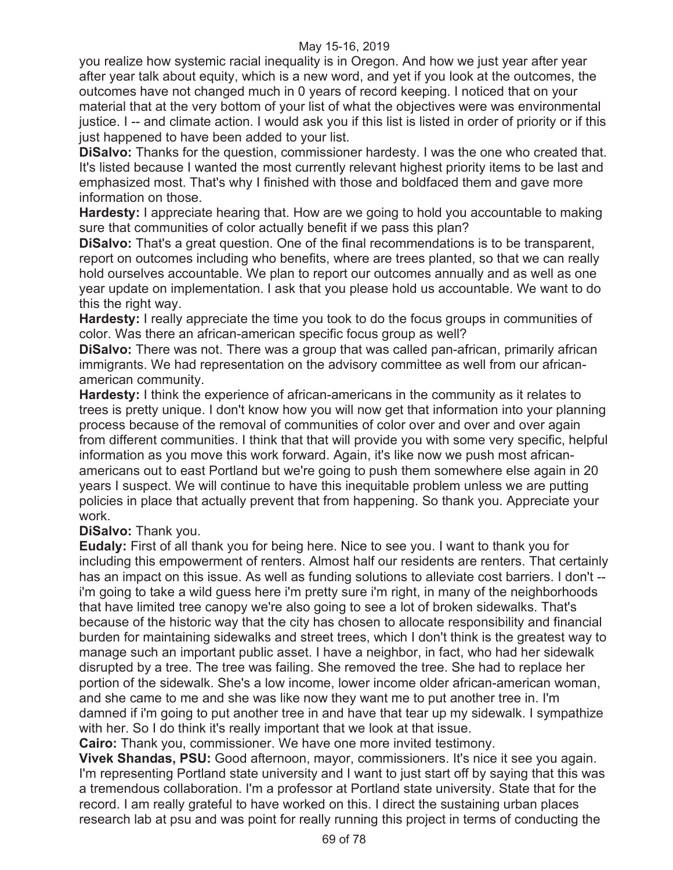you realize how systemic racial inequality is in Oregon. And how we just year after year after year talk about equity, which is a new word, and yet if you look at the outcomes, the outcomes have not changed much in 0 years of record keeping. I noticed that on your material that at the very bottom of your list of what the objectives were was environmental justice. I -- and climate action. I would ask you if this list is listed in order of priority or if this just happened to have been added to your list.

**DiSalvo:** Thanks for the question, commissioner hardesty. I was the one who created that. It's listed because I wanted the most currently relevant highest priority items to be last and emphasized most. That's why I finished with those and boldfaced them and gave more information on those.

**Hardesty:** I appreciate hearing that. How are we going to hold you accountable to making sure that communities of color actually benefit if we pass this plan?

**DiSalvo:** That's a great question. One of the final recommendations is to be transparent, report on outcomes including who benefits, where are trees planted, so that we can really hold ourselves accountable. We plan to report our outcomes annually and as well as one year update on implementation. I ask that you please hold us accountable. We want to do this the right way.

**Hardesty:** I really appreciate the time you took to do the focus groups in communities of color. Was there an african-american specific focus group as well?

**DiSalvo:** There was not. There was a group that was called pan-african, primarily african immigrants. We had representation on the advisory committee as well from our africanamerican community.

**Hardesty:** I think the experience of african-americans in the community as it relates to trees is pretty unique. I don't know how you will now get that information into your planning process because of the removal of communities of color over and over and over again from different communities. I think that that will provide you with some very specific, helpful information as you move this work forward. Again, it's like now we push most africanamericans out to east Portland but we're going to push them somewhere else again in 20 years I suspect. We will continue to have this inequitable problem unless we are putting policies in place that actually prevent that from happening. So thank you. Appreciate your work.

**DiSalvo:** Thank you.

**Eudaly:** First of all thank you for being here. Nice to see you. I want to thank you for including this empowerment of renters. Almost half our residents are renters. That certainly has an impact on this issue. As well as funding solutions to alleviate cost barriers. I don't - i'm going to take a wild guess here i'm pretty sure i'm right, in many of the neighborhoods that have limited tree canopy we're also going to see a lot of broken sidewalks. That's because of the historic way that the city has chosen to allocate responsibility and financial burden for maintaining sidewalks and street trees, which I don't think is the greatest way to manage such an important public asset. I have a neighbor, in fact, who had her sidewalk disrupted by a tree. The tree was failing. She removed the tree. She had to replace her portion of the sidewalk. She's a low income, lower income older african-american woman, and she came to me and she was like now they want me to put another tree in. I'm damned if i'm going to put another tree in and have that tear up my sidewalk. I sympathize with her. So I do think it's really important that we look at that issue.

**Cairo:** Thank you, commissioner. We have one more invited testimony.

**Vivek Shandas, PSU:** Good afternoon, mayor, commissioners. It's nice it see you again. I'm representing Portland state university and I want to just start off by saying that this was a tremendous collaboration. I'm a professor at Portland state university. State that for the record. I am really grateful to have worked on this. I direct the sustaining urban places research lab at psu and was point for really running this project in terms of conducting the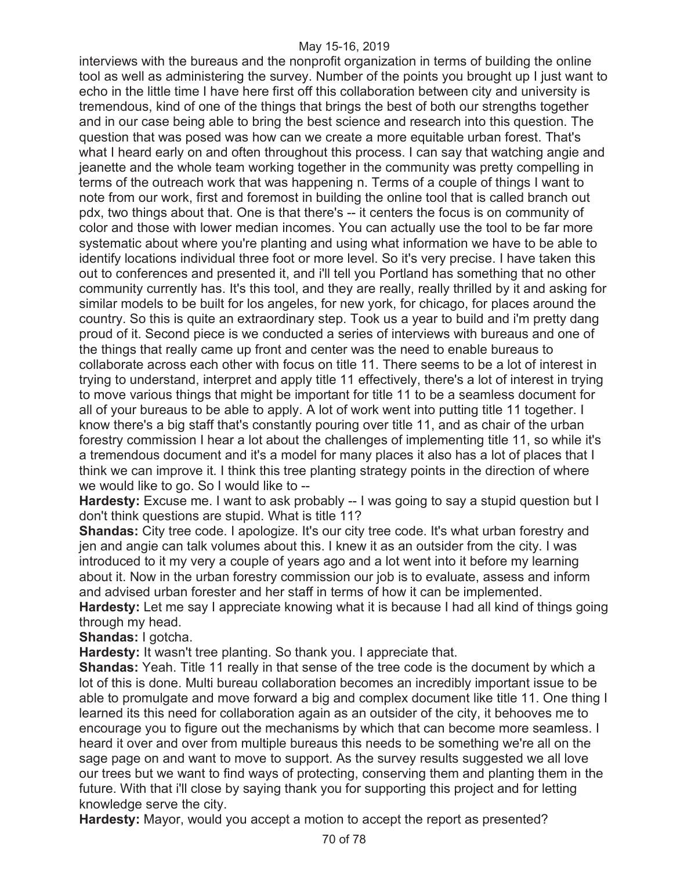interviews with the bureaus and the nonprofit organization in terms of building the online tool as well as administering the survey. Number of the points you brought up I just want to echo in the little time I have here first off this collaboration between city and university is tremendous, kind of one of the things that brings the best of both our strengths together and in our case being able to bring the best science and research into this question. The question that was posed was how can we create a more equitable urban forest. That's what I heard early on and often throughout this process. I can say that watching angie and jeanette and the whole team working together in the community was pretty compelling in terms of the outreach work that was happening n. Terms of a couple of things I want to note from our work, first and foremost in building the online tool that is called branch out pdx, two things about that. One is that there's -- it centers the focus is on community of color and those with lower median incomes. You can actually use the tool to be far more systematic about where you're planting and using what information we have to be able to identify locations individual three foot or more level. So it's very precise. I have taken this out to conferences and presented it, and i'll tell you Portland has something that no other community currently has. It's this tool, and they are really, really thrilled by it and asking for similar models to be built for los angeles, for new york, for chicago, for places around the country. So this is quite an extraordinary step. Took us a year to build and i'm pretty dang proud of it. Second piece is we conducted a series of interviews with bureaus and one of the things that really came up front and center was the need to enable bureaus to collaborate across each other with focus on title 11. There seems to be a lot of interest in trying to understand, interpret and apply title 11 effectively, there's a lot of interest in trying to move various things that might be important for title 11 to be a seamless document for all of your bureaus to be able to apply. A lot of work went into putting title 11 together. I know there's a big staff that's constantly pouring over title 11, and as chair of the urban forestry commission I hear a lot about the challenges of implementing title 11, so while it's a tremendous document and it's a model for many places it also has a lot of places that I think we can improve it. I think this tree planting strategy points in the direction of where we would like to go. So I would like to --

**Hardesty:** Excuse me. I want to ask probably -- I was going to say a stupid question but I don't think questions are stupid. What is title 11?

**Shandas:** City tree code. I apologize. It's our city tree code. It's what urban forestry and jen and angie can talk volumes about this. I knew it as an outsider from the city. I was introduced to it my very a couple of years ago and a lot went into it before my learning about it. Now in the urban forestry commission our job is to evaluate, assess and inform and advised urban forester and her staff in terms of how it can be implemented.

**Hardesty:** Let me say I appreciate knowing what it is because I had all kind of things going through my head.

**Shandas:** I gotcha.

**Hardesty:** It wasn't tree planting. So thank you. I appreciate that.

**Shandas:** Yeah. Title 11 really in that sense of the tree code is the document by which a lot of this is done. Multi bureau collaboration becomes an incredibly important issue to be able to promulgate and move forward a big and complex document like title 11. One thing I learned its this need for collaboration again as an outsider of the city, it behooves me to encourage you to figure out the mechanisms by which that can become more seamless. I heard it over and over from multiple bureaus this needs to be something we're all on the sage page on and want to move to support. As the survey results suggested we all love our trees but we want to find ways of protecting, conserving them and planting them in the future. With that i'll close by saying thank you for supporting this project and for letting knowledge serve the city.

**Hardesty:** Mayor, would you accept a motion to accept the report as presented?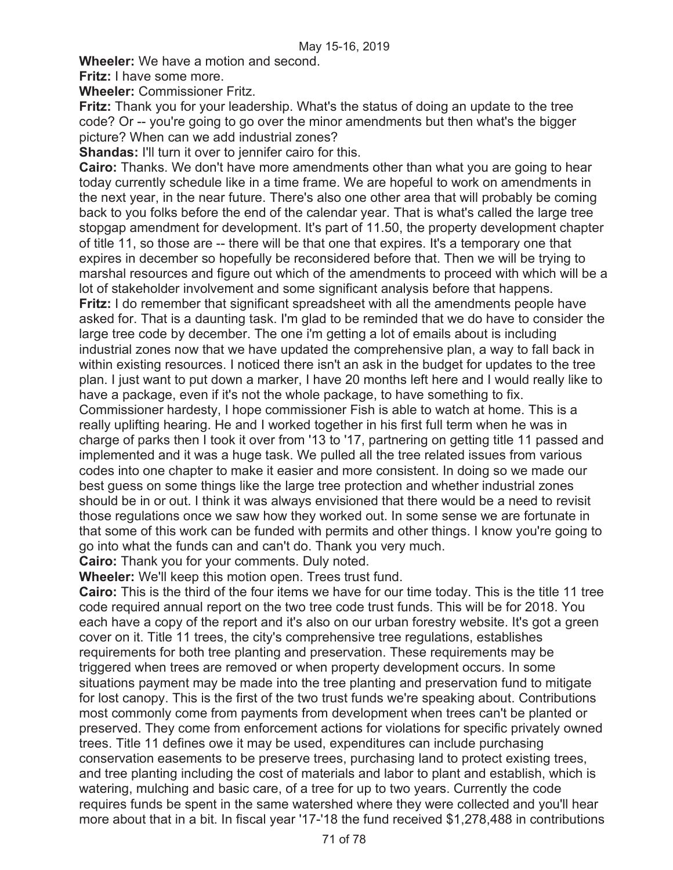**Wheeler:** We have a motion and second.

**Fritz:** I have some more.

**Wheeler:** Commissioner Fritz.

**Fritz:** Thank you for your leadership. What's the status of doing an update to the tree code? Or -- you're going to go over the minor amendments but then what's the bigger picture? When can we add industrial zones?

**Shandas: I'll turn it over to jennifer cairo for this.** 

**Cairo:** Thanks. We don't have more amendments other than what you are going to hear today currently schedule like in a time frame. We are hopeful to work on amendments in the next year, in the near future. There's also one other area that will probably be coming back to you folks before the end of the calendar year. That is what's called the large tree stopgap amendment for development. It's part of 11.50, the property development chapter of title 11, so those are -- there will be that one that expires. It's a temporary one that expires in december so hopefully be reconsidered before that. Then we will be trying to marshal resources and figure out which of the amendments to proceed with which will be a lot of stakeholder involvement and some significant analysis before that happens. **Fritz:** I do remember that significant spreadsheet with all the amendments people have asked for. That is a daunting task. I'm glad to be reminded that we do have to consider the large tree code by december. The one i'm getting a lot of emails about is including industrial zones now that we have updated the comprehensive plan, a way to fall back in within existing resources. I noticed there isn't an ask in the budget for updates to the tree plan. I just want to put down a marker, I have 20 months left here and I would really like to have a package, even if it's not the whole package, to have something to fix. Commissioner hardesty, I hope commissioner Fish is able to watch at home. This is a really uplifting hearing. He and I worked together in his first full term when he was in charge of parks then I took it over from '13 to '17, partnering on getting title 11 passed and implemented and it was a huge task. We pulled all the tree related issues from various codes into one chapter to make it easier and more consistent. In doing so we made our best guess on some things like the large tree protection and whether industrial zones

should be in or out. I think it was always envisioned that there would be a need to revisit those regulations once we saw how they worked out. In some sense we are fortunate in that some of this work can be funded with permits and other things. I know you're going to go into what the funds can and can't do. Thank you very much.

**Cairo:** Thank you for your comments. Duly noted.

**Wheeler:** We'll keep this motion open. Trees trust fund.

**Cairo:** This is the third of the four items we have for our time today. This is the title 11 tree code required annual report on the two tree code trust funds. This will be for 2018. You each have a copy of the report and it's also on our urban forestry website. It's got a green cover on it. Title 11 trees, the city's comprehensive tree regulations, establishes requirements for both tree planting and preservation. These requirements may be triggered when trees are removed or when property development occurs. In some situations payment may be made into the tree planting and preservation fund to mitigate for lost canopy. This is the first of the two trust funds we're speaking about. Contributions most commonly come from payments from development when trees can't be planted or preserved. They come from enforcement actions for violations for specific privately owned trees. Title 11 defines owe it may be used, expenditures can include purchasing conservation easements to be preserve trees, purchasing land to protect existing trees, and tree planting including the cost of materials and labor to plant and establish, which is watering, mulching and basic care, of a tree for up to two years. Currently the code requires funds be spent in the same watershed where they were collected and you'll hear more about that in a bit. In fiscal year '17-'18 the fund received \$1,278,488 in contributions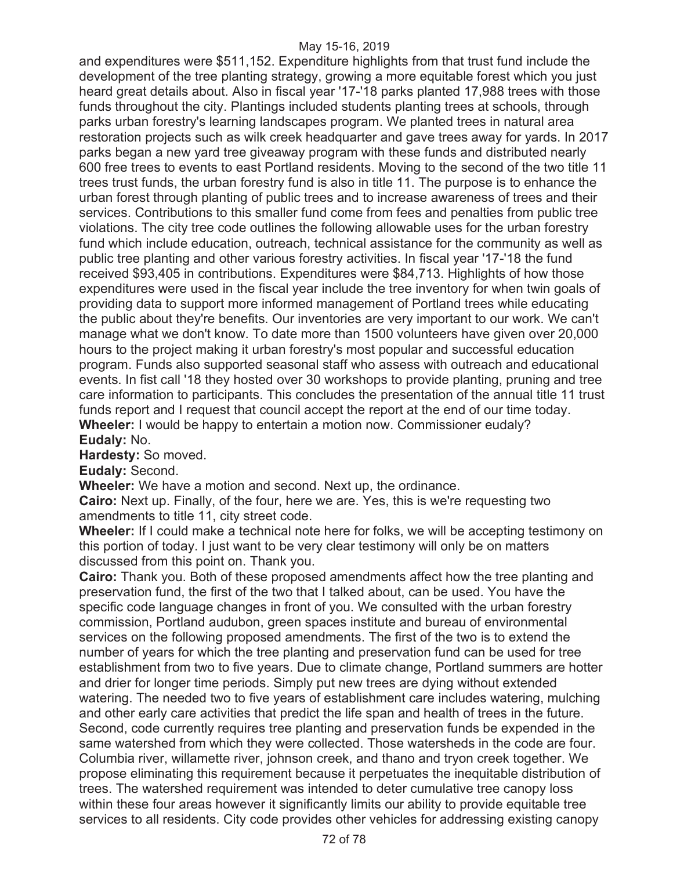and expenditures were \$511,152. Expenditure highlights from that trust fund include the development of the tree planting strategy, growing a more equitable forest which you just heard great details about. Also in fiscal year '17-'18 parks planted 17,988 trees with those funds throughout the city. Plantings included students planting trees at schools, through parks urban forestry's learning landscapes program. We planted trees in natural area restoration projects such as wilk creek headquarter and gave trees away for yards. In 2017 parks began a new yard tree giveaway program with these funds and distributed nearly 600 free trees to events to east Portland residents. Moving to the second of the two title 11 trees trust funds, the urban forestry fund is also in title 11. The purpose is to enhance the urban forest through planting of public trees and to increase awareness of trees and their services. Contributions to this smaller fund come from fees and penalties from public tree violations. The city tree code outlines the following allowable uses for the urban forestry fund which include education, outreach, technical assistance for the community as well as public tree planting and other various forestry activities. In fiscal year '17-'18 the fund received \$93,405 in contributions. Expenditures were \$84,713. Highlights of how those expenditures were used in the fiscal year include the tree inventory for when twin goals of providing data to support more informed management of Portland trees while educating the public about they're benefits. Our inventories are very important to our work. We can't manage what we don't know. To date more than 1500 volunteers have given over 20,000 hours to the project making it urban forestry's most popular and successful education program. Funds also supported seasonal staff who assess with outreach and educational events. In fist call '18 they hosted over 30 workshops to provide planting, pruning and tree care information to participants. This concludes the presentation of the annual title 11 trust funds report and I request that council accept the report at the end of our time today. **Wheeler:** I would be happy to entertain a motion now. Commissioner eudaly? **Eudaly:** No.

**Hardesty:** So moved.

**Eudaly:** Second.

**Wheeler:** We have a motion and second. Next up, the ordinance.

**Cairo:** Next up. Finally, of the four, here we are. Yes, this is we're requesting two amendments to title 11, city street code.

**Wheeler:** If I could make a technical note here for folks, we will be accepting testimony on this portion of today. I just want to be very clear testimony will only be on matters discussed from this point on. Thank you.

**Cairo:** Thank you. Both of these proposed amendments affect how the tree planting and preservation fund, the first of the two that I talked about, can be used. You have the specific code language changes in front of you. We consulted with the urban forestry commission, Portland audubon, green spaces institute and bureau of environmental services on the following proposed amendments. The first of the two is to extend the number of years for which the tree planting and preservation fund can be used for tree establishment from two to five years. Due to climate change, Portland summers are hotter and drier for longer time periods. Simply put new trees are dying without extended watering. The needed two to five years of establishment care includes watering, mulching and other early care activities that predict the life span and health of trees in the future. Second, code currently requires tree planting and preservation funds be expended in the same watershed from which they were collected. Those watersheds in the code are four. Columbia river, willamette river, johnson creek, and thano and tryon creek together. We propose eliminating this requirement because it perpetuates the inequitable distribution of trees. The watershed requirement was intended to deter cumulative tree canopy loss within these four areas however it significantly limits our ability to provide equitable tree services to all residents. City code provides other vehicles for addressing existing canopy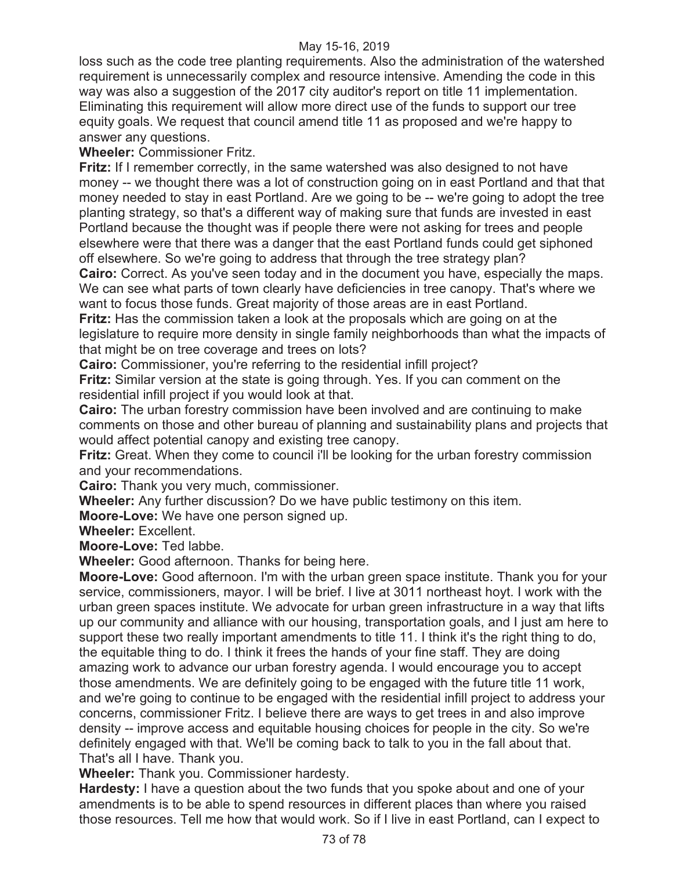loss such as the code tree planting requirements. Also the administration of the watershed requirement is unnecessarily complex and resource intensive. Amending the code in this way was also a suggestion of the 2017 city auditor's report on title 11 implementation. Eliminating this requirement will allow more direct use of the funds to support our tree equity goals. We request that council amend title 11 as proposed and we're happy to answer any questions.

**Wheeler:** Commissioner Fritz.

**Fritz:** If I remember correctly, in the same watershed was also designed to not have money -- we thought there was a lot of construction going on in east Portland and that that money needed to stay in east Portland. Are we going to be -- we're going to adopt the tree planting strategy, so that's a different way of making sure that funds are invested in east Portland because the thought was if people there were not asking for trees and people elsewhere were that there was a danger that the east Portland funds could get siphoned off elsewhere. So we're going to address that through the tree strategy plan?

**Cairo:** Correct. As you've seen today and in the document you have, especially the maps. We can see what parts of town clearly have deficiencies in tree canopy. That's where we want to focus those funds. Great majority of those areas are in east Portland.

**Fritz:** Has the commission taken a look at the proposals which are going on at the legislature to require more density in single family neighborhoods than what the impacts of that might be on tree coverage and trees on lots?

**Cairo:** Commissioner, you're referring to the residential infill project?

**Fritz:** Similar version at the state is going through. Yes. If you can comment on the residential infill project if you would look at that.

**Cairo:** The urban forestry commission have been involved and are continuing to make comments on those and other bureau of planning and sustainability plans and projects that would affect potential canopy and existing tree canopy.

**Fritz:** Great. When they come to council i'll be looking for the urban forestry commission and your recommendations.

**Cairo:** Thank you very much, commissioner.

**Wheeler:** Any further discussion? Do we have public testimony on this item.

**Moore-Love:** We have one person signed up.

**Wheeler:** Excellent.

**Moore-Love:** Ted labbe.

**Wheeler:** Good afternoon. Thanks for being here.

**Moore-Love:** Good afternoon. I'm with the urban green space institute. Thank you for your service, commissioners, mayor. I will be brief. I live at 3011 northeast hoyt. I work with the urban green spaces institute. We advocate for urban green infrastructure in a way that lifts up our community and alliance with our housing, transportation goals, and I just am here to support these two really important amendments to title 11. I think it's the right thing to do, the equitable thing to do. I think it frees the hands of your fine staff. They are doing amazing work to advance our urban forestry agenda. I would encourage you to accept those amendments. We are definitely going to be engaged with the future title 11 work, and we're going to continue to be engaged with the residential infill project to address your concerns, commissioner Fritz. I believe there are ways to get trees in and also improve density -- improve access and equitable housing choices for people in the city. So we're definitely engaged with that. We'll be coming back to talk to you in the fall about that. That's all I have. Thank you.

**Wheeler:** Thank you. Commissioner hardesty.

**Hardesty:** I have a question about the two funds that you spoke about and one of your amendments is to be able to spend resources in different places than where you raised those resources. Tell me how that would work. So if I live in east Portland, can I expect to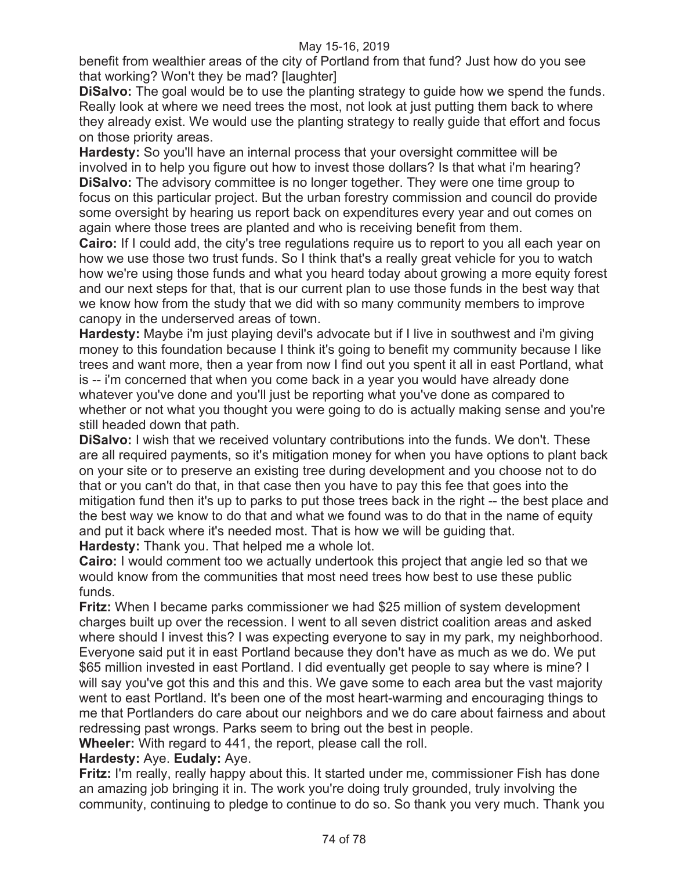benefit from wealthier areas of the city of Portland from that fund? Just how do you see that working? Won't they be mad? [laughter]

**DiSalvo:** The goal would be to use the planting strategy to guide how we spend the funds. Really look at where we need trees the most, not look at just putting them back to where they already exist. We would use the planting strategy to really guide that effort and focus on those priority areas.

**Hardesty:** So you'll have an internal process that your oversight committee will be involved in to help you figure out how to invest those dollars? Is that what i'm hearing? **DiSalvo:** The advisory committee is no longer together. They were one time group to focus on this particular project. But the urban forestry commission and council do provide some oversight by hearing us report back on expenditures every year and out comes on again where those trees are planted and who is receiving benefit from them.

**Cairo:** If I could add, the city's tree regulations require us to report to you all each year on how we use those two trust funds. So I think that's a really great vehicle for you to watch how we're using those funds and what you heard today about growing a more equity forest and our next steps for that, that is our current plan to use those funds in the best way that we know how from the study that we did with so many community members to improve canopy in the underserved areas of town.

**Hardesty:** Maybe i'm just playing devil's advocate but if I live in southwest and i'm giving money to this foundation because I think it's going to benefit my community because I like trees and want more, then a year from now I find out you spent it all in east Portland, what is -- i'm concerned that when you come back in a year you would have already done whatever you've done and you'll just be reporting what you've done as compared to whether or not what you thought you were going to do is actually making sense and you're still headed down that path.

**DiSalvo:** I wish that we received voluntary contributions into the funds. We don't. These are all required payments, so it's mitigation money for when you have options to plant back on your site or to preserve an existing tree during development and you choose not to do that or you can't do that, in that case then you have to pay this fee that goes into the mitigation fund then it's up to parks to put those trees back in the right -- the best place and the best way we know to do that and what we found was to do that in the name of equity and put it back where it's needed most. That is how we will be guiding that. **Hardesty:** Thank you. That helped me a whole lot.

**Cairo:** I would comment too we actually undertook this project that angie led so that we would know from the communities that most need trees how best to use these public funds.

**Fritz:** When I became parks commissioner we had \$25 million of system development charges built up over the recession. I went to all seven district coalition areas and asked where should I invest this? I was expecting everyone to say in my park, my neighborhood. Everyone said put it in east Portland because they don't have as much as we do. We put \$65 million invested in east Portland. I did eventually get people to say where is mine? I will say you've got this and this and this. We gave some to each area but the vast majority went to east Portland. It's been one of the most heart-warming and encouraging things to me that Portlanders do care about our neighbors and we do care about fairness and about redressing past wrongs. Parks seem to bring out the best in people.

**Wheeler:** With regard to 441, the report, please call the roll.

# **Hardesty:** Aye. **Eudaly:** Aye.

**Fritz:** I'm really, really happy about this. It started under me, commissioner Fish has done an amazing job bringing it in. The work you're doing truly grounded, truly involving the community, continuing to pledge to continue to do so. So thank you very much. Thank you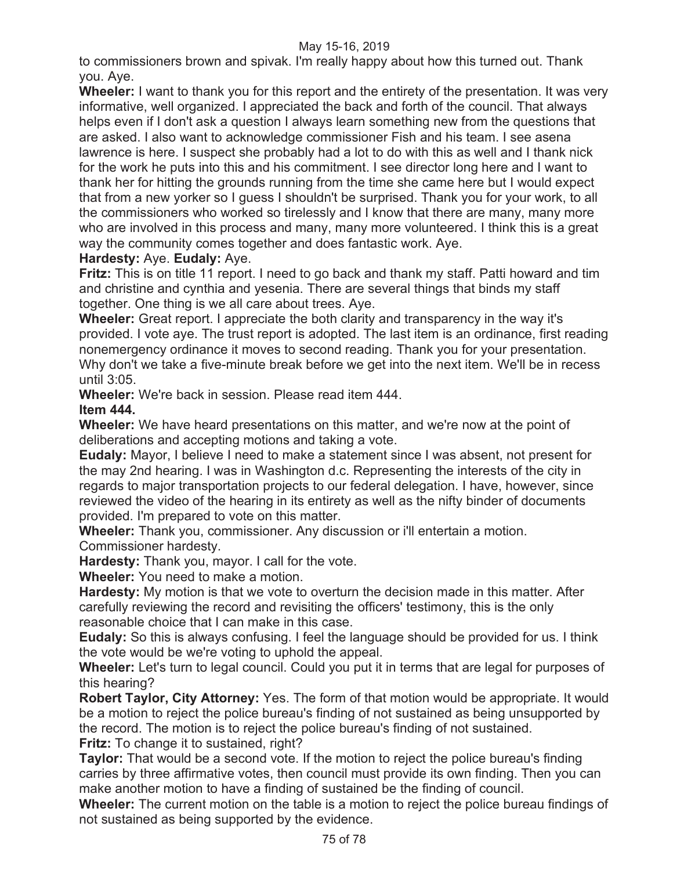to commissioners brown and spivak. I'm really happy about how this turned out. Thank you. Aye.

**Wheeler:** I want to thank you for this report and the entirety of the presentation. It was very informative, well organized. I appreciated the back and forth of the council. That always helps even if I don't ask a question I always learn something new from the questions that are asked. I also want to acknowledge commissioner Fish and his team. I see asena lawrence is here. I suspect she probably had a lot to do with this as well and I thank nick for the work he puts into this and his commitment. I see director long here and I want to thank her for hitting the grounds running from the time she came here but I would expect that from a new yorker so I guess I shouldn't be surprised. Thank you for your work, to all the commissioners who worked so tirelessly and I know that there are many, many more who are involved in this process and many, many more volunteered. I think this is a great way the community comes together and does fantastic work. Aye.

# **Hardesty:** Aye. **Eudaly:** Aye.

**Fritz:** This is on title 11 report. I need to go back and thank my staff. Patti howard and tim and christine and cynthia and yesenia. There are several things that binds my staff together. One thing is we all care about trees. Aye.

**Wheeler:** Great report. I appreciate the both clarity and transparency in the way it's provided. I vote aye. The trust report is adopted. The last item is an ordinance, first reading nonemergency ordinance it moves to second reading. Thank you for your presentation. Why don't we take a five-minute break before we get into the next item. We'll be in recess until 3:05.

**Wheeler:** We're back in session. Please read item 444. **Item 444.**

**Wheeler:** We have heard presentations on this matter, and we're now at the point of deliberations and accepting motions and taking a vote.

**Eudaly:** Mayor, I believe I need to make a statement since I was absent, not present for the may 2nd hearing. I was in Washington d.c. Representing the interests of the city in regards to major transportation projects to our federal delegation. I have, however, since reviewed the video of the hearing in its entirety as well as the nifty binder of documents provided. I'm prepared to vote on this matter.

**Wheeler:** Thank you, commissioner. Any discussion or i'll entertain a motion. Commissioner hardesty.

**Hardesty:** Thank you, mayor. I call for the vote.

**Wheeler:** You need to make a motion.

**Hardesty:** My motion is that we vote to overturn the decision made in this matter. After carefully reviewing the record and revisiting the officers' testimony, this is the only reasonable choice that I can make in this case.

**Eudaly:** So this is always confusing. I feel the language should be provided for us. I think the vote would be we're voting to uphold the appeal.

**Wheeler:** Let's turn to legal council. Could you put it in terms that are legal for purposes of this hearing?

**Robert Taylor, City Attorney:** Yes. The form of that motion would be appropriate. It would be a motion to reject the police bureau's finding of not sustained as being unsupported by the record. The motion is to reject the police bureau's finding of not sustained.

**Fritz:** To change it to sustained, right?

**Taylor:** That would be a second vote. If the motion to reject the police bureau's finding carries by three affirmative votes, then council must provide its own finding. Then you can make another motion to have a finding of sustained be the finding of council.

**Wheeler:** The current motion on the table is a motion to reject the police bureau findings of not sustained as being supported by the evidence.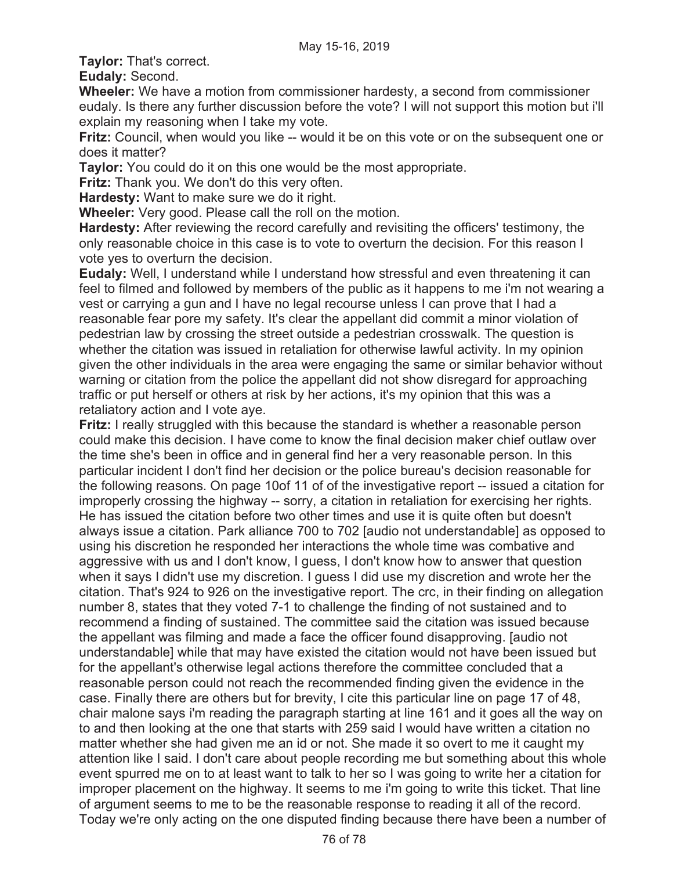**Taylor:** That's correct.

**Eudaly:** Second.

**Wheeler:** We have a motion from commissioner hardesty, a second from commissioner eudaly. Is there any further discussion before the vote? I will not support this motion but i'll explain my reasoning when I take my vote.

**Fritz:** Council, when would you like -- would it be on this vote or on the subsequent one or does it matter?

**Taylor:** You could do it on this one would be the most appropriate.

**Fritz:** Thank you. We don't do this very often.

**Hardesty:** Want to make sure we do it right.

**Wheeler:** Very good. Please call the roll on the motion.

**Hardesty:** After reviewing the record carefully and revisiting the officers' testimony, the only reasonable choice in this case is to vote to overturn the decision. For this reason I vote yes to overturn the decision.

**Eudaly:** Well, I understand while I understand how stressful and even threatening it can feel to filmed and followed by members of the public as it happens to me i'm not wearing a vest or carrying a gun and I have no legal recourse unless I can prove that I had a reasonable fear pore my safety. It's clear the appellant did commit a minor violation of pedestrian law by crossing the street outside a pedestrian crosswalk. The question is whether the citation was issued in retaliation for otherwise lawful activity. In my opinion given the other individuals in the area were engaging the same or similar behavior without warning or citation from the police the appellant did not show disregard for approaching traffic or put herself or others at risk by her actions, it's my opinion that this was a retaliatory action and I vote aye.

**Fritz:** I really struggled with this because the standard is whether a reasonable person could make this decision. I have come to know the final decision maker chief outlaw over the time she's been in office and in general find her a very reasonable person. In this particular incident I don't find her decision or the police bureau's decision reasonable for the following reasons. On page 10of 11 of of the investigative report -- issued a citation for improperly crossing the highway -- sorry, a citation in retaliation for exercising her rights. He has issued the citation before two other times and use it is quite often but doesn't always issue a citation. Park alliance 700 to 702 [audio not understandable] as opposed to using his discretion he responded her interactions the whole time was combative and aggressive with us and I don't know, I guess, I don't know how to answer that question when it says I didn't use my discretion. I guess I did use my discretion and wrote her the citation. That's 924 to 926 on the investigative report. The crc, in their finding on allegation number 8, states that they voted 7-1 to challenge the finding of not sustained and to recommend a finding of sustained. The committee said the citation was issued because the appellant was filming and made a face the officer found disapproving. [audio not understandable] while that may have existed the citation would not have been issued but for the appellant's otherwise legal actions therefore the committee concluded that a reasonable person could not reach the recommended finding given the evidence in the case. Finally there are others but for brevity, I cite this particular line on page 17 of 48, chair malone says i'm reading the paragraph starting at line 161 and it goes all the way on to and then looking at the one that starts with 259 said I would have written a citation no matter whether she had given me an id or not. She made it so overt to me it caught my attention like I said. I don't care about people recording me but something about this whole event spurred me on to at least want to talk to her so I was going to write her a citation for improper placement on the highway. It seems to me i'm going to write this ticket. That line of argument seems to me to be the reasonable response to reading it all of the record. Today we're only acting on the one disputed finding because there have been a number of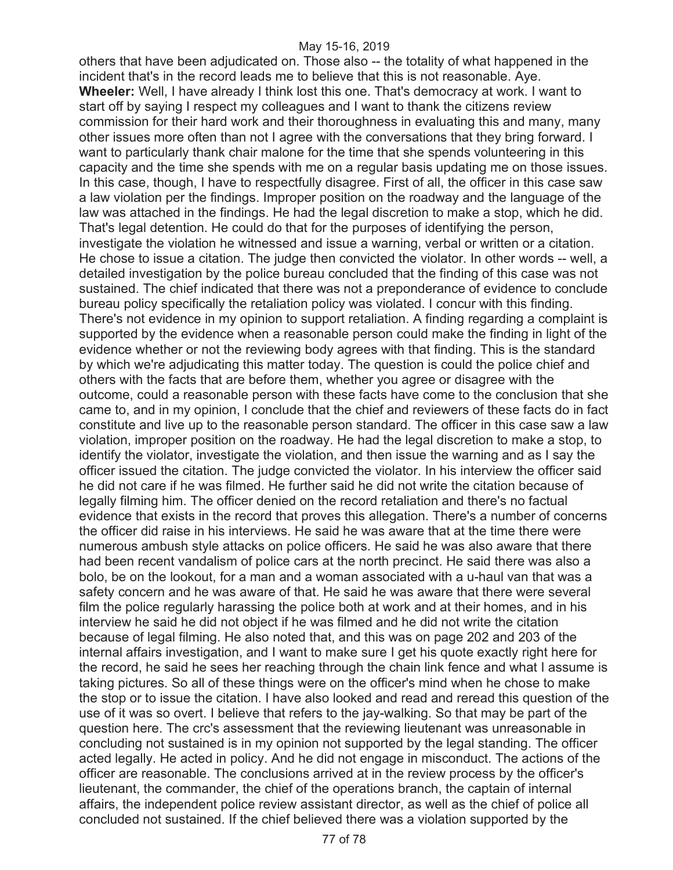others that have been adjudicated on. Those also -- the totality of what happened in the incident that's in the record leads me to believe that this is not reasonable. Aye. **Wheeler:** Well, I have already I think lost this one. That's democracy at work. I want to start off by saying I respect my colleagues and I want to thank the citizens review commission for their hard work and their thoroughness in evaluating this and many, many other issues more often than not I agree with the conversations that they bring forward. I want to particularly thank chair malone for the time that she spends volunteering in this capacity and the time she spends with me on a regular basis updating me on those issues. In this case, though, I have to respectfully disagree. First of all, the officer in this case saw a law violation per the findings. Improper position on the roadway and the language of the law was attached in the findings. He had the legal discretion to make a stop, which he did. That's legal detention. He could do that for the purposes of identifying the person, investigate the violation he witnessed and issue a warning, verbal or written or a citation. He chose to issue a citation. The judge then convicted the violator. In other words -- well, a detailed investigation by the police bureau concluded that the finding of this case was not sustained. The chief indicated that there was not a preponderance of evidence to conclude bureau policy specifically the retaliation policy was violated. I concur with this finding. There's not evidence in my opinion to support retaliation. A finding regarding a complaint is supported by the evidence when a reasonable person could make the finding in light of the evidence whether or not the reviewing body agrees with that finding. This is the standard by which we're adjudicating this matter today. The question is could the police chief and others with the facts that are before them, whether you agree or disagree with the outcome, could a reasonable person with these facts have come to the conclusion that she came to, and in my opinion, I conclude that the chief and reviewers of these facts do in fact constitute and live up to the reasonable person standard. The officer in this case saw a law violation, improper position on the roadway. He had the legal discretion to make a stop, to identify the violator, investigate the violation, and then issue the warning and as I say the officer issued the citation. The judge convicted the violator. In his interview the officer said he did not care if he was filmed. He further said he did not write the citation because of legally filming him. The officer denied on the record retaliation and there's no factual evidence that exists in the record that proves this allegation. There's a number of concerns the officer did raise in his interviews. He said he was aware that at the time there were numerous ambush style attacks on police officers. He said he was also aware that there had been recent vandalism of police cars at the north precinct. He said there was also a bolo, be on the lookout, for a man and a woman associated with a u-haul van that was a safety concern and he was aware of that. He said he was aware that there were several film the police regularly harassing the police both at work and at their homes, and in his interview he said he did not object if he was filmed and he did not write the citation because of legal filming. He also noted that, and this was on page 202 and 203 of the internal affairs investigation, and I want to make sure I get his quote exactly right here for the record, he said he sees her reaching through the chain link fence and what I assume is taking pictures. So all of these things were on the officer's mind when he chose to make the stop or to issue the citation. I have also looked and read and reread this question of the use of it was so overt. I believe that refers to the jay-walking. So that may be part of the question here. The crc's assessment that the reviewing lieutenant was unreasonable in concluding not sustained is in my opinion not supported by the legal standing. The officer acted legally. He acted in policy. And he did not engage in misconduct. The actions of the officer are reasonable. The conclusions arrived at in the review process by the officer's lieutenant, the commander, the chief of the operations branch, the captain of internal affairs, the independent police review assistant director, as well as the chief of police all concluded not sustained. If the chief believed there was a violation supported by the